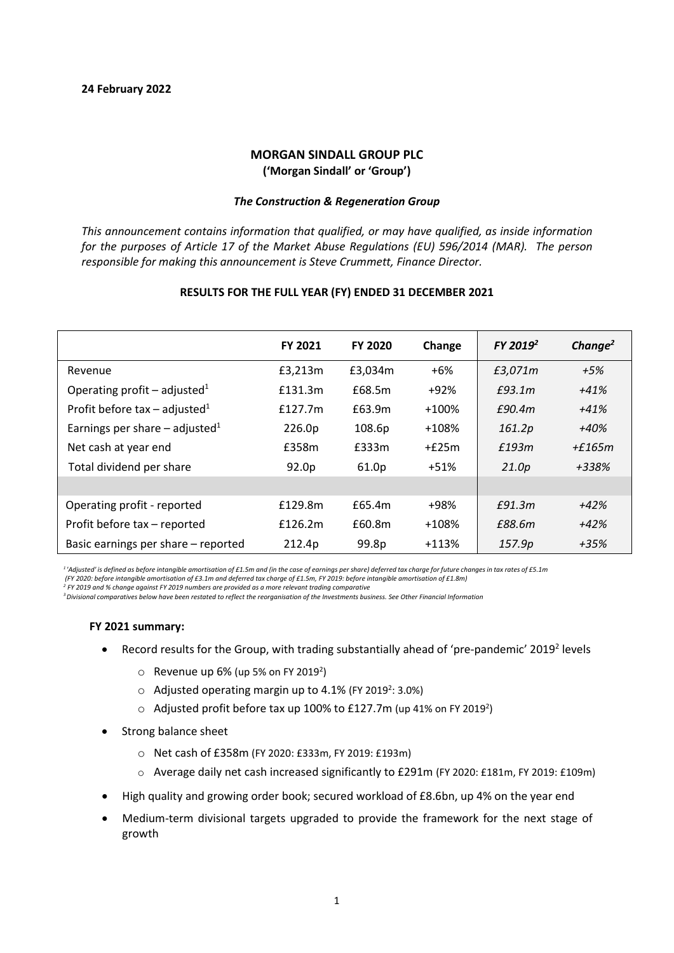# **MORGAN SINDALL GROUP PLC ('Morgan Sindall' or 'Group')**

# *The Construction & Regeneration Group*

*This announcement contains information that qualified, or may have qualified, as inside information for the purposes of Article 17 of the Market Abuse Regulations (EU) 596/2014 (MAR). The person responsible for making this announcement is Steve Crummett, Finance Director.*

|                                              | <b>FY 2021</b> | <b>FY 2020</b> | Change  | FY 2019 <sup>2</sup> | Change <sup>2</sup> |
|----------------------------------------------|----------------|----------------|---------|----------------------|---------------------|
| Revenue                                      | £3,213m        | £3,034m        | $+6%$   | £3,071m              | $+5%$               |
| Operating profit – adjusted <sup>1</sup>     | £131.3m        | £68.5m         | +92%    | E93.1m               | $+41%$              |
| Profit before tax – adjusted <sup>1</sup>    | f127.7m        | £63.9m         | $+100%$ | £90.4m               | $+41%$              |
| Earnings per share $-$ adjusted <sup>1</sup> | 226.0p         | 108.6p         | $+108%$ | 161.2p               | +40%                |
| Net cash at year end                         | £358m          | £333m          | $+f25m$ | £193m                | $+$ f165m           |
| Total dividend per share                     | 92.0p          | 61.0p          | $+51%$  | 21.0p                | +338%               |
|                                              |                |                |         |                      |                     |
| Operating profit - reported                  | £129.8m        | £65.4m         | +98%    | £91.3m               | $+42%$              |
| Profit before tax - reported                 | £126.2m        | £60.8m         | $+108%$ | £88.6m               | $+42%$              |
| Basic earnings per share – reported          | 212.4p         | 99.8p          | $+113%$ | 157.9p               | $+35%$              |

# **RESULTS FOR THE FULL YEAR (FY) ENDED 31 DECEMBER 2021**

*<sup>1</sup> 'Adjusted' is defined as before intangible amortisation of £1.5m and (in the case of earnings per share) deferred tax charge for future changes in tax rates of £5.1m*

2<br>FY 2019 and % change against FY 2019 numbers are provided as a more relevant trading comparative

*3Divisional comparatives below have been restated to reflect the reorganisation of the Investments business. See Other Financial Information*

### **FY 2021 summary:**

- Record results for the Group, with trading substantially ahead of 'pre-pandemic' 2019<sup>2</sup> levels
	- $\circ$  Revenue up 6% (up 5% on FY 2019<sup>2</sup>)
	- $\circ$  Adjusted operating margin up to 4.1% (FY 2019<sup>2</sup>: 3.0%)
	- $\circ$  Adjusted profit before tax up 100% to £127.7m (up 41% on FY 2019<sup>2</sup>)
- Strong balance sheet
	- o Net cash of £358m (FY 2020: £333m, FY 2019: £193m)
	- o Average daily net cash increased significantly to £291m (FY 2020: £181m, FY 2019: £109m)
- High quality and growing order book; secured workload of £8.6bn, up 4% on the year end
- Medium-term divisional targets upgraded to provide the framework for the next stage of growth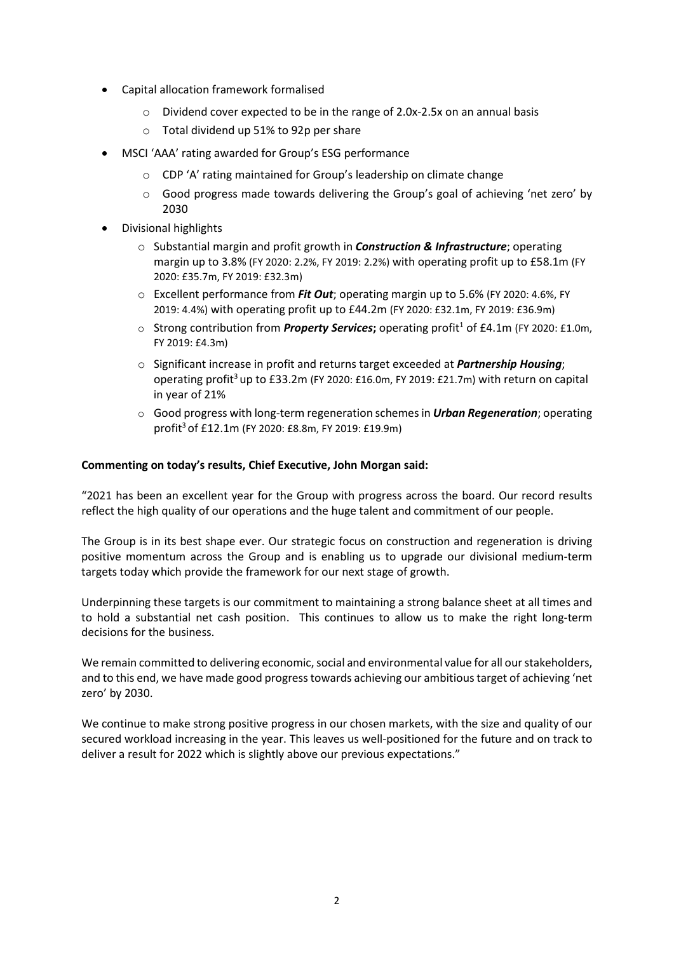- Capital allocation framework formalised
	- o Dividend cover expected to be in the range of 2.0x-2.5x on an annual basis
	- o Total dividend up 51% to 92p per share
- MSCI 'AAA' rating awarded for Group's ESG performance
	- o CDP 'A' rating maintained for Group's leadership on climate change
	- $\circ$  Good progress made towards delivering the Group's goal of achieving 'net zero' by 2030
- Divisional highlights
	- o Substantial margin and profit growth in *Construction & Infrastructure*; operating margin up to 3.8% (FY 2020: 2.2%, FY 2019: 2.2%) with operating profit up to £58.1m (FY 2020: £35.7m, FY 2019: £32.3m)
	- o Excellent performance from *Fit Out*; operating margin up to 5.6% (FY 2020: 4.6%, FY 2019: 4.4%) with operating profit up to £44.2m (FY 2020: £32.1m, FY 2019: £36.9m)
	- o Strong contribution from *Property Services*; operating profit<sup>1</sup> of £4.1m (FY 2020: £1.0m, FY 2019: £4.3m)
	- o Significant increase in profit and returns target exceeded at *Partnership Housing*; operating profit<sup>3</sup> up to £33.2m (FY 2020: £16.0m, FY 2019: £21.7m) with return on capital in year of 21%
	- o Good progress with long-term regeneration schemesin *Urban Regeneration*; operating profit3 of £12.1m (FY 2020: £8.8m, FY 2019: £19.9m)

# **Commenting on today's results, Chief Executive, John Morgan said:**

"2021 has been an excellent year for the Group with progress across the board. Our record results reflect the high quality of our operations and the huge talent and commitment of our people.

The Group is in its best shape ever. Our strategic focus on construction and regeneration is driving positive momentum across the Group and is enabling us to upgrade our divisional medium-term targets today which provide the framework for our next stage of growth.

Underpinning these targets is our commitment to maintaining a strong balance sheet at all times and to hold a substantial net cash position. This continues to allow us to make the right long-term decisions for the business.

We remain committed to delivering economic, social and environmental value for all our stakeholders, and to this end, we have made good progresstowards achieving our ambitious target of achieving 'net zero' by 2030.

We continue to make strong positive progress in our chosen markets, with the size and quality of our secured workload increasing in the year. This leaves us well-positioned for the future and on track to deliver a result for 2022 which is slightly above our previous expectations."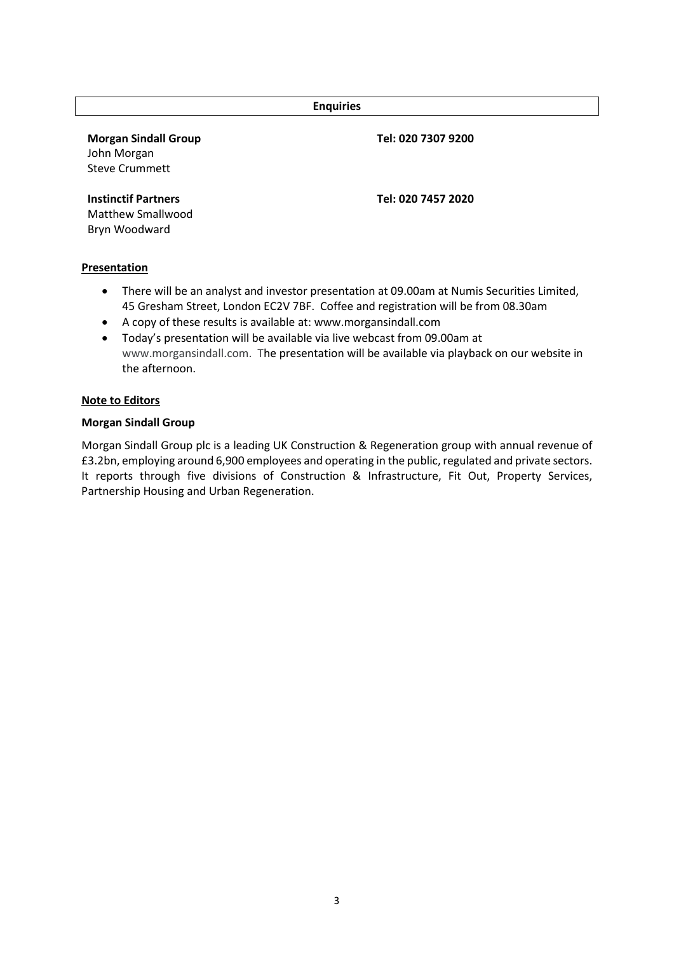| <b>Enquiries</b>                                                    |                    |  |  |  |
|---------------------------------------------------------------------|--------------------|--|--|--|
| <b>Morgan Sindall Group</b><br>John Morgan<br><b>Steve Crummett</b> | Tel: 020 7307 9200 |  |  |  |
| <b>Instinctif Partners</b><br>Matthew Smallwood<br>Bryn Woodward    | Tel: 020 7457 2020 |  |  |  |

# **Presentation**

- There will be an analyst and investor presentation at 09.00am at Numis Securities Limited, 45 Gresham Street, London EC2V 7BF. Coffee and registration will be from 08.30am
- A copy of these results is available at[: www.morgansindall.com](http://www.morgansindall.com/)
- Today's presentation will be available via live webcast from 09.00am at www.morgansindall.com. The presentation will be available via playback on our website in the afternoon.

# **Note to Editors**

# **Morgan Sindall Group**

Morgan Sindall Group plc is a leading UK Construction & Regeneration group with annual revenue of £3.2bn, employing around 6,900 employees and operating in the public, regulated and private sectors. It reports through five divisions of Construction & Infrastructure, Fit Out, Property Services, Partnership Housing and Urban Regeneration.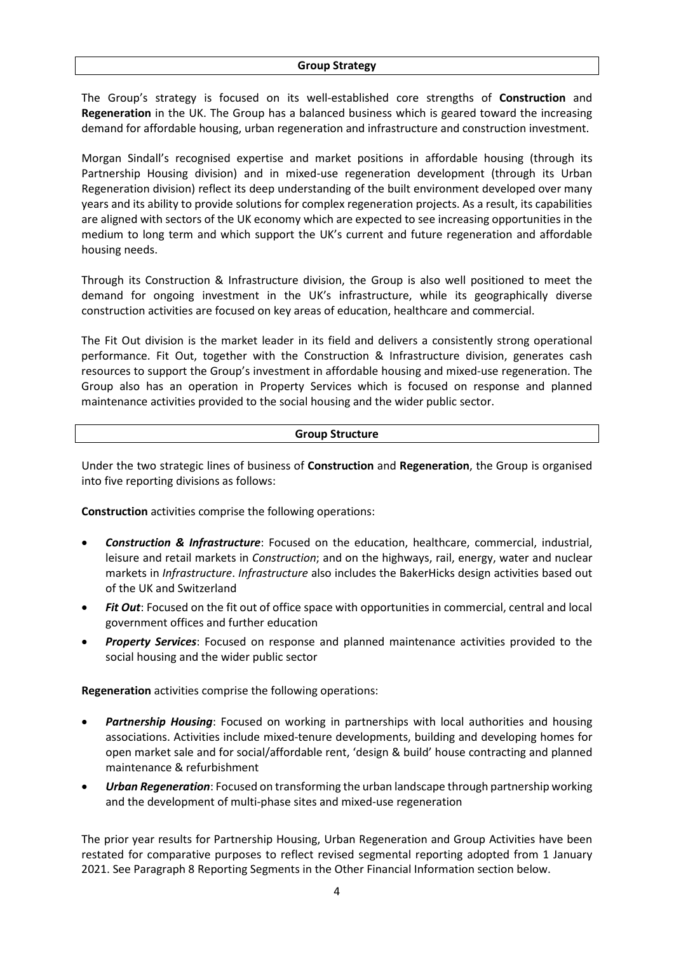The Group's strategy is focused on its well-established core strengths of **Construction** and **Regeneration** in the UK. The Group has a balanced business which is geared toward the increasing demand for affordable housing, urban regeneration and infrastructure and construction investment.

Morgan Sindall's recognised expertise and market positions in affordable housing (through its Partnership Housing division) and in mixed-use regeneration development (through its Urban Regeneration division) reflect its deep understanding of the built environment developed over many years and its ability to provide solutions for complex regeneration projects. As a result, its capabilities are aligned with sectors of the UK economy which are expected to see increasing opportunities in the medium to long term and which support the UK's current and future regeneration and affordable housing needs.

Through its Construction & Infrastructure division, the Group is also well positioned to meet the demand for ongoing investment in the UK's infrastructure, while its geographically diverse construction activities are focused on key areas of education, healthcare and commercial.

The Fit Out division is the market leader in its field and delivers a consistently strong operational performance. Fit Out, together with the Construction & Infrastructure division, generates cash resources to support the Group's investment in affordable housing and mixed-use regeneration. The Group also has an operation in Property Services which is focused on response and planned maintenance activities provided to the social housing and the wider public sector.

# **Group Structure**

Under the two strategic lines of business of **Construction** and **Regeneration**, the Group is organised into five reporting divisions as follows:

**Construction** activities comprise the following operations:

- *Construction & Infrastructure*: Focused on the education, healthcare, commercial, industrial, leisure and retail markets in *Construction*; and on the highways, rail, energy, water and nuclear markets in *Infrastructure*. *Infrastructure* also includes the BakerHicks design activities based out of the UK and Switzerland
- *Fit Out*: Focused on the fit out of office space with opportunities in commercial, central and local government offices and further education
- *Property Services*: Focused on response and planned maintenance activities provided to the social housing and the wider public sector

**Regeneration** activities comprise the following operations:

- *Partnership Housing*: Focused on working in partnerships with local authorities and housing associations. Activities include mixed-tenure developments, building and developing homes for open market sale and for social/affordable rent, 'design & build' house contracting and planned maintenance & refurbishment
- *Urban Regeneration*: Focused on transforming the urban landscape through partnership working and the development of multi-phase sites and mixed-use regeneration

The prior year results for Partnership Housing, Urban Regeneration and Group Activities have been restated for comparative purposes to reflect revised segmental reporting adopted from 1 January 2021. See Paragraph 8 Reporting Segments in the Other Financial Information section below.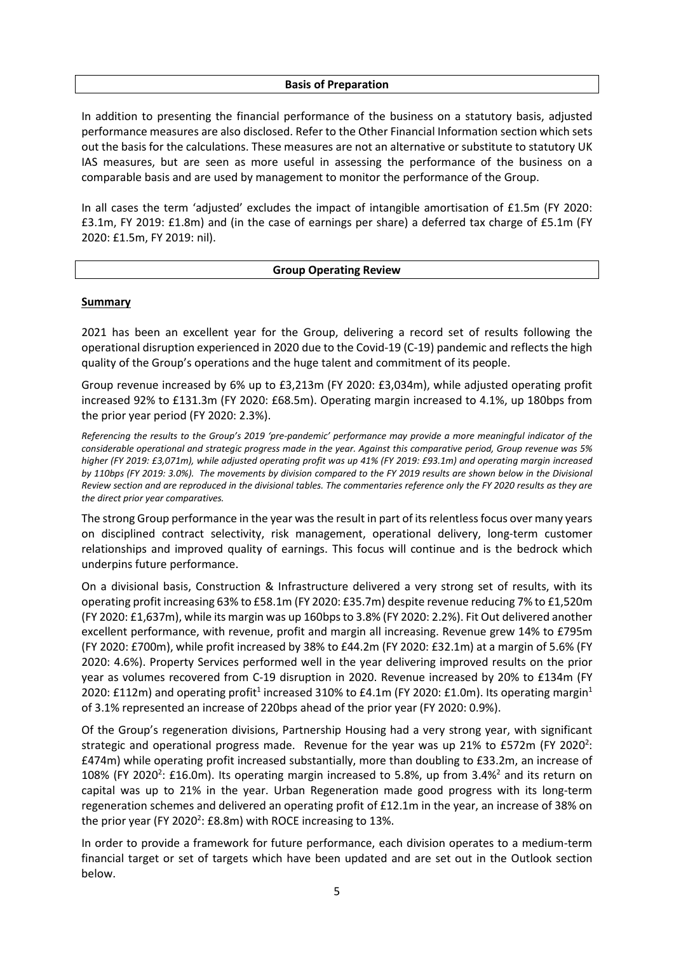### **Basis of Preparation**

In addition to presenting the financial performance of the business on a statutory basis, adjusted performance measures are also disclosed. Refer to the Other Financial Information section which sets out the basis for the calculations. These measures are not an alternative or substitute to statutory UK IAS measures, but are seen as more useful in assessing the performance of the business on a comparable basis and are used by management to monitor the performance of the Group.

In all cases the term 'adjusted' excludes the impact of intangible amortisation of £1.5m (FY 2020: £3.1m, FY 2019: £1.8m) and (in the case of earnings per share) a deferred tax charge of £5.1m (FY 2020: £1.5m, FY 2019: nil).

### **Group Operating Review**

### **Summary**

2021 has been an excellent year for the Group, delivering a record set of results following the operational disruption experienced in 2020 due to the Covid-19 (C-19) pandemic and reflects the high quality of the Group's operations and the huge talent and commitment of its people.

Group revenue increased by 6% up to £3,213m (FY 2020: £3,034m), while adjusted operating profit increased 92% to £131.3m (FY 2020: £68.5m). Operating margin increased to 4.1%, up 180bps from the prior year period (FY 2020: 2.3%).

*Referencing the results to the Group's 2019 'pre-pandemic' performance may provide a more meaningful indicator of the considerable operational and strategic progress made in the year. Against this comparative period, Group revenue was 5% higher (FY 2019: £3,071m), while adjusted operating profit was up 41% (FY 2019: £93.1m) and operating margin increased by 110bps (FY 2019: 3.0%). The movements by division compared to the FY 2019 results are shown below in the Divisional Review section and are reproduced in the divisional tables. The commentaries reference only the FY 2020 results as they are the direct prior year comparatives.*

The strong Group performance in the year was the result in part of its relentless focus over many years on disciplined contract selectivity, risk management, operational delivery, long-term customer relationships and improved quality of earnings. This focus will continue and is the bedrock which underpins future performance.

On a divisional basis, Construction & Infrastructure delivered a very strong set of results, with its operating profit increasing 63% to £58.1m (FY 2020: £35.7m) despite revenue reducing 7% to £1,520m (FY 2020: £1,637m), while its margin was up 160bps to 3.8% (FY 2020: 2.2%). Fit Out delivered another excellent performance, with revenue, profit and margin all increasing. Revenue grew 14% to £795m (FY 2020: £700m), while profit increased by 38% to £44.2m (FY 2020: £32.1m) at a margin of 5.6% (FY 2020: 4.6%). Property Services performed well in the year delivering improved results on the prior year as volumes recovered from C-19 disruption in 2020. Revenue increased by 20% to £134m (FY 2020: £112m) and operating profit<sup>1</sup> increased 310% to £4.1m (FY 2020: £1.0m). Its operating margin<sup>1</sup> of 3.1% represented an increase of 220bps ahead of the prior year (FY 2020: 0.9%).

Of the Group's regeneration divisions, Partnership Housing had a very strong year, with significant strategic and operational progress made. Revenue for the year was up 21% to £572m (FY 2020<sup>2</sup>: £474m) while operating profit increased substantially, more than doubling to £33.2m, an increase of 108% (FY 2020<sup>2</sup>: £16.0m). Its operating margin increased to 5.8%, up from 3.4%<sup>2</sup> and its return on capital was up to 21% in the year. Urban Regeneration made good progress with its long-term regeneration schemes and delivered an operating profit of £12.1m in the year, an increase of 38% on the prior year (FY 2020<sup>2</sup>:  $E8.8m$ ) with ROCE increasing to 13%.

In order to provide a framework for future performance, each division operates to a medium-term financial target or set of targets which have been updated and are set out in the Outlook section below.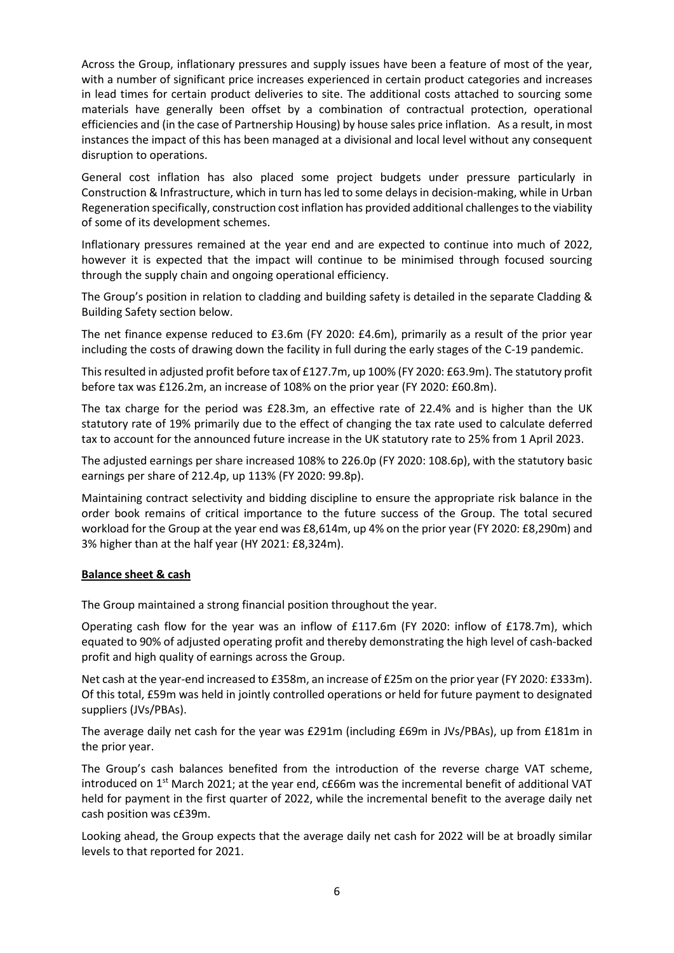Across the Group, inflationary pressures and supply issues have been a feature of most of the year, with a number of significant price increases experienced in certain product categories and increases in lead times for certain product deliveries to site. The additional costs attached to sourcing some materials have generally been offset by a combination of contractual protection, operational efficiencies and (in the case of Partnership Housing) by house sales price inflation. As a result, in most instances the impact of this has been managed at a divisional and local level without any consequent disruption to operations.

General cost inflation has also placed some project budgets under pressure particularly in Construction & Infrastructure, which in turn has led to some delays in decision-making, while in Urban Regeneration specifically, construction cost inflation has provided additional challenges to the viability of some of its development schemes.

Inflationary pressures remained at the year end and are expected to continue into much of 2022, however it is expected that the impact will continue to be minimised through focused sourcing through the supply chain and ongoing operational efficiency.

The Group's position in relation to cladding and building safety is detailed in the separate Cladding & Building Safety section below.

The net finance expense reduced to £3.6m (FY 2020: £4.6m), primarily as a result of the prior year including the costs of drawing down the facility in full during the early stages of the C-19 pandemic.

This resulted in adjusted profit before tax of £127.7m, up 100% (FY 2020: £63.9m). The statutory profit before tax was £126.2m, an increase of 108% on the prior year (FY 2020: £60.8m).

The tax charge for the period was £28.3m, an effective rate of 22.4% and is higher than the UK statutory rate of 19% primarily due to the effect of changing the tax rate used to calculate deferred tax to account for the announced future increase in the UK statutory rate to 25% from 1 April 2023.

The adjusted earnings per share increased 108% to 226.0p (FY 2020: 108.6p), with the statutory basic earnings per share of 212.4p, up 113% (FY 2020: 99.8p).

Maintaining contract selectivity and bidding discipline to ensure the appropriate risk balance in the order book remains of critical importance to the future success of the Group. The total secured workload for the Group at the year end was £8,614m, up 4% on the prior year (FY 2020: £8,290m) and 3% higher than at the half year (HY 2021: £8,324m).

# **Balance sheet & cash**

The Group maintained a strong financial position throughout the year.

Operating cash flow for the year was an inflow of £117.6m (FY 2020: inflow of £178.7m), which equated to 90% of adjusted operating profit and thereby demonstrating the high level of cash-backed profit and high quality of earnings across the Group.

Net cash at the year-end increased to £358m, an increase of £25m on the prior year (FY 2020: £333m). Of this total, £59m was held in jointly controlled operations or held for future payment to designated suppliers (JVs/PBAs).

The average daily net cash for the year was £291m (including £69m in JVs/PBAs), up from £181m in the prior year.

The Group's cash balances benefited from the introduction of the reverse charge VAT scheme, introduced on  $1<sup>st</sup>$  March 2021; at the year end, c£66m was the incremental benefit of additional VAT held for payment in the first quarter of 2022, while the incremental benefit to the average daily net cash position was c£39m.

Looking ahead, the Group expects that the average daily net cash for 2022 will be at broadly similar levels to that reported for 2021.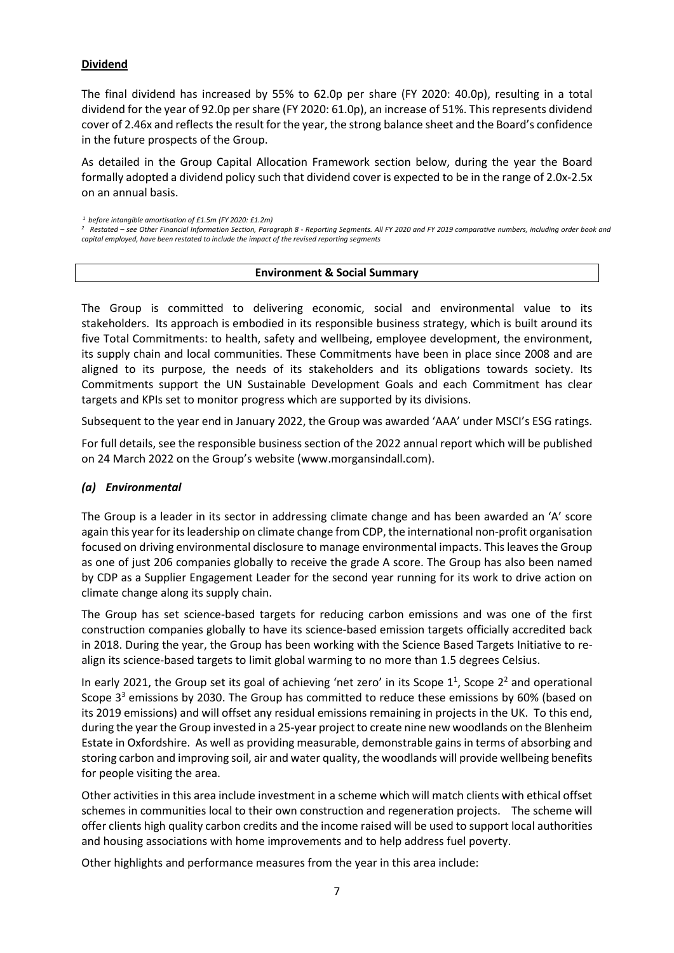# **Dividend**

The final dividend has increased by 55% to 62.0p per share (FY 2020: 40.0p), resulting in a total dividend for the year of 92.0p per share (FY 2020: 61.0p), an increase of 51%. This represents dividend cover of 2.46x and reflects the result for the year, the strong balance sheet and the Board's confidence in the future prospects of the Group.

As detailed in the Group Capital Allocation Framework section below, during the year the Board formally adopted a dividend policy such that dividend cover is expected to be in the range of 2.0x-2.5x on an annual basis.

*<sup>1</sup> before intangible amortisation of £1.5m (FY 2020: £1.2m)* 

*2 Restated – see Other Financial Information Section, Paragraph 8 - Reporting Segments. All FY 2020 and FY 2019 comparative numbers, including order book and capital employed, have been restated to include the impact of the revised reporting segments*

# **Environment & Social Summary**

The Group is committed to delivering economic, social and environmental value to its stakeholders. Its approach is embodied in its responsible business strategy, which is built around its five Total Commitments: to health, safety and wellbeing, employee development, the environment, its supply chain and local communities. These Commitments have been in place since 2008 and are aligned to its purpose, the needs of its stakeholders and its obligations towards society. Its Commitments support the UN Sustainable Development Goals and each Commitment has clear targets and KPIs set to monitor progress which are supported by its divisions.

Subsequent to the year end in January 2022, the Group was awarded 'AAA' under MSCI's ESG ratings.

For full details, see the responsible business section of the 2022 annual report which will be published on 24 March 2022 on the Group's website (www.morgansindall.com).

# *(a) Environmental*

The Group is a leader in its sector in addressing climate change and has been awarded an 'A' score again this year for its leadership on climate change from CDP, the international non-profit organisation focused on driving environmental disclosure to manage environmental impacts. This leaves the Group as one of just 206 companies globally to receive the grade A score. The Group has also been named by CDP as a Supplier Engagement Leader for the second year running for its work to drive action on climate change along its supply chain.

The Group has set science-based targets for reducing carbon emissions and was one of the first construction companies globally to have its science-based emission targets officially accredited back in 2018. During the year, the Group has been working with the Science Based Targets Initiative to realign its science-based targets to limit global warming to no more than 1.5 degrees Celsius.

In early 2021, the Group set its goal of achieving 'net zero' in its Scope  $1^1$ , Scope  $2^2$  and operational Scope 3<sup>3</sup> emissions by 2030. The Group has committed to reduce these emissions by 60% (based on its 2019 emissions) and will offset any residual emissions remaining in projects in the UK. To this end, during the year the Group invested in a 25-year project to create nine new woodlands on the Blenheim Estate in Oxfordshire. As well as providing measurable, demonstrable gains in terms of absorbing and storing carbon and improving soil, air and water quality, the woodlands will provide wellbeing benefits for people visiting the area.

Other activities in this area include investment in a scheme which will match clients with ethical offset schemes in communities local to their own construction and regeneration projects. The scheme will offer clients high quality carbon credits and the income raised will be used to support local authorities and housing associations with home improvements and to help address fuel poverty.

Other highlights and performance measures from the year in this area include: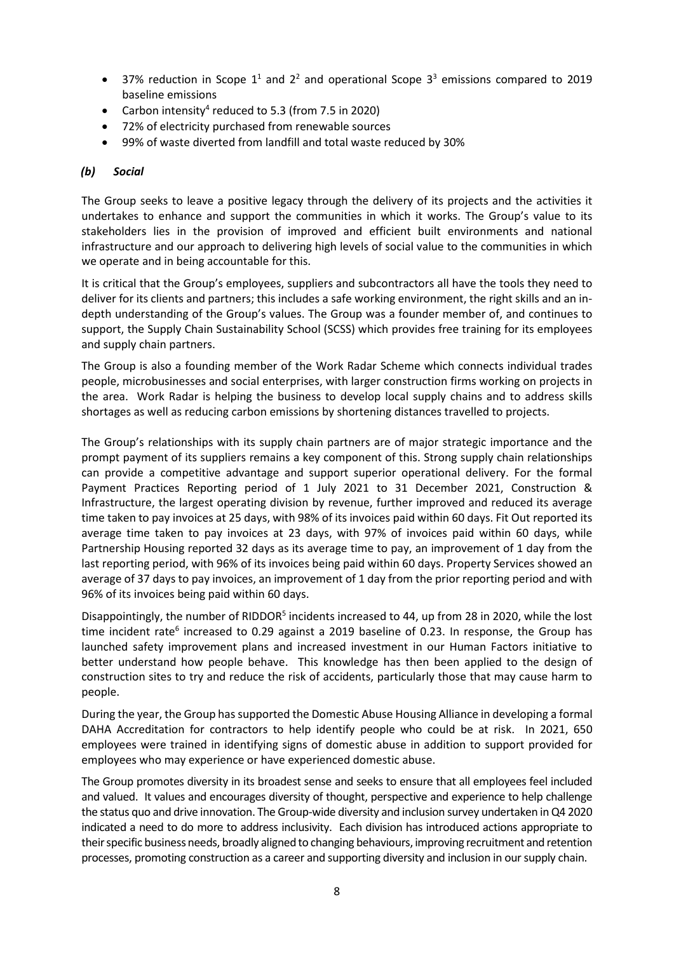- 37% reduction in Scope  $1^1$  and  $2^2$  and operational Scope  $3^3$  emissions compared to 2019 baseline emissions
- Carbon intensity<sup>4</sup> reduced to 5.3 (from 7.5 in 2020)
- 72% of electricity purchased from renewable sources
- 99% of waste diverted from landfill and total waste reduced by 30%

# *(b) Social*

The Group seeks to leave a positive legacy through the delivery of its projects and the activities it undertakes to enhance and support the communities in which it works. The Group's value to its stakeholders lies in the provision of improved and efficient built environments and national infrastructure and our approach to delivering high levels of social value to the communities in which we operate and in being accountable for this.

It is critical that the Group's employees, suppliers and subcontractors all have the tools they need to deliver for its clients and partners; this includes a safe working environment, the right skills and an indepth understanding of the Group's values. The Group was a founder member of, and continues to support, the Supply Chain Sustainability School (SCSS) which provides free training for its employees and supply chain partners.

The Group is also a founding member of the Work Radar Scheme which connects individual trades people, microbusinesses and social enterprises, with larger construction firms working on projects in the area. Work Radar is helping the business to develop local supply chains and to address skills shortages as well as reducing carbon emissions by shortening distances travelled to projects.

The Group's relationships with its supply chain partners are of major strategic importance and the prompt payment of its suppliers remains a key component of this. Strong supply chain relationships can provide a competitive advantage and support superior operational delivery. For the formal Payment Practices Reporting period of 1 July 2021 to 31 December 2021, Construction & Infrastructure, the largest operating division by revenue, further improved and reduced its average time taken to pay invoices at 25 days, with 98% of its invoices paid within 60 days. Fit Out reported its average time taken to pay invoices at 23 days, with 97% of invoices paid within 60 days, while Partnership Housing reported 32 days as its average time to pay, an improvement of 1 day from the last reporting period, with 96% of its invoices being paid within 60 days. Property Services showed an average of 37 days to pay invoices, an improvement of 1 day from the prior reporting period and with 96% of its invoices being paid within 60 days.

Disappointingly, the number of RIDDOR<sup>5</sup> incidents increased to 44, up from 28 in 2020, while the lost time incident rate<sup>6</sup> increased to 0.29 against a 2019 baseline of 0.23. In response, the Group has launched safety improvement plans and increased investment in our Human Factors initiative to better understand how people behave. This knowledge has then been applied to the design of construction sites to try and reduce the risk of accidents, particularly those that may cause harm to people.

During the year, the Group has supported the Domestic Abuse Housing Alliance in developing a formal DAHA Accreditation for contractors to help identify people who could be at risk. In 2021, 650 employees were trained in identifying signs of domestic abuse in addition to support provided for employees who may experience or have experienced domestic abuse.

The Group promotes diversity in its broadest sense and seeks to ensure that all employees feel included and valued. It values and encourages diversity of thought, perspective and experience to help challenge the status quo and drive innovation. The Group-wide diversity and inclusion survey undertaken in Q4 2020 indicated a need to do more to address inclusivity. Each division has introduced actions appropriate to their specific business needs, broadly aligned to changing behaviours, improving recruitment and retention processes, promoting construction as a career and supporting diversity and inclusion in our supply chain.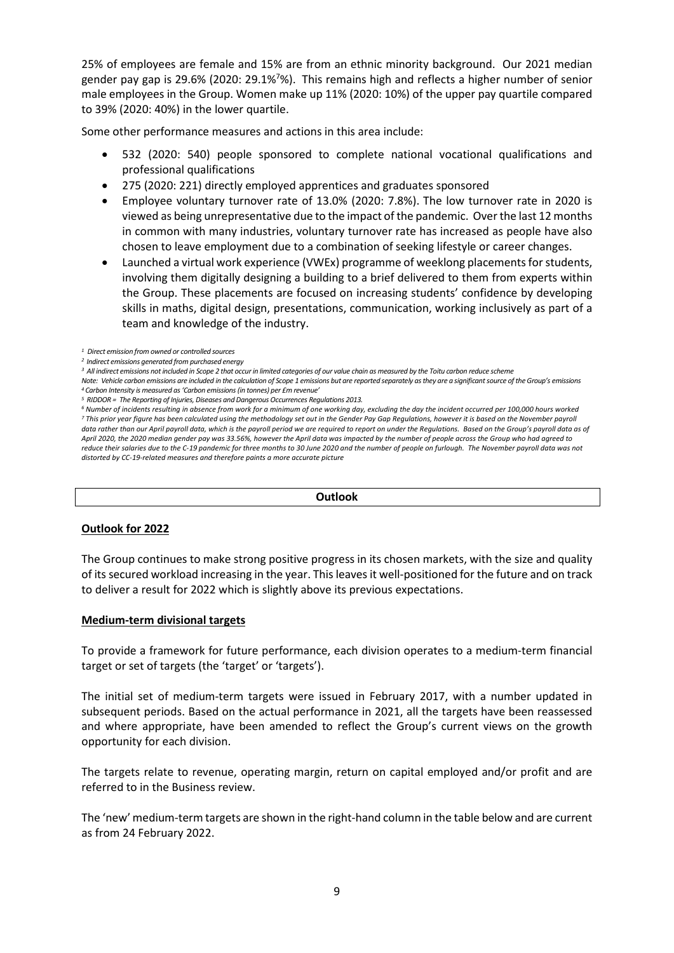25% of employees are female and 15% are from an ethnic minority background. Our 2021 median gender pay gap is 29.6% (2020: 29.1%<sup>7</sup>%). This remains high and reflects a higher number of senior male employees in the Group. Women make up 11% (2020: 10%) of the upper pay quartile compared to 39% (2020: 40%) in the lower quartile.

Some other performance measures and actions in this area include:

- 532 (2020: 540) people sponsored to complete national vocational qualifications and professional qualifications
- 275 (2020: 221) directly employed apprentices and graduates sponsored
- Employee voluntary turnover rate of 13.0% (2020: 7.8%). The low turnover rate in 2020 is viewed as being unrepresentative due to the impact of the pandemic. Over the last 12 months in common with many industries, voluntary turnover rate has increased as people have also chosen to leave employment due to a combination of seeking lifestyle or career changes.
- Launched a virtual work experience (VWEx) programme of weeklong placements for students, involving them digitally designing a building to a brief delivered to them from experts within the Group. These placements are focused on increasing students' confidence by developing skills in maths, digital design, presentations, communication, working inclusively as part of a team and knowledge of the industry.

### **Outlook**

# **Outlook for 2022**

The Group continues to make strong positive progress in its chosen markets, with the size and quality of its secured workload increasing in the year. This leaves it well-positioned for the future and on track to deliver a result for 2022 which is slightly above its previous expectations.

# **Medium-term divisional targets**

To provide a framework for future performance, each division operates to a medium-term financial target or set of targets (the 'target' or 'targets').

The initial set of medium-term targets were issued in February 2017, with a number updated in subsequent periods. Based on the actual performance in 2021, all the targets have been reassessed and where appropriate, have been amended to reflect the Group's current views on the growth opportunity for each division.

The targets relate to revenue, operating margin, return on capital employed and/or profit and are referred to in the Business review.

The 'new' medium-term targets are shown in the right-hand column in the table below and are current as from 24 February 2022.

*<sup>1</sup> Direct emission from owned or controlled sources*

*<sup>2</sup> Indirect emissions generated from purchased energy*

*<sup>3</sup> All indirect emissions not included in Scope 2 that occur in limited categories of our value chain as measured by the Toitu carbon reduce scheme* 

*Note: Vehicle carbon emissions are included in the calculation of Scope 1 emissions but are reported separately as they are a significant source of the Group's emissions <sup>4</sup> Carbon Intensity is measured as 'Carbon emissions (in tonnes) per £m revenue'*

*<sup>5</sup> RIDDOR = The Reporting of Injuries, Diseases and Dangerous Occurrences Regulations 2013.*

*<sup>6</sup> Number of incidents resulting in absence from work for a minimum of one working day, excluding the day the incident occurred per 100,000 hours worked <sup>7</sup> This prior year figure has been calculated using the methodology set out in the Gender Pay Gap Regulations, however it is based on the November payroll data rather than our April payroll data, which is the payroll period we are required to report on under the Regulations. Based on the Group's payroll data as of April 2020, the 2020 median gender pay was 33.56%, however the April data was impacted by the number of people across the Group who had agreed to reduce their salaries due to the C-19 pandemic for three months to 30 June 2020 and the number of people on furlough. The November payroll data was not distorted by CC-19-related measures and therefore paints a more accurate picture*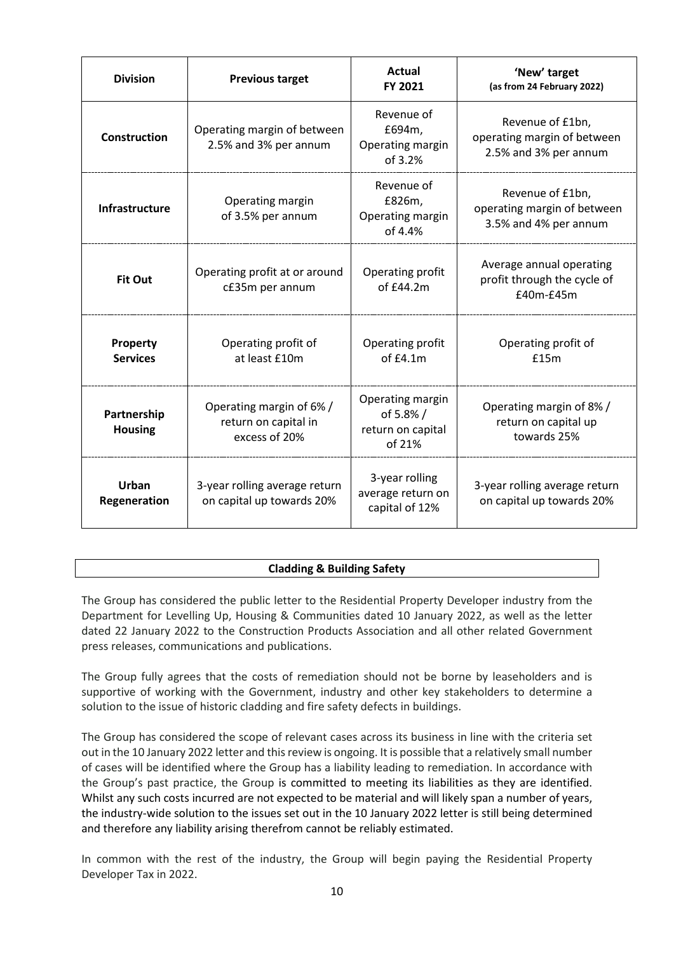| <b>Division</b>               | <b>Previous target</b>                                            | Actual<br>FY 2021                                           | 'New' target<br>(as from 24 February 2022)                               |
|-------------------------------|-------------------------------------------------------------------|-------------------------------------------------------------|--------------------------------------------------------------------------|
| <b>Construction</b>           | Operating margin of between<br>2.5% and 3% per annum              | Revenue of<br>£694m,<br>Operating margin<br>of 3.2%         | Revenue of £1bn,<br>operating margin of between<br>2.5% and 3% per annum |
| Infrastructure                | Operating margin<br>of 3.5% per annum                             | Revenue of<br>£826m,<br>Operating margin<br>of 4.4%         | Revenue of £1bn,<br>operating margin of between<br>3.5% and 4% per annum |
| <b>Fit Out</b>                | Operating profit at or around<br>c£35m per annum                  | Operating profit<br>of £44.2m                               | Average annual operating<br>profit through the cycle of<br>£40m-£45m     |
| Property<br><b>Services</b>   | Operating profit of<br>at least £10m                              | Operating profit<br>of f4.1m                                | Operating profit of<br>£15m                                              |
| Partnership<br><b>Housing</b> | Operating margin of 6% /<br>return on capital in<br>excess of 20% | Operating margin<br>of 5.8%/<br>return on capital<br>of 21% | Operating margin of 8% /<br>return on capital up<br>towards 25%          |
| <b>Urban</b><br>Regeneration  | 3-year rolling average return<br>on capital up towards 20%        | 3-year rolling<br>average return on<br>capital of 12%       | 3-year rolling average return<br>on capital up towards 20%               |

# **Cladding & Building Safety**

The Group has considered the public letter to the Residential Property Developer industry from the Department for Levelling Up, Housing & Communities dated 10 January 2022, as well as the letter dated 22 January 2022 to the Construction Products Association and all other related Government press releases, communications and publications.

The Group fully agrees that the costs of remediation should not be borne by leaseholders and is supportive of working with the Government, industry and other key stakeholders to determine a solution to the issue of historic cladding and fire safety defects in buildings.

The Group has considered the scope of relevant cases across its business in line with the criteria set out in the 10 January 2022 letter and this review is ongoing. It is possible that a relatively small number of cases will be identified where the Group has a liability leading to remediation. In accordance with the Group's past practice, the Group is committed to meeting its liabilities as they are identified. Whilst any such costs incurred are not expected to be material and will likely span a number of years, the industry-wide solution to the issues set out in the 10 January 2022 letter is still being determined and therefore any liability arising therefrom cannot be reliably estimated.

In common with the rest of the industry, the Group will begin paying the Residential Property Developer Tax in 2022.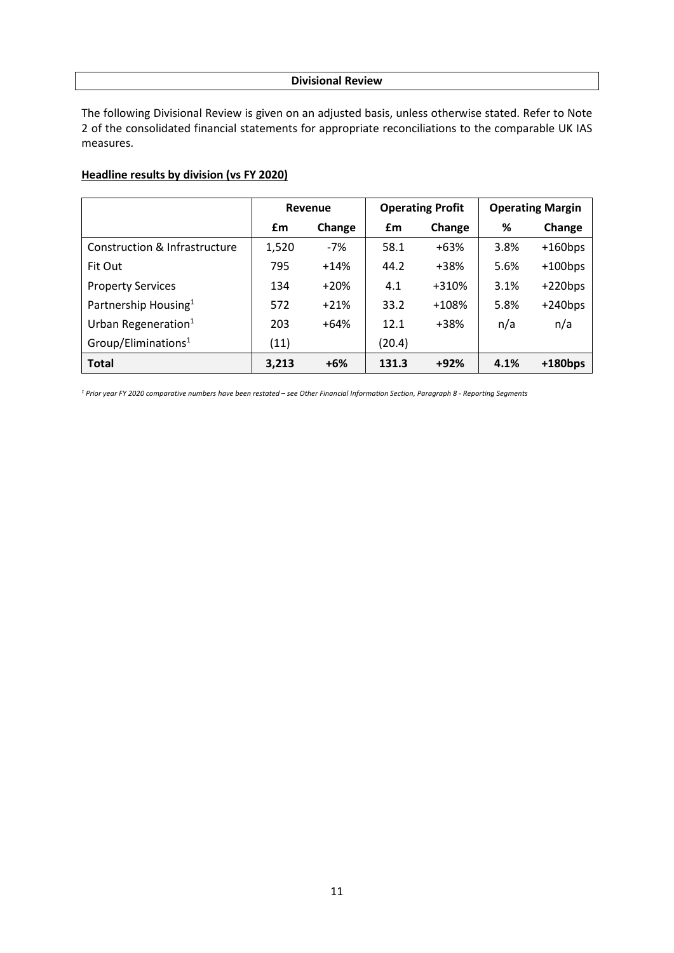# **Divisional Review**

The following Divisional Review is given on an adjusted basis, unless otherwise stated. Refer to Note 2 of the consolidated financial statements for appropriate reconciliations to the comparable UK IAS measures.

# **Headline results by division (vs FY 2020)**

|                                  | Revenue |        | <b>Operating Profit</b> |        | <b>Operating Margin</b> |            |
|----------------------------------|---------|--------|-------------------------|--------|-------------------------|------------|
|                                  | £m      | Change | £m                      | Change | %                       | Change     |
| Construction & Infrastructure    | 1,520   | $-7%$  | 58.1                    | $+63%$ | 3.8%                    | $+160bps$  |
| Fit Out                          | 795     | $+14%$ | 44.2                    | +38%   | 5.6%                    | $+100$ bps |
| <b>Property Services</b>         | 134     | $+20%$ | 4.1                     | +310%  | 3.1%                    | $+220bps$  |
| Partnership Housing <sup>1</sup> | 572     | $+21%$ | 33.2                    | +108%  | 5.8%                    | $+240bps$  |
| Urban Regeneration $1$           | 203     | $+64%$ | 12.1                    | +38%   | n/a                     | n/a        |
| Group/Eliminations <sup>1</sup>  | (11)    |        | (20.4)                  |        |                         |            |
| <b>Total</b>                     | 3,213   | $+6%$  | 131.3                   | $+92%$ | 4.1%                    | $+180$ bps |

*<sup>1</sup> Prior year FY 2020 comparative numbers have been restated – see Other Financial Information Section, Paragraph 8 - Reporting Segments*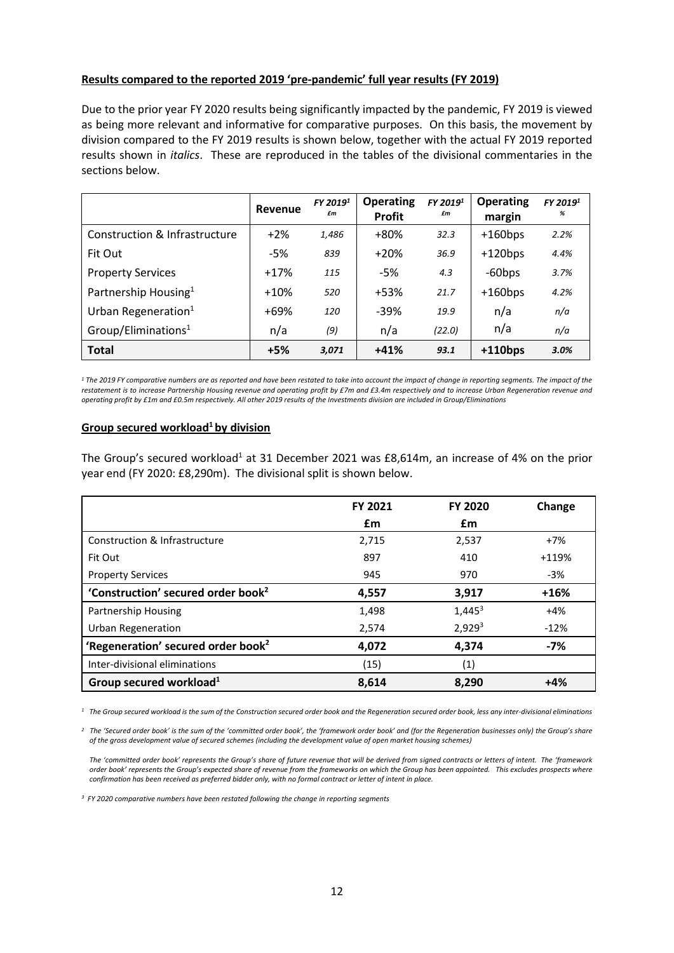# **Results compared to the reported 2019 'pre-pandemic' full year results (FY 2019)**

Due to the prior year FY 2020 results being significantly impacted by the pandemic, FY 2019 is viewed as being more relevant and informative for comparative purposes. On this basis, the movement by division compared to the FY 2019 results is shown below, together with the actual FY 2019 reported results shown in *italics*. These are reproduced in the tables of the divisional commentaries in the sections below.

|                                  | Revenue | FY 2019 <sup>1</sup><br>£m | <b>Operating</b><br><b>Profit</b> | FY 2019 <sup>1</sup><br>£m | <b>Operating</b><br>margin | FY 2019 <sup>1</sup><br>% |
|----------------------------------|---------|----------------------------|-----------------------------------|----------------------------|----------------------------|---------------------------|
| Construction & Infrastructure    | $+2\%$  | 1,486                      | +80%                              | 32.3                       | $+160bps$                  | 2.2%                      |
| Fit Out                          | $-5%$   | 839                        | $+20%$                            | 36.9                       | $+120bps$                  | 4.4%                      |
| <b>Property Services</b>         | $+17%$  | 115                        | $-5%$                             | 4.3                        | $-60$ bps                  | 3.7%                      |
| Partnership Housing <sup>1</sup> | $+10%$  | 520                        | $+53%$                            | 21.7                       | $+160bps$                  | 4.2%                      |
| Urban Regeneration <sup>1</sup>  | $+69%$  | 120                        | $-39%$                            | 19.9                       | n/a                        | n/a                       |
| Group/Eliminations <sup>1</sup>  | n/a     | (9)                        | n/a                               | (22.0)                     | n/a                        | n/a                       |
| <b>Total</b>                     | $+5%$   | 3,071                      | $+41%$                            | 93.1                       | $+110bps$                  | 3.0%                      |

*<sup>1</sup> The 2019 FY comparative numbers are as reported and have been restated to take into account the impact of change in reporting segments. The impact of the restatement is to increase Partnership Housing revenue and operating profit by £7m and £3.4m respectively and to increase Urban Regeneration revenue and operating profit by £1m and £0.5m respectively. All other 2019 results of the Investments division are included in Group/Eliminations*

# **Group secured workload<sup>1</sup> by division**

The Group's secured workload<sup>1</sup> at 31 December 2021 was £8,614m, an increase of 4% on the prior year end (FY 2020: £8,290m). The divisional split is shown below.

|                                                | FY 2021 | <b>FY 2020</b> | Change  |
|------------------------------------------------|---------|----------------|---------|
|                                                | £m      | £m             |         |
| Construction & Infrastructure                  | 2,715   | 2,537          | $+7%$   |
| Fit Out                                        | 897     | 410            | $+119%$ |
| <b>Property Services</b>                       | 945     | 970            | -3%     |
| 'Construction' secured order book <sup>2</sup> | 4,557   | 3,917          | $+16%$  |
| <b>Partnership Housing</b>                     | 1,498   | $1,445^3$      | $+4%$   |
| <b>Urban Regeneration</b>                      | 2,574   | $2,929^{3}$    | $-12%$  |
| 'Regeneration' secured order book <sup>2</sup> | 4,072   | 4,374          | -7%     |
| Inter-divisional eliminations                  | (15)    | (1)            |         |
| Group secured workload <sup>1</sup>            | 8,614   | 8,290          | $+4%$   |

*1 The Group secured workload is the sum of the Construction secured order book and the Regeneration secured order book, less any inter-divisional eliminations*

*2 The 'Secured order book' is the sum of the 'committed order book', the 'framework order book' and (for the Regeneration businesses only) the Group's share of the gross development value of secured schemes (including the development value of open market housing schemes)*

*The 'committed order book' represents the Group's share of future revenue that will be derived from signed contracts or letters of intent. The 'framework order book' represents the Group's expected share of revenue from the frameworks on which the Group has been appointed. This excludes prospects where confirmation has been received as preferred bidder only, with no formal contract or letter of intent in place.*

*<sup>3</sup> FY 2020 comparative numbers have been restated following the change in reporting segments*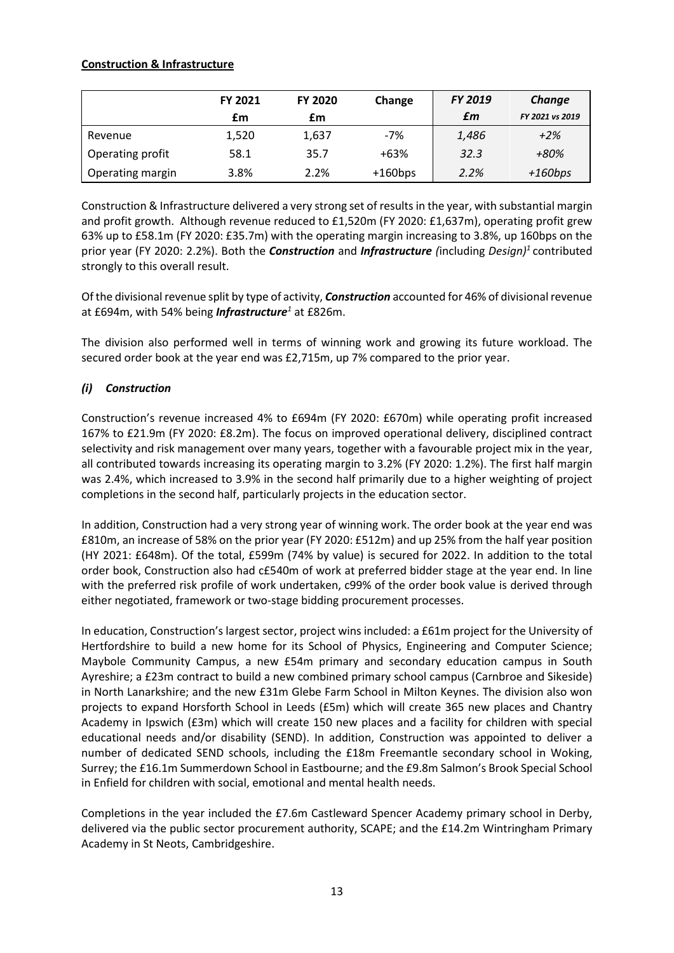# **Construction & Infrastructure**

|                  | <b>FY 2021</b> | FY 2020 | Change    | FY 2019 | Change          |
|------------------|----------------|---------|-----------|---------|-----------------|
|                  | £m             | £m      |           | £m      | FY 2021 vs 2019 |
| Revenue          | 1,520          | 1,637   | $-7%$     | 1,486   | $+2%$           |
| Operating profit | 58.1           | 35.7    | $+63%$    | 32.3    | +80%            |
| Operating margin | 3.8%           | 2.2%    | $+160bps$ | 2.2%    | $+160bps$       |

Construction & Infrastructure delivered a very strong set of results in the year, with substantial margin and profit growth. Although revenue reduced to £1,520m (FY 2020: £1,637m), operating profit grew 63% up to £58.1m (FY 2020: £35.7m) with the operating margin increasing to 3.8%, up 160bps on the prior year (FY 2020: 2.2%). Both the *Construction* and *Infrastructure (*including *Design)1* contributed strongly to this overall result.

Of the divisional revenue split by type of activity, *Construction* accounted for 46% of divisional revenue at £694m, with 54% being *Infrastructure<sup>1</sup>* at £826m.

The division also performed well in terms of winning work and growing its future workload. The secured order book at the year end was £2,715m, up 7% compared to the prior year.

# *(i) Construction*

Construction's revenue increased 4% to £694m (FY 2020: £670m) while operating profit increased 167% to £21.9m (FY 2020: £8.2m). The focus on improved operational delivery, disciplined contract selectivity and risk management over many years, together with a favourable project mix in the year, all contributed towards increasing its operating margin to 3.2% (FY 2020: 1.2%). The first half margin was 2.4%, which increased to 3.9% in the second half primarily due to a higher weighting of project completions in the second half, particularly projects in the education sector.

In addition, Construction had a very strong year of winning work. The order book at the year end was £810m, an increase of 58% on the prior year (FY 2020: £512m) and up 25% from the half year position (HY 2021: £648m). Of the total, £599m (74% by value) is secured for 2022. In addition to the total order book, Construction also had c£540m of work at preferred bidder stage at the year end. In line with the preferred risk profile of work undertaken, c99% of the order book value is derived through either negotiated, framework or two-stage bidding procurement processes.

In education, Construction's largest sector, project wins included: a £61m project for the University of Hertfordshire to build a new home for its School of Physics, Engineering and Computer Science; Maybole Community Campus, a new £54m primary and secondary education campus in South Ayreshire; a £23m contract to build a new combined primary school campus (Carnbroe and Sikeside) in North Lanarkshire; and the new £31m Glebe Farm School in Milton Keynes. The division also won projects to expand Horsforth School in Leeds (£5m) which will create 365 new places and Chantry Academy in Ipswich (£3m) which will create 150 new places and a facility for children with special educational needs and/or disability (SEND). In addition, Construction was appointed to deliver a number of dedicated SEND schools, including the £18m Freemantle secondary school in Woking, Surrey; the £16.1m Summerdown School in Eastbourne; and the £9.8m Salmon's Brook Special School in Enfield for children with social, emotional and mental health needs.

Completions in the year included the £7.6m Castleward Spencer Academy primary school in Derby, delivered via the public sector procurement authority, SCAPE; and the £14.2m Wintringham Primary Academy in St Neots, Cambridgeshire.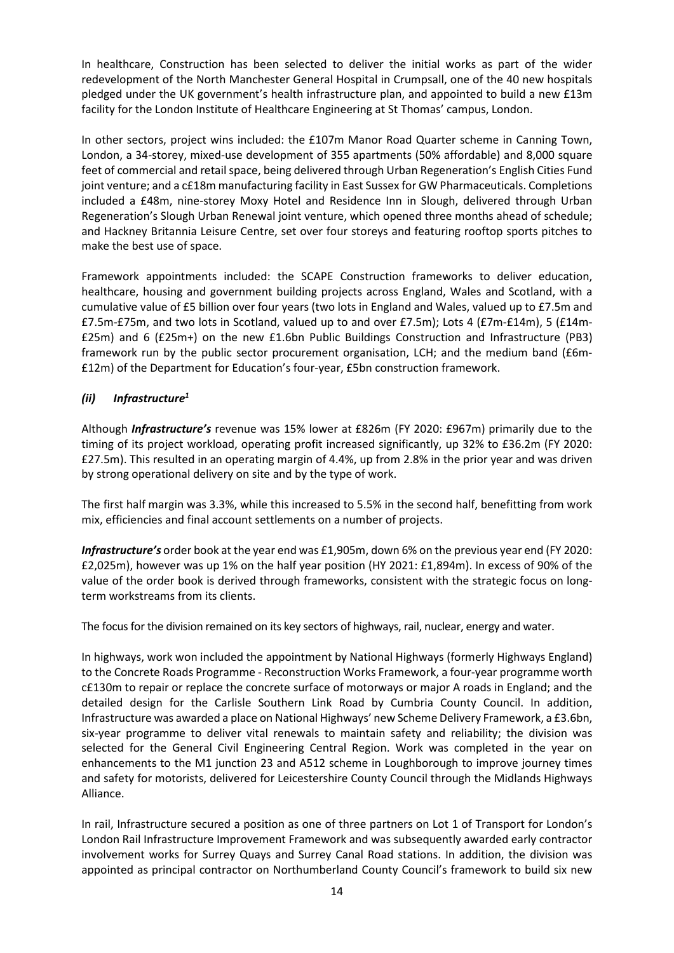In healthcare, Construction has been selected to deliver the initial works as part of the wider redevelopment of the North Manchester General Hospital in Crumpsall, one of the 40 new hospitals pledged under the UK government's health infrastructure plan, and appointed to build a new £13m facility for the London Institute of Healthcare Engineering at St Thomas' campus, London.

In other sectors, project wins included: the £107m Manor Road Quarter scheme in Canning Town, London, a 34-storey, mixed-use development of 355 apartments (50% affordable) and 8,000 square feet of commercial and retail space, being delivered through Urban Regeneration's English Cities Fund joint venture; and a c£18m manufacturing facility in East Sussex for GW Pharmaceuticals. Completions included a £48m, nine-storey Moxy Hotel and Residence Inn in Slough, delivered through Urban Regeneration's Slough Urban Renewal joint venture, which opened three months ahead of schedule; and Hackney Britannia Leisure Centre, set over four storeys and featuring rooftop sports pitches to make the best use of space.

Framework appointments included: the SCAPE Construction frameworks to deliver education, healthcare, housing and government building projects across England, Wales and Scotland, with a cumulative value of £5 billion over four years (two lots in England and Wales, valued up to £7.5m and £7.5m-£75m, and two lots in Scotland, valued up to and over £7.5m); Lots 4 (£7m-£14m), 5 (£14m- £25m) and 6 (£25m+) on the new £1.6bn Public Buildings Construction and Infrastructure (PB3) framework run by the public sector procurement organisation, LCH; and the medium band (£6m- £12m) of the Department for Education's four-year, £5bn construction framework.

# *(ii) Infrastructure1*

Although *Infrastructure's* revenue was 15% lower at £826m (FY 2020: £967m) primarily due to the timing of its project workload, operating profit increased significantly, up 32% to £36.2m (FY 2020: £27.5m). This resulted in an operating margin of 4.4%, up from 2.8% in the prior year and was driven by strong operational delivery on site and by the type of work.

The first half margin was 3.3%, while this increased to 5.5% in the second half, benefitting from work mix, efficiencies and final account settlements on a number of projects.

*Infrastructure's* order book at the year end was £1,905m, down 6% on the previous year end (FY 2020: £2,025m), however was up 1% on the half year position (HY 2021: £1,894m). In excess of 90% of the value of the order book is derived through frameworks, consistent with the strategic focus on longterm workstreams from its clients.

The focus for the division remained on its key sectors of highways, rail, nuclear, energy and water.

In highways, work won included the appointment by National Highways (formerly Highways England) to the Concrete Roads Programme - Reconstruction Works Framework, a four-year programme worth c£130m to repair or replace the concrete surface of motorways or major A roads in England; and the detailed design for the Carlisle Southern Link Road by Cumbria County Council. In addition, Infrastructure was awarded a place on National Highways' new Scheme Delivery Framework, a £3.6bn, six-year programme to deliver vital renewals to maintain safety and reliability; the division was selected for the General Civil Engineering Central Region. Work was completed in the year on enhancements to the M1 junction 23 and A512 scheme in Loughborough to improve journey times and safety for motorists, delivered for Leicestershire County Council through the Midlands Highways Alliance.

In rail, Infrastructure secured a position as one of three partners on Lot 1 of Transport for London's London Rail Infrastructure Improvement Framework and was subsequently awarded early contractor involvement works for Surrey Quays and Surrey Canal Road stations. In addition, the division was appointed as principal contractor on Northumberland County Council's framework to build six new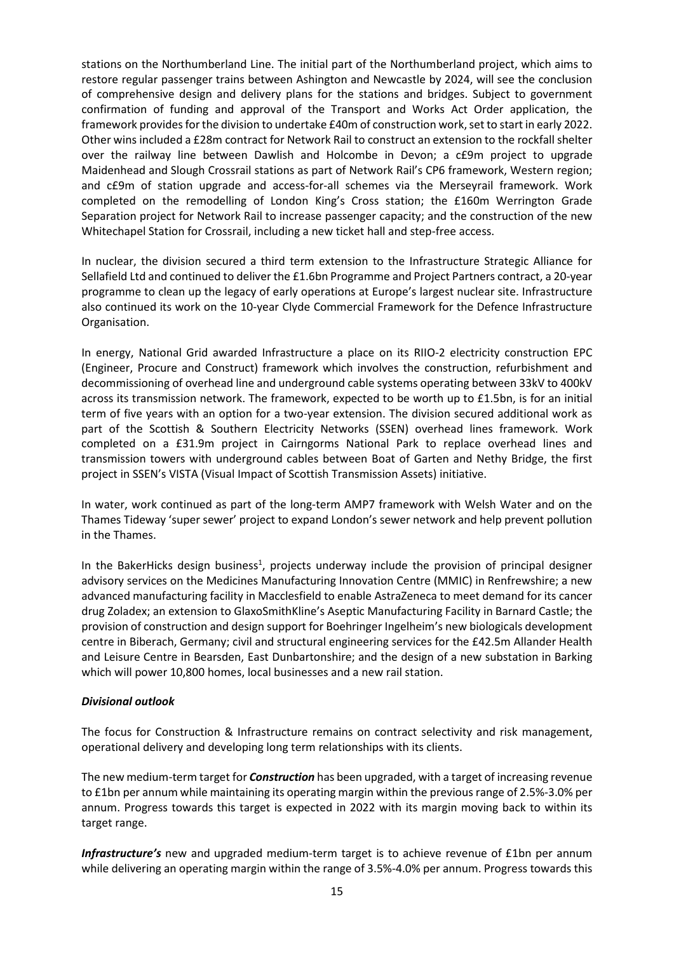stations on the Northumberland Line. The initial part of the Northumberland project, which aims to restore regular passenger trains between Ashington and Newcastle by 2024, will see the conclusion of comprehensive design and delivery plans for the stations and bridges. Subject to government confirmation of funding and approval of the Transport and Works Act Order application, the framework provides for the division to undertake £40m of construction work, set to start in early 2022. Other wins included a £28m contract for Network Rail to construct an extension to the rockfall shelter over the railway line between Dawlish and Holcombe in Devon; a c£9m project to upgrade Maidenhead and Slough Crossrail stations as part of Network Rail's CP6 framework, Western region; and c£9m of station upgrade and access-for-all schemes via the Merseyrail framework. Work completed on the remodelling of London King's Cross station; the £160m Werrington Grade Separation project for Network Rail to increase passenger capacity; and the construction of the new Whitechapel Station for Crossrail, including a new ticket hall and step-free access.

In nuclear, the division secured a third term extension to the Infrastructure Strategic Alliance for Sellafield Ltd and continued to deliver the £1.6bn Programme and Project Partners contract, a 20-year programme to clean up the legacy of early operations at Europe's largest nuclear site. Infrastructure also continued its work on the 10-year Clyde Commercial Framework for the Defence Infrastructure Organisation.

In energy, National Grid awarded Infrastructure a place on its RIIO-2 electricity construction EPC (Engineer, Procure and Construct) framework which involves the construction, refurbishment and decommissioning of overhead line and underground cable systems operating between 33kV to 400kV across its transmission network. The framework, expected to be worth up to £1.5bn, is for an initial term of five years with an option for a two-year extension. The division secured additional work as part of the Scottish & Southern Electricity Networks (SSEN) overhead lines framework. Work completed on a £31.9m project in Cairngorms National Park to replace overhead lines and transmission towers with underground cables between Boat of Garten and Nethy Bridge, the first project in SSEN's VISTA (Visual Impact of Scottish Transmission Assets) initiative.

In water, work continued as part of the long-term AMP7 framework with Welsh Water and on the Thames Tideway 'super sewer' project to expand London's sewer network and help prevent pollution in the Thames.

In the BakerHicks design business<sup>1</sup>, projects underway include the provision of principal designer advisory services on the Medicines Manufacturing Innovation Centre (MMIC) in Renfrewshire; a new advanced manufacturing facility in Macclesfield to enable AstraZeneca to meet demand for its cancer drug Zoladex; an extension to GlaxoSmithKline's Aseptic Manufacturing Facility in Barnard Castle; the provision of construction and design support for Boehringer Ingelheim's new biologicals development centre in Biberach, Germany; civil and structural engineering services for the £42.5m Allander Health and Leisure Centre in Bearsden, East Dunbartonshire; and the design of a new substation in Barking which will power 10,800 homes, local businesses and a new rail station.

# *Divisional outlook*

The focus for Construction & Infrastructure remains on contract selectivity and risk management, operational delivery and developing long term relationships with its clients.

The new medium-term target for *Construction* has been upgraded, with a target of increasing revenue to £1bn per annum while maintaining its operating margin within the previous range of 2.5%-3.0% per annum. Progress towards this target is expected in 2022 with its margin moving back to within its target range.

*Infrastructure's* new and upgraded medium-term target is to achieve revenue of £1bn per annum while delivering an operating margin within the range of 3.5%-4.0% per annum. Progress towards this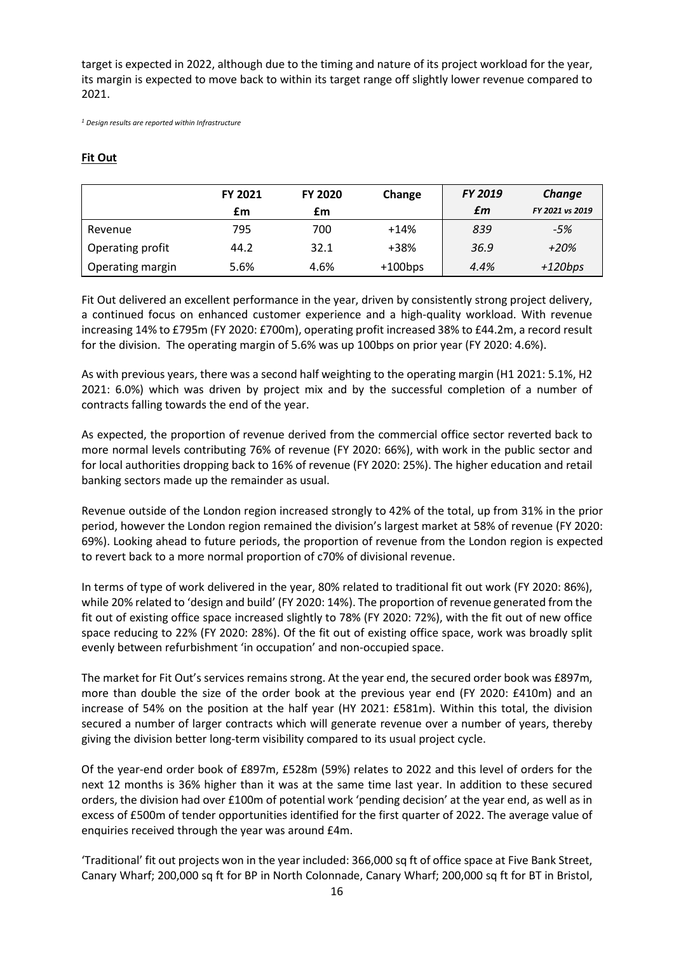target is expected in 2022, although due to the timing and nature of its project workload for the year, its margin is expected to move back to within its target range off slightly lower revenue compared to 2021.

*<sup>1</sup> Design results are reported within Infrastructure*

# **Fit Out**

|                  | <b>FY 2021</b> | <b>FY 2020</b> | Change    | <b>FY 2019</b> | Change          |
|------------------|----------------|----------------|-----------|----------------|-----------------|
|                  | £m             | £m             |           | £m             | FY 2021 vs 2019 |
| Revenue          | 795            | 700            | $+14%$    | 839            | $-5%$           |
| Operating profit | 44.2           | 32.1           | +38%      | 36.9           | $+20%$          |
| Operating margin | 5.6%           | 4.6%           | $+100bps$ | 4.4%           | $+120bps$       |

Fit Out delivered an excellent performance in the year, driven by consistently strong project delivery, a continued focus on enhanced customer experience and a high-quality workload. With revenue increasing 14% to £795m (FY 2020: £700m), operating profit increased 38% to £44.2m, a record result for the division. The operating margin of 5.6% was up 100bps on prior year (FY 2020: 4.6%).

As with previous years, there was a second half weighting to the operating margin (H1 2021: 5.1%, H2 2021: 6.0%) which was driven by project mix and by the successful completion of a number of contracts falling towards the end of the year.

As expected, the proportion of revenue derived from the commercial office sector reverted back to more normal levels contributing 76% of revenue (FY 2020: 66%), with work in the public sector and for local authorities dropping back to 16% of revenue (FY 2020: 25%). The higher education and retail banking sectors made up the remainder as usual.

Revenue outside of the London region increased strongly to 42% of the total, up from 31% in the prior period, however the London region remained the division's largest market at 58% of revenue (FY 2020: 69%). Looking ahead to future periods, the proportion of revenue from the London region is expected to revert back to a more normal proportion of c70% of divisional revenue.

In terms of type of work delivered in the year, 80% related to traditional fit out work (FY 2020: 86%), while 20% related to 'design and build' (FY 2020: 14%). The proportion of revenue generated from the fit out of existing office space increased slightly to 78% (FY 2020: 72%), with the fit out of new office space reducing to 22% (FY 2020: 28%). Of the fit out of existing office space, work was broadly split evenly between refurbishment 'in occupation' and non-occupied space.

The market for Fit Out's services remains strong. At the year end, the secured order book was £897m, more than double the size of the order book at the previous year end (FY 2020: £410m) and an increase of 54% on the position at the half year (HY 2021: £581m). Within this total, the division secured a number of larger contracts which will generate revenue over a number of years, thereby giving the division better long-term visibility compared to its usual project cycle.

Of the year-end order book of £897m, £528m (59%) relates to 2022 and this level of orders for the next 12 months is 36% higher than it was at the same time last year. In addition to these secured orders, the division had over £100m of potential work 'pending decision' at the year end, as well as in excess of £500m of tender opportunities identified for the first quarter of 2022. The average value of enquiries received through the year was around £4m.

'Traditional' fit out projects won in the year included: 366,000 sq ft of office space at Five Bank Street, Canary Wharf; 200,000 sq ft for BP in North Colonnade, Canary Wharf; 200,000 sq ft for BT in Bristol,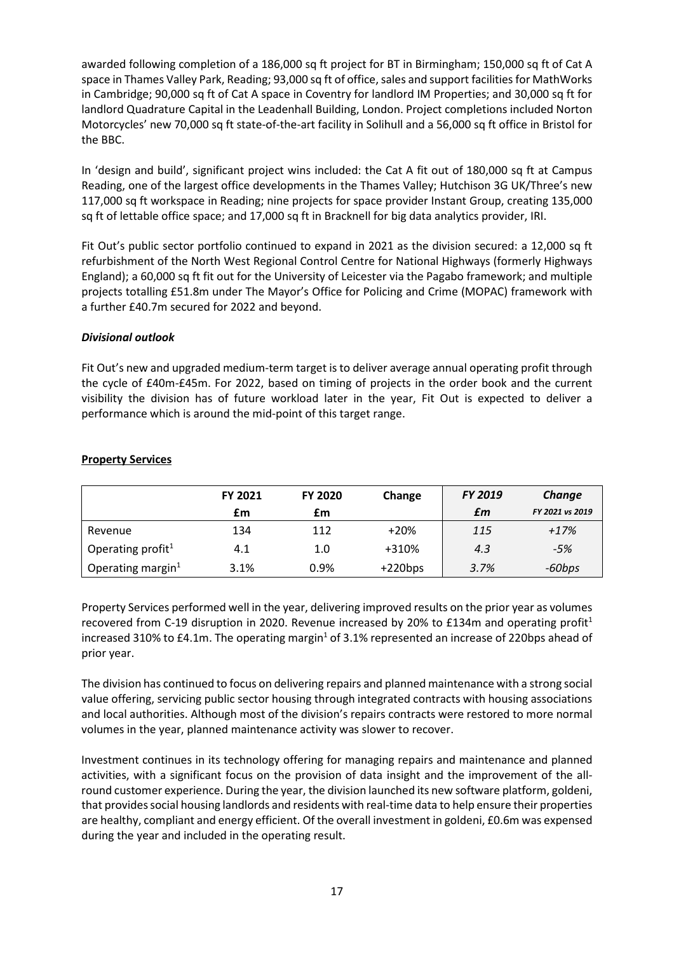awarded following completion of a 186,000 sq ft project for BT in Birmingham; 150,000 sq ft of Cat A space in Thames Valley Park, Reading; 93,000 sq ft of office, sales and support facilities for MathWorks in Cambridge; 90,000 sq ft of Cat A space in Coventry for landlord IM Properties; and 30,000 sq ft for landlord Quadrature Capital in the Leadenhall Building, London. Project completions included Norton Motorcycles' new 70,000 sq ft state-of-the-art facility in Solihull and a 56,000 sq ft office in Bristol for the BBC.

In 'design and build', significant project wins included: the Cat A fit out of 180,000 sq ft at Campus Reading, one of the largest office developments in the Thames Valley; Hutchison 3G UK/Three's new 117,000 sq ft workspace in Reading; nine projects for space provider Instant Group, creating 135,000 sq ft of lettable office space; and 17,000 sq ft in Bracknell for big data analytics provider, IRI.

Fit Out's public sector portfolio continued to expand in 2021 as the division secured: a 12,000 sq ft refurbishment of the North West Regional Control Centre for National Highways (formerly Highways England); a 60,000 sq ft fit out for the University of Leicester via the Pagabo framework; and multiple projects totalling £51.8m under The Mayor's Office for Policing and Crime (MOPAC) framework with a further £40.7m secured for 2022 and beyond.

# *Divisional outlook*

Fit Out's new and upgraded medium-term target is to deliver average annual operating profit through the cycle of £40m-£45m. For 2022, based on timing of projects in the order book and the current visibility the division has of future workload later in the year, Fit Out is expected to deliver a performance which is around the mid-point of this target range.

|                               | <b>FY 2021</b> | FY 2020 | Change    | FY 2019 | Change          |
|-------------------------------|----------------|---------|-----------|---------|-----------------|
|                               | £m             | £m      |           | £m      | FY 2021 vs 2019 |
| Revenue                       | 134            | 112     | $+20%$    | 115     | $+17%$          |
| Operating profit <sup>1</sup> | 4.1            | 1.0     | +310%     | 4.3     | $-5%$           |
| Operating margin $1$          | 3.1%           | 0.9%    | $+220bps$ | 3.7%    | -60bps          |

# **Property Services**

Property Services performed well in the year, delivering improved results on the prior year as volumes recovered from C-19 disruption in 2020. Revenue increased by 20% to £134m and operating profit<sup>1</sup> increased 310% to £4.1m. The operating margin<sup>1</sup> of 3.1% represented an increase of 220bps ahead of prior year.

The division has continued to focus on delivering repairs and planned maintenance with a strong social value offering, servicing public sector housing through integrated contracts with housing associations and local authorities. Although most of the division's repairs contracts were restored to more normal volumes in the year, planned maintenance activity was slower to recover.

Investment continues in its technology offering for managing repairs and maintenance and planned activities, with a significant focus on the provision of data insight and the improvement of the allround customer experience. During the year, the division launched its new software platform, goldeni, that provides social housing landlords and residents with real-time data to help ensure their properties are healthy, compliant and energy efficient. Of the overall investment in goldeni, £0.6m was expensed during the year and included in the operating result.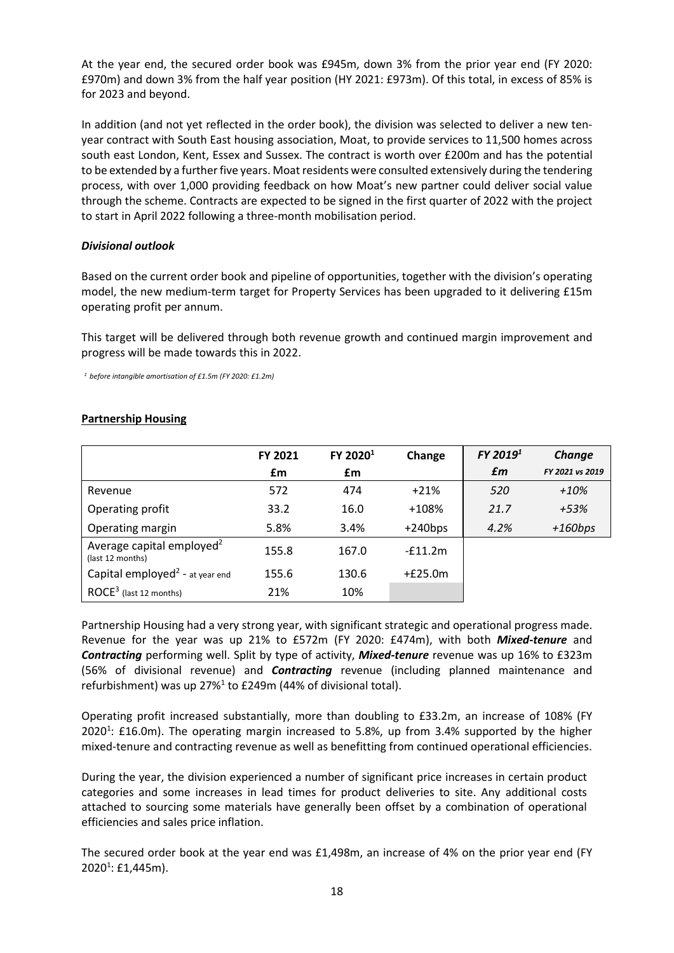At the year end, the secured order book was £945m, down 3% from the prior year end (FY 2020: £970m) and down 3% from the half year position (HY 2021: £973m). Of this total, in excess of 85% is for 2023 and beyond.

In addition (and not yet reflected in the order book), the division was selected to deliver a new tenyear contract with South East housing association, Moat, to provide services to 11,500 homes across south east London, Kent, Essex and Sussex. The contract is worth over £200m and has the potential to be extended by a further five years. Moat residents were consulted extensively during the tendering process, with over 1,000 providing feedback on how Moat's new partner could deliver social value through the scheme. Contracts are expected to be signed in the first quarter of 2022 with the project to start in April 2022 following a three-month mobilisation period.

# *Divisional outlook*

Based on the current order book and pipeline of opportunities, together with the division's operating model, the new medium-term target for Property Services has been upgraded to it delivering £15m operating profit per annum.

This target will be delivered through both revenue growth and continued margin improvement and progress will be made towards this in 2022.

*<sup>1</sup> before intangible amortisation of £1.5m (FY 2020: £1.2m)* 

|                                                           | FY 2021 | FY 2020 <sup>1</sup> | Change    | FY 2019 <sup>1</sup> | Change          |
|-----------------------------------------------------------|---------|----------------------|-----------|----------------------|-----------------|
|                                                           | £m      | £m                   |           | £m                   | FY 2021 vs 2019 |
| Revenue                                                   | 572     | 474                  | $+21%$    | 520                  | $+10%$          |
| Operating profit                                          | 33.2    | 16.0                 | $+108%$   | 21.7                 | +53%            |
| Operating margin                                          | 5.8%    | 3.4%                 | $+240bps$ | 4.2%                 | $+160bps$       |
| Average capital employed <sup>2</sup><br>(last 12 months) | 155.8   | 167.0                | $-f11.2m$ |                      |                 |
| Capital employed <sup>2</sup> - at year end               | 155.6   | 130.6                | $+£25.0m$ |                      |                 |
| ROCE <sup>3</sup> (last 12 months)                        | 21%     | 10%                  |           |                      |                 |

# **Partnership Housing**

Partnership Housing had a very strong year, with significant strategic and operational progress made. Revenue for the year was up 21% to £572m (FY 2020: £474m), with both *Mixed-tenure* and *Contracting* performing well. Split by type of activity, *Mixed-tenure* revenue was up 16% to £323m (56% of divisional revenue) and *Contracting* revenue (including planned maintenance and refurbishment) was up  $27\%$ <sup>1</sup> to £249m (44% of divisional total).

Operating profit increased substantially, more than doubling to £33.2m, an increase of 108% (FY 2020<sup>1</sup>: £16.0m). The operating margin increased to 5.8%, up from 3.4% supported by the higher mixed-tenure and contracting revenue as well as benefitting from continued operational efficiencies.

During the year, the division experienced a number of significant price increases in certain product categories and some increases in lead times for product deliveries to site. Any additional costs attached to sourcing some materials have generally been offset by a combination of operational efficiencies and sales price inflation.

The secured order book at the year end was £1,498m, an increase of 4% on the prior year end (FY 2020<sup>1</sup>: £1,445m).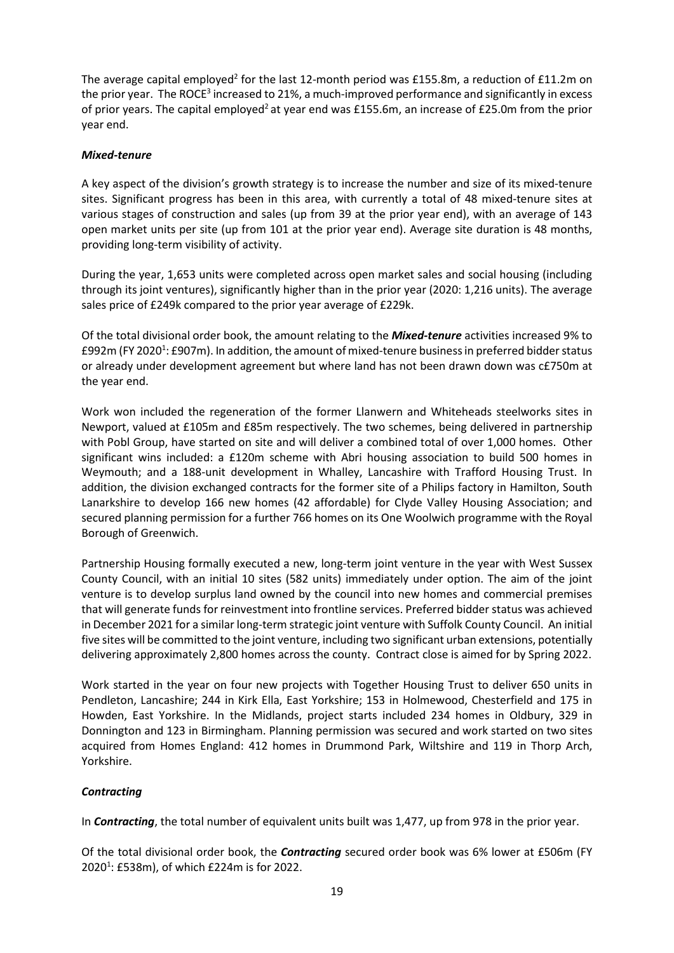The average capital employed<sup>2</sup> for the last 12-month period was £155.8m, a reduction of £11.2m on the prior year. The ROCE<sup>3</sup> increased to 21%, a much-improved performance and significantly in excess of prior years. The capital employed<sup>2</sup> at year end was £155.6m, an increase of £25.0m from the prior year end.

# *Mixed-tenure*

A key aspect of the division's growth strategy is to increase the number and size of its mixed-tenure sites. Significant progress has been in this area, with currently a total of 48 mixed-tenure sites at various stages of construction and sales (up from 39 at the prior year end), with an average of 143 open market units per site (up from 101 at the prior year end). Average site duration is 48 months, providing long-term visibility of activity.

During the year, 1,653 units were completed across open market sales and social housing (including through its joint ventures), significantly higher than in the prior year (2020: 1,216 units). The average sales price of £249k compared to the prior year average of £229k.

Of the total divisional order book, the amount relating to the *Mixed-tenure* activities increased 9% to £992m (FY 2020<sup>1</sup>: £907m). In addition, the amount of mixed-tenure business in preferred bidder status or already under development agreement but where land has not been drawn down was c£750m at the year end.

Work won included the regeneration of the former Llanwern and Whiteheads steelworks sites in Newport, valued at £105m and £85m respectively. The two schemes, being delivered in partnership with Pobl Group, have started on site and will deliver a combined total of over 1,000 homes. Other significant wins included: a £120m scheme with Abri housing association to build 500 homes in Weymouth; and a 188-unit development in Whalley, Lancashire with Trafford Housing Trust. In addition, the division exchanged contracts for the former site of a Philips factory in Hamilton, South Lanarkshire to develop 166 new homes (42 affordable) for Clyde Valley Housing Association; and secured planning permission for a further 766 homes on its One Woolwich programme with the Royal Borough of Greenwich.

Partnership Housing formally executed a new, long-term joint venture in the year with West Sussex County Council, with an initial 10 sites (582 units) immediately under option. The aim of the joint venture is to develop surplus land owned by the council into new homes and commercial premises that will generate funds for reinvestment into frontline services. Preferred bidder status was achieved in December 2021 for a similar long-term strategic joint venture with Suffolk County Council. An initial five sites will be committed to the joint venture, including two significant urban extensions, potentially delivering approximately 2,800 homes across the county. Contract close is aimed for by Spring 2022.

Work started in the year on four new projects with Together Housing Trust to deliver 650 units in Pendleton, Lancashire; 244 in Kirk Ella, East Yorkshire; 153 in Holmewood, Chesterfield and 175 in Howden, East Yorkshire. In the Midlands, project starts included 234 homes in Oldbury, 329 in Donnington and 123 in Birmingham. Planning permission was secured and work started on two sites acquired from Homes England: 412 homes in Drummond Park, Wiltshire and 119 in Thorp Arch, Yorkshire.

# *Contracting*

In *Contracting*, the total number of equivalent units built was 1,477, up from 978 in the prior year.

Of the total divisional order book, the *Contracting* secured order book was 6% lower at £506m (FY 20201 : £538m), of which £224m is for 2022.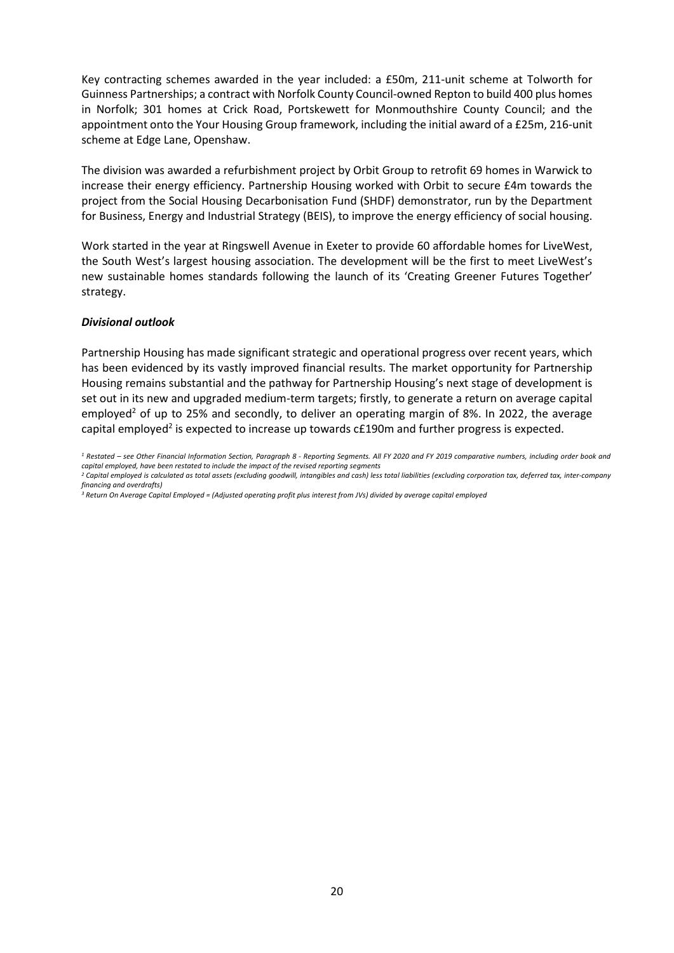Key contracting schemes awarded in the year included: a £50m, 211-unit scheme at Tolworth for Guinness Partnerships; a contract with Norfolk County Council-owned Repton to build 400 plus homes in Norfolk; 301 homes at Crick Road, Portskewett for Monmouthshire County Council; and the appointment onto the Your Housing Group framework, including the initial award of a £25m, 216-unit scheme at Edge Lane, Openshaw.

The division was awarded a refurbishment project by Orbit Group to retrofit 69 homes in Warwick to increase their energy efficiency. Partnership Housing worked with Orbit to secure £4m towards the project from the Social Housing Decarbonisation Fund (SHDF) demonstrator, run by the Department for Business, Energy and Industrial Strategy (BEIS), to improve the energy efficiency of social housing.

Work started in the year at Ringswell Avenue in Exeter to provide 60 affordable homes for LiveWest, the South West's largest housing association. The development will be the first to meet LiveWest's new sustainable homes standards following the launch of its 'Creating Greener Futures Together' strategy.

# *Divisional outlook*

Partnership Housing has made significant strategic and operational progress over recent years, which has been evidenced by its vastly improved financial results. The market opportunity for Partnership Housing remains substantial and the pathway for Partnership Housing's next stage of development is set out in its new and upgraded medium-term targets; firstly, to generate a return on average capital employed<sup>2</sup> of up to 25% and secondly, to deliver an operating margin of 8%. In 2022, the average capital employed<sup>2</sup> is expected to increase up towards  $cf.190m$  and further progress is expected.

*<sup>3</sup> Return On Average Capital Employed = (Adjusted operating profit plus interest from JVs) divided by average capital employed*

*<sup>1</sup> Restated – see Other Financial Information Section, Paragraph 8 - Reporting Segments. All FY 2020 and FY 2019 comparative numbers, including order book and capital employed, have been restated to include the impact of the revised reporting segments*

*<sup>2</sup> Capital employed is calculated as total assets (excluding goodwill, intangibles and cash) less total liabilities (excluding corporation tax, deferred tax, inter-company financing and overdrafts)*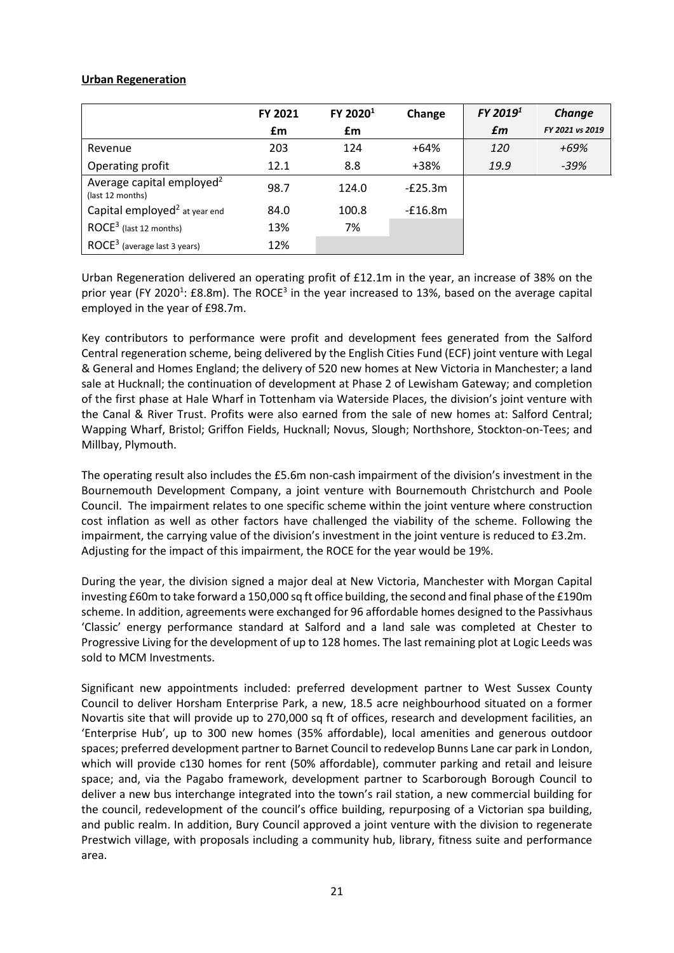# **Urban Regeneration**

|                                                           | FY 2021 | FY 2020 <sup>1</sup> | Change    | FY 2019 <sup>1</sup> | Change          |
|-----------------------------------------------------------|---------|----------------------|-----------|----------------------|-----------------|
|                                                           | £m      | £m                   |           | £m                   | FY 2021 vs 2019 |
| Revenue                                                   | 203     | 124                  | $+64%$    | 120                  | +69%            |
| Operating profit                                          | 12.1    | 8.8                  | +38%      | 19.9                 | $-39%$          |
| Average capital employed <sup>2</sup><br>(last 12 months) | 98.7    | 124.0                | $-E25.3m$ |                      |                 |
| Capital employed <sup>2</sup> at year end                 | 84.0    | 100.8                | $-E16.8m$ |                      |                 |
| $\mathsf{ROCE}^3$ (last 12 months)                        | 13%     | 7%                   |           |                      |                 |
| $\mathsf{ROCE}^3$ (average last 3 years)                  | 12%     |                      |           |                      |                 |

Urban Regeneration delivered an operating profit of £12.1m in the year, an increase of 38% on the prior year (FY 2020<sup>1</sup>: £8.8m). The ROCE<sup>3</sup> in the year increased to 13%, based on the average capital employed in the year of £98.7m.

Key contributors to performance were profit and development fees generated from the Salford Central regeneration scheme, being delivered by the English Cities Fund (ECF) joint venture with Legal & General and Homes England; the delivery of 520 new homes at New Victoria in Manchester; a land sale at Hucknall; the continuation of development at Phase 2 of Lewisham Gateway; and completion of the first phase at Hale Wharf in Tottenham via Waterside Places, the division's joint venture with the Canal & River Trust. Profits were also earned from the sale of new homes at: Salford Central; Wapping Wharf, Bristol; Griffon Fields, Hucknall; Novus, Slough; Northshore, Stockton-on-Tees; and Millbay, Plymouth.

The operating result also includes the £5.6m non-cash impairment of the division's investment in the Bournemouth Development Company, a joint venture with Bournemouth Christchurch and Poole Council. The impairment relates to one specific scheme within the joint venture where construction cost inflation as well as other factors have challenged the viability of the scheme. Following the impairment, the carrying value of the division's investment in the joint venture is reduced to £3.2m. Adjusting for the impact of this impairment, the ROCE for the year would be 19%.

During the year, the division signed a major deal at New Victoria, Manchester with Morgan Capital investing £60m to take forward a 150,000 sq ft office building, the second and final phase of the £190m scheme. In addition, agreements were exchanged for 96 affordable homes designed to the Passivhaus 'Classic' energy performance standard at Salford and a land sale was completed at Chester to Progressive Living for the development of up to 128 homes. The last remaining plot at Logic Leeds was sold to MCM Investments.

Significant new appointments included: preferred development partner to West Sussex County Council to deliver Horsham Enterprise Park, a new, 18.5 acre neighbourhood situated on a former Novartis site that will provide up to 270,000 sq ft of offices, research and development facilities, an 'Enterprise Hub', up to 300 new homes (35% affordable), local amenities and generous outdoor spaces; preferred development partner to Barnet Council to redevelop Bunns Lane car park in London, which will provide c130 homes for rent (50% affordable), commuter parking and retail and leisure space; and, via the Pagabo framework, development partner to Scarborough Borough Council to deliver a new bus interchange integrated into the town's rail station, a new commercial building for the council, redevelopment of the council's office building, repurposing of a Victorian spa building, and public realm. In addition, Bury Council approved a joint venture with the division to regenerate Prestwich village, with proposals including a community hub, library, fitness suite and performance area.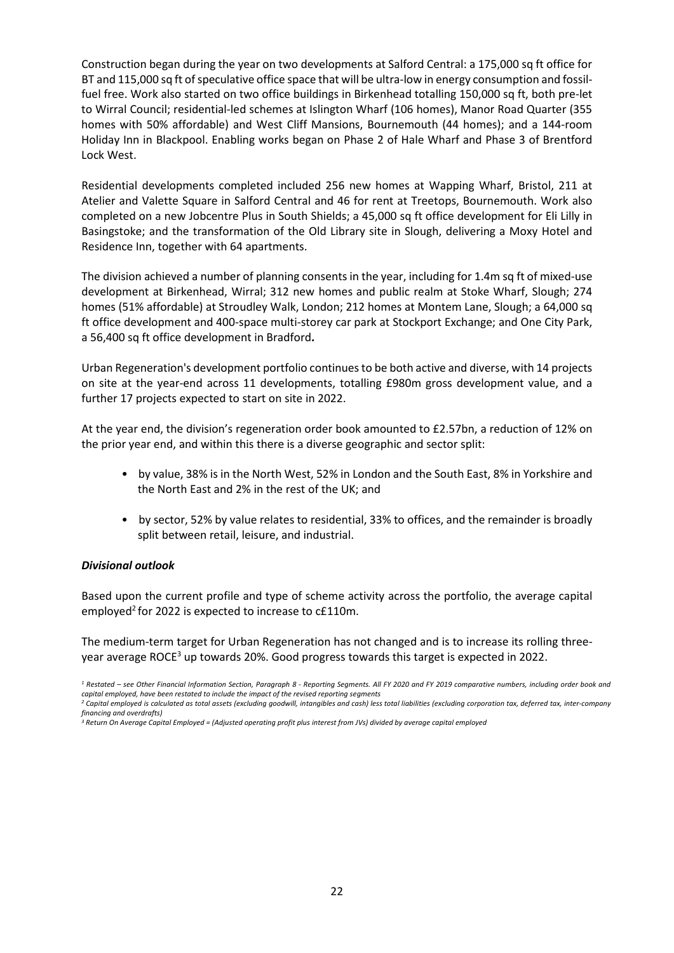Construction began during the year on two developments at Salford Central: a 175,000 sq ft office for BT and 115,000 sq ft of speculative office space that will be ultra-low in energy consumption and fossilfuel free. Work also started on two office buildings in Birkenhead totalling 150,000 sq ft, both pre-let to Wirral Council; residential-led schemes at Islington Wharf (106 homes), Manor Road Quarter (355 homes with 50% affordable) and West Cliff Mansions, Bournemouth (44 homes); and a 144-room Holiday Inn in Blackpool. Enabling works began on Phase 2 of Hale Wharf and Phase 3 of Brentford Lock West.

Residential developments completed included 256 new homes at Wapping Wharf, Bristol, 211 at Atelier and Valette Square in Salford Central and 46 for rent at Treetops, Bournemouth. Work also completed on a new Jobcentre Plus in South Shields; a 45,000 sq ft office development for Eli Lilly in Basingstoke; and the transformation of the Old Library site in Slough, delivering a Moxy Hotel and Residence Inn, together with 64 apartments.

The division achieved a number of planning consents in the year, including for 1.4m sq ft of mixed-use development at Birkenhead, Wirral; 312 new homes and public realm at Stoke Wharf, Slough; 274 homes (51% affordable) at Stroudley Walk, London; 212 homes at Montem Lane, Slough; a 64,000 sq ft office development and 400-space multi-storey car park at Stockport Exchange; and One City Park, a 56,400 sq ft office development in Bradford**.** 

Urban Regeneration's development portfolio continues to be both active and diverse, with 14 projects on site at the year-end across 11 developments, totalling £980m gross development value, and a further 17 projects expected to start on site in 2022.

At the year end, the division's regeneration order book amounted to £2.57bn, a reduction of 12% on the prior year end, and within this there is a diverse geographic and sector split:

- by value, 38% is in the North West, 52% in London and the South East, 8% in Yorkshire and the North East and 2% in the rest of the UK; and
- by sector, 52% by value relates to residential, 33% to offices, and the remainder is broadly split between retail, leisure, and industrial.

# *Divisional outlook*

Based upon the current profile and type of scheme activity across the portfolio, the average capital employed<sup>2</sup> for 2022 is expected to increase to c£110m.

The medium-term target for Urban Regeneration has not changed and is to increase its rolling threeyear average ROCE<sup>3</sup> up towards 20%. Good progress towards this target is expected in 2022.

*<sup>1</sup> Restated – see Other Financial Information Section, Paragraph 8 - Reporting Segments. All FY 2020 and FY 2019 comparative numbers, including order book and capital employed, have been restated to include the impact of the revised reporting segments*

*<sup>2</sup> Capital employed is calculated as total assets (excluding goodwill, intangibles and cash) less total liabilities (excluding corporation tax, deferred tax, inter-company financing and overdrafts)*

*<sup>3</sup> Return On Average Capital Employed = (Adjusted operating profit plus interest from JVs) divided by average capital employed*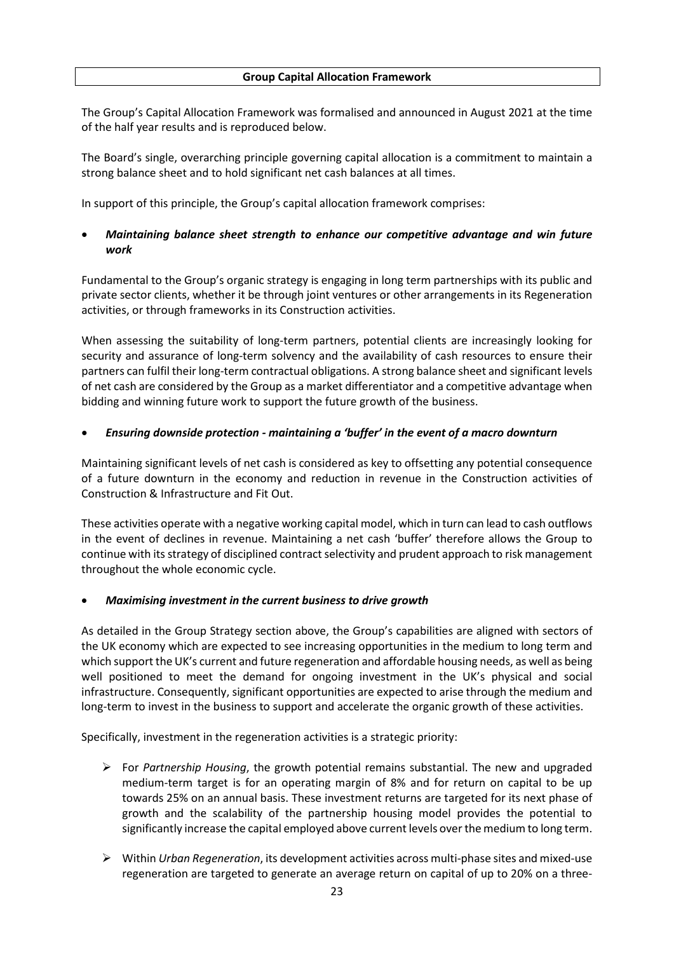The Group's Capital Allocation Framework was formalised and announced in August 2021 at the time of the half year results and is reproduced below.

The Board's single, overarching principle governing capital allocation is a commitment to maintain a strong balance sheet and to hold significant net cash balances at all times.

In support of this principle, the Group's capital allocation framework comprises:

# • *Maintaining balance sheet strength to enhance our competitive advantage and win future work*

Fundamental to the Group's organic strategy is engaging in long term partnerships with its public and private sector clients, whether it be through joint ventures or other arrangements in its Regeneration activities, or through frameworks in its Construction activities.

When assessing the suitability of long-term partners, potential clients are increasingly looking for security and assurance of long-term solvency and the availability of cash resources to ensure their partners can fulfil their long-term contractual obligations. A strong balance sheet and significant levels of net cash are considered by the Group as a market differentiator and a competitive advantage when bidding and winning future work to support the future growth of the business.

# • *Ensuring downside protection - maintaining a 'buffer' in the event of a macro downturn*

Maintaining significant levels of net cash is considered as key to offsetting any potential consequence of a future downturn in the economy and reduction in revenue in the Construction activities of Construction & Infrastructure and Fit Out.

These activities operate with a negative working capital model, which in turn can lead to cash outflows in the event of declines in revenue. Maintaining a net cash 'buffer' therefore allows the Group to continue with its strategy of disciplined contract selectivity and prudent approach to risk management throughout the whole economic cycle.

# • *Maximising investment in the current business to drive growth*

As detailed in the Group Strategy section above, the Group's capabilities are aligned with sectors of the UK economy which are expected to see increasing opportunities in the medium to long term and which support the UK's current and future regeneration and affordable housing needs, as well as being well positioned to meet the demand for ongoing investment in the UK's physical and social infrastructure. Consequently, significant opportunities are expected to arise through the medium and long-term to invest in the business to support and accelerate the organic growth of these activities.

Specifically, investment in the regeneration activities is a strategic priority:

- For *Partnership Housing*, the growth potential remains substantial. The new and upgraded medium-term target is for an operating margin of 8% and for return on capital to be up towards 25% on an annual basis. These investment returns are targeted for its next phase of growth and the scalability of the partnership housing model provides the potential to significantly increase the capital employed above current levels over the medium to long term.
- Within *Urban Regeneration*, its development activities across multi-phase sites and mixed-use regeneration are targeted to generate an average return on capital of up to 20% on a three-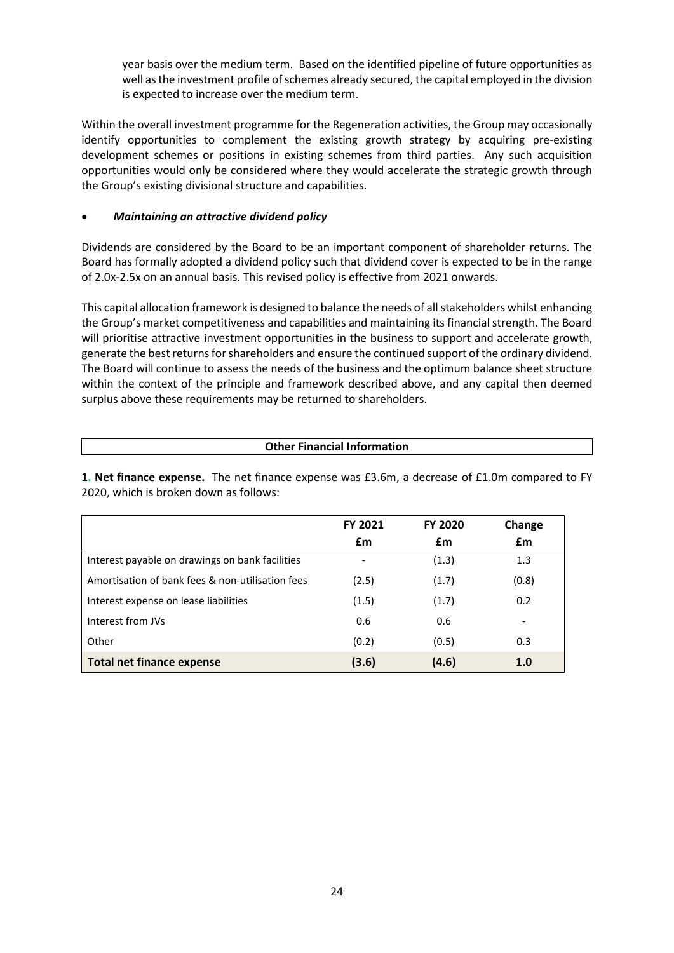year basis over the medium term. Based on the identified pipeline of future opportunities as well as the investment profile of schemes already secured, the capital employed in the division is expected to increase over the medium term.

Within the overall investment programme for the Regeneration activities, the Group may occasionally identify opportunities to complement the existing growth strategy by acquiring pre-existing development schemes or positions in existing schemes from third parties. Any such acquisition opportunities would only be considered where they would accelerate the strategic growth through the Group's existing divisional structure and capabilities.

# • *Maintaining an attractive dividend policy*

Dividends are considered by the Board to be an important component of shareholder returns. The Board has formally adopted a dividend policy such that dividend cover is expected to be in the range of 2.0x-2.5x on an annual basis. This revised policy is effective from 2021 onwards.

This capital allocation framework is designed to balance the needs of all stakeholders whilst enhancing the Group's market competitiveness and capabilities and maintaining its financial strength. The Board will prioritise attractive investment opportunities in the business to support and accelerate growth, generate the best returns for shareholders and ensure the continued support of the ordinary dividend. The Board will continue to assess the needs of the business and the optimum balance sheet structure within the context of the principle and framework described above, and any capital then deemed surplus above these requirements may be returned to shareholders.

# **Other Financial Information**

**1. Net finance expense.** The net finance expense was £3.6m, a decrease of £1.0m compared to FY 2020, which is broken down as follows:

|                                                  | <b>FY 2021</b> | <b>FY 2020</b> | Change |
|--------------------------------------------------|----------------|----------------|--------|
|                                                  | £m             | £m             | £m     |
| Interest payable on drawings on bank facilities  |                | (1.3)          | 1.3    |
| Amortisation of bank fees & non-utilisation fees | (2.5)          | (1.7)          | (0.8)  |
| Interest expense on lease liabilities            | (1.5)          | (1.7)          | 0.2    |
| Interest from JVs                                | 0.6            | 0.6            | -      |
| Other                                            | (0.2)          | (0.5)          | 0.3    |
| <b>Total net finance expense</b>                 | (3.6)          | (4.6)          | 1.0    |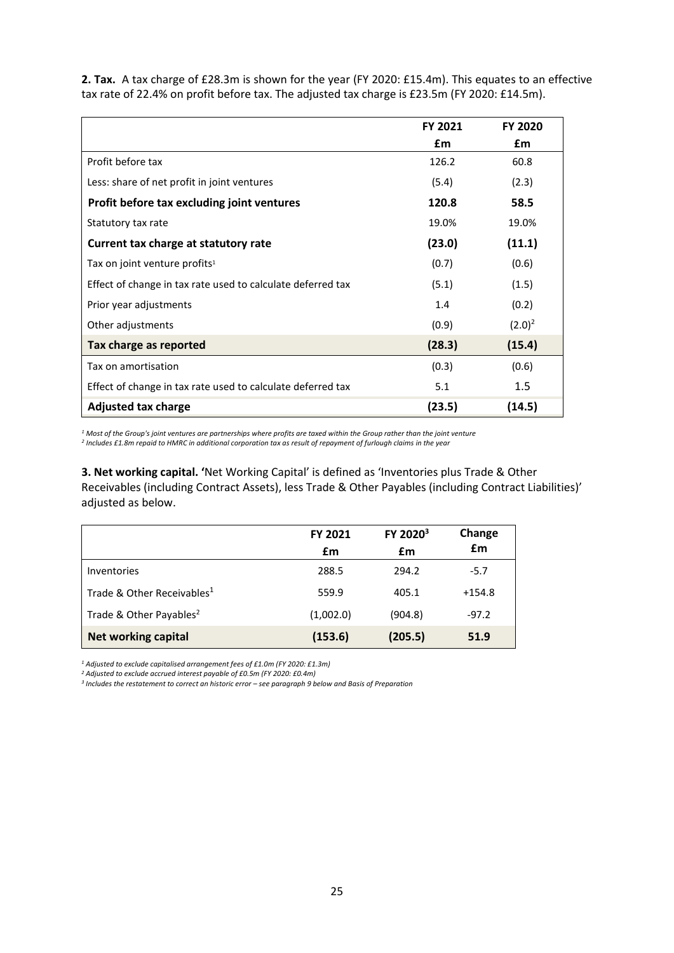**2. Tax.** A tax charge of £28.3m is shown for the year (FY 2020: £15.4m). This equates to an effective tax rate of 22.4% on profit before tax. The adjusted tax charge is £23.5m (FY 2020: £14.5m).

|                                                             | <b>FY 2021</b> | <b>FY 2020</b> |
|-------------------------------------------------------------|----------------|----------------|
|                                                             | £m             | £m             |
| Profit before tax                                           | 126.2          | 60.8           |
| Less: share of net profit in joint ventures                 | (5.4)          | (2.3)          |
| Profit before tax excluding joint ventures                  | 120.8          | 58.5           |
| Statutory tax rate                                          | 19.0%          | 19.0%          |
| Current tax charge at statutory rate                        | (23.0)         | (11.1)         |
| Tax on joint venture profits <sup>1</sup>                   | (0.7)          | (0.6)          |
| Effect of change in tax rate used to calculate deferred tax | (5.1)          | (1.5)          |
| Prior year adjustments                                      | 1.4            | (0.2)          |
| Other adjustments                                           | (0.9)          | $(2.0)^2$      |
| Tax charge as reported                                      | (28.3)         | (15.4)         |
| Tax on amortisation                                         | (0.3)          | (0.6)          |
| Effect of change in tax rate used to calculate deferred tax | 5.1            | 1.5            |
| <b>Adjusted tax charge</b>                                  | (23.5)         | (14.5)         |

*<sup>1</sup> Most of the Group's joint ventures are partnerships where profits are taxed within the Group rather than the joint venture <sup>2</sup> Includes £1.8m repaid to HMRC in additional corporation tax as result of repayment of furlough claims in the year*

**3. Net working capital. '**Net Working Capital' is defined as 'Inventories plus Trade & Other Receivables (including Contract Assets), less Trade & Other Payables (including Contract Liabilities)' adjusted as below.

|                                        | <b>FY 2021</b><br>£m | FY 2020 <sup>3</sup><br>£m | Change<br>£m |
|----------------------------------------|----------------------|----------------------------|--------------|
| <b>Inventories</b>                     | 288.5                | 294.2                      | $-5.7$       |
| Trade & Other Receivables <sup>1</sup> | 559.9                | 405.1                      | $+154.8$     |
| Trade & Other Payables <sup>2</sup>    | (1,002.0)            | (904.8)                    | $-97.2$      |
| <b>Net working capital</b>             | (153.6)              | (205.5)                    | 51.9         |

*<sup>1</sup> Adjusted to exclude capitalised arrangement fees of £1.0m (FY 2020: £1.3m)*

*<sup>2</sup> Adjusted to exclude accrued interest payable of £0.5m (FY 2020: £0.4m)*

<sup>3</sup> Includes the restatement to correct an historic error - see paragraph 9 below and Basis of Preparation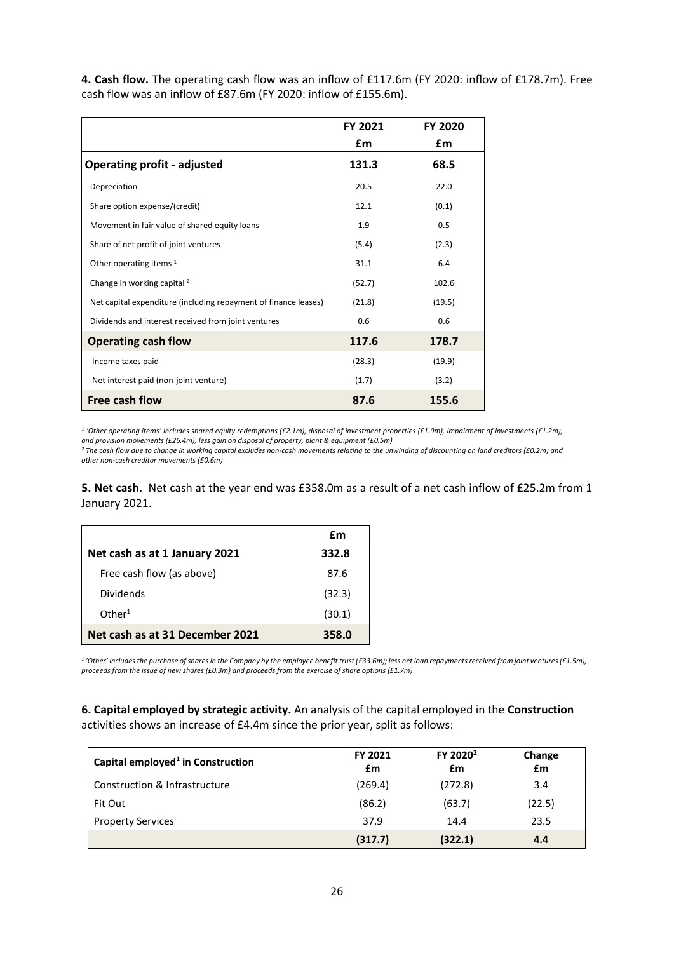**4. Cash flow.** The operating cash flow was an inflow of £117.6m (FY 2020: inflow of £178.7m). Free cash flow was an inflow of £87.6m (FY 2020: inflow of £155.6m).

|                                                                 | FY 2021 | <b>FY 2020</b> |
|-----------------------------------------------------------------|---------|----------------|
|                                                                 | £m      | £m             |
| <b>Operating profit - adjusted</b>                              | 131.3   | 68.5           |
| Depreciation                                                    | 20.5    | 22.0           |
| Share option expense/(credit)                                   | 12.1    | (0.1)          |
| Movement in fair value of shared equity loans                   | 1.9     | 0.5            |
| Share of net profit of joint ventures                           | (5.4)   | (2.3)          |
| Other operating items $1$                                       | 31.1    | 6.4            |
| Change in working capital <sup>2</sup>                          | (52.7)  | 102.6          |
| Net capital expenditure (including repayment of finance leases) | (21.8)  | (19.5)         |
| Dividends and interest received from joint ventures             | 0.6     | 0.6            |
| <b>Operating cash flow</b>                                      | 117.6   | 178.7          |
| Income taxes paid                                               | (28.3)  | (19.9)         |
| Net interest paid (non-joint venture)                           | (1.7)   | (3.2)          |
| Free cash flow                                                  | 87.6    | 155.6          |

*<sup>1</sup> 'Other operating items' includes shared equity redemptions (£2.1m), disposal of investment properties (£1.9m), impairment of investments (£1.2m), and provision movements (£26.4m), less gain on disposal of property, plant & equipment (£0.5m)*

*<sup>2</sup> The cash flow due to change in working capital excludes non-cash movements relating to the unwinding of discounting on land creditors (£0.2m) and other non-cash creditor movements (£0.6m)* 

**5. Net cash.** Net cash at the year end was £358.0m as a result of a net cash inflow of £25.2m from 1 January 2021.

|                                 | £m     |
|---------------------------------|--------|
| Net cash as at 1 January 2021   | 332.8  |
| Free cash flow (as above)       | 87.6   |
| Dividends                       | (32.3) |
| Other <sup>1</sup>              | (30.1) |
| Net cash as at 31 December 2021 | 358.0  |

<sup>1</sup> 'Other' includes the purchase of shares in the Company by the employee benefit trust (£33.6m); less net loan repayments received from joint ventures (£1.5m), *proceeds from the issue of new shares (£0.3m) and proceeds from the exercise of share options (£1.7m)*

**6. Capital employed by strategic activity.** An analysis of the capital employed in the **Construction** activities shows an increase of £4.4m since the prior year, split as follows:

| Capital employed <sup>1</sup> in Construction | FY 2021<br>£m | FY 2020 <sup>2</sup><br>£m | Change<br>£m |
|-----------------------------------------------|---------------|----------------------------|--------------|
| Construction & Infrastructure                 | (269.4)       | (272.8)                    | 3.4          |
| Fit Out                                       | (86.2)        | (63.7)                     | (22.5)       |
| <b>Property Services</b>                      | 37.9          | 14.4                       | 23.5         |
|                                               | (317.7)       | (322.1)                    | 4.4          |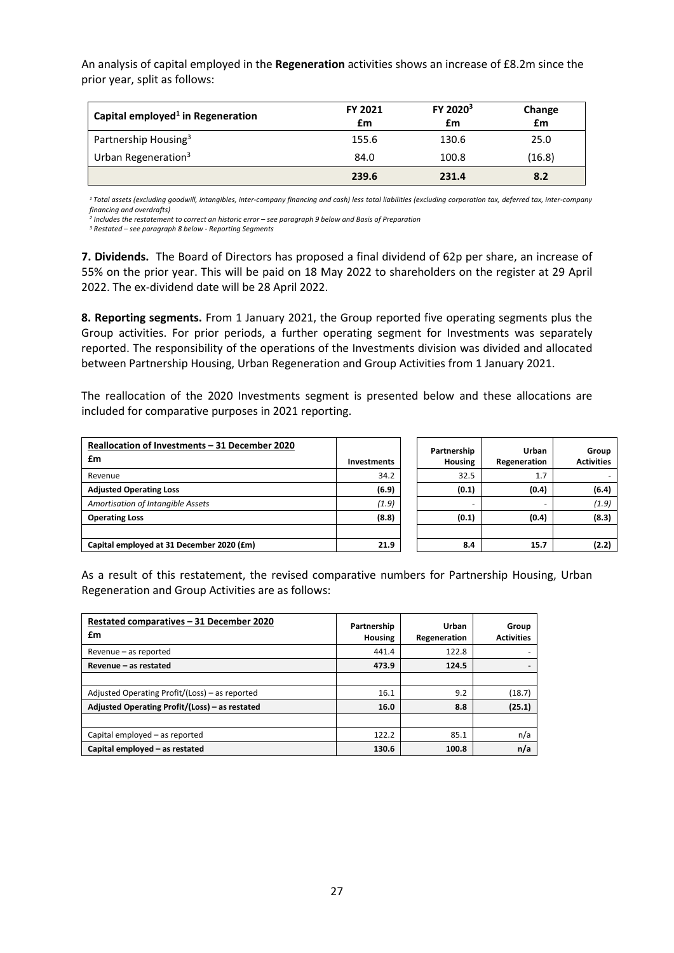An analysis of capital employed in the **Regeneration** activities shows an increase of £8.2m since the prior year, split as follows:

| Capital employed <sup>1</sup> in Regeneration | FY 2021<br>£m | FY 2020 <sup>3</sup><br>£m | Change<br>£m |
|-----------------------------------------------|---------------|----------------------------|--------------|
| Partnership Housing <sup>3</sup>              | 155.6         | 130.6                      | 25.0         |
| Urban Regeneration <sup>3</sup>               | 84.0          | 100.8                      | (16.8)       |
|                                               | 239.6         | 231.4                      | 8.2          |

*1 Total assets (excluding goodwill, intangibles, inter-company financing and cash) less total liabilities (excluding corporation tax, deferred tax, inter-company financing and overdrafts)*

<sup>2</sup> Includes the restatement to correct an historic error - see paragraph 9 below and Basis of Preparation

*<sup>3</sup> Restated – see paragraph 8 below - Reporting Segments*

**7. Dividends.** The Board of Directors has proposed a final dividend of 62p per share, an increase of 55% on the prior year. This will be paid on 18 May 2022 to shareholders on the register at 29 April 2022. The ex-dividend date will be 28 April 2022.

**8. Reporting segments.** From 1 January 2021, the Group reported five operating segments plus the Group activities. For prior periods, a further operating segment for Investments was separately reported. The responsibility of the operations of the Investments division was divided and allocated between Partnership Housing, Urban Regeneration and Group Activities from 1 January 2021.

The reallocation of the 2020 Investments segment is presented below and these allocations are included for comparative purposes in 2021 reporting.

| Reallocation of Investments - 31 December 2020 |                    | Partnership              | Urban        | Group             |
|------------------------------------------------|--------------------|--------------------------|--------------|-------------------|
| £m                                             | <b>Investments</b> | <b>Housing</b>           | Regeneration | <b>Activities</b> |
| Revenue                                        | 34.2               | 32.5                     | 1.7          |                   |
| <b>Adjusted Operating Loss</b>                 | (6.9)              | (0.1)                    | (0.4)        | (6.4)             |
| Amortisation of Intangible Assets              | (1.9)              | $\overline{\phantom{a}}$ |              | (1.9)             |
| <b>Operating Loss</b>                          | (8.8)              | (0.1)                    | (0.4)        | (8.3)             |
|                                                |                    |                          |              |                   |
| Capital employed at 31 December 2020 (£m)      | 21.9               | 8.4                      | 15.7         | (2.2)             |

As a result of this restatement, the revised comparative numbers for Partnership Housing, Urban Regeneration and Group Activities are as follows:

| Restated comparatives - 31 December 2020<br>£m | Partnership    | Urban        | Group             |
|------------------------------------------------|----------------|--------------|-------------------|
|                                                | <b>Housing</b> | Regeneration | <b>Activities</b> |
| Revenue - as reported                          | 441.4          | 122.8        |                   |
| Revenue - as restated                          | 473.9          | 124.5        |                   |
|                                                |                |              |                   |
| Adjusted Operating Profit/(Loss) - as reported | 16.1           | 9.2          | (18.7)            |
| Adjusted Operating Profit/(Loss) - as restated | 16.0           | 8.8          | (25.1)            |
|                                                |                |              |                   |
| Capital employed - as reported                 | 122.2          | 85.1         | n/a               |
| Capital employed - as restated                 | 130.6          | 100.8        | n/a               |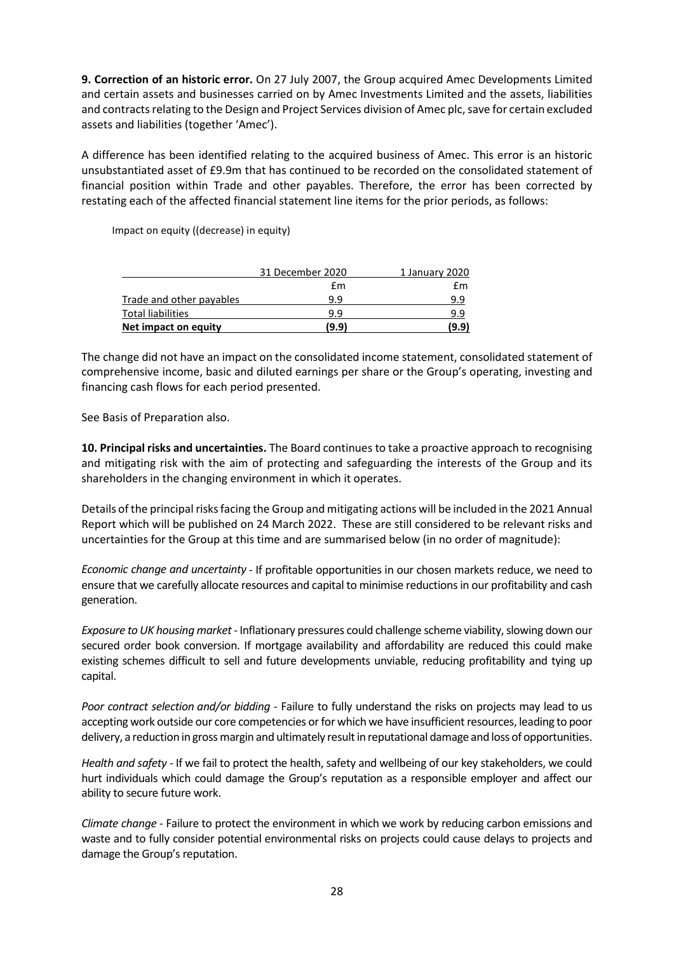**9. Correction of an historic error.** On 27 July 2007, the Group acquired Amec Developments Limited and certain assets and businesses carried on by Amec Investments Limited and the assets, liabilities and contracts relating to the Design and Project Services division of Amec plc, save for certain excluded assets and liabilities (together 'Amec').

A difference has been identified relating to the acquired business of Amec. This error is an historic unsubstantiated asset of £9.9m that has continued to be recorded on the consolidated statement of financial position within Trade and other payables. Therefore, the error has been corrected by restating each of the affected financial statement line items for the prior periods, as follows:

Impact on equity ((decrease) in equity)

|                          | 31 December 2020 | 1 January 2020 |
|--------------------------|------------------|----------------|
|                          | £m               | fm             |
| Trade and other payables | 9.9              | 9.9            |
| <b>Total liabilities</b> | 99               | 9.9            |
| Net impact on equity     | (9.9)            | (9.9)          |

The change did not have an impact on the consolidated income statement, consolidated statement of comprehensive income, basic and diluted earnings per share or the Group's operating, investing and financing cash flows for each period presented.

See Basis of Preparation also.

**10. Principal risks and uncertainties.** The Board continues to take a proactive approach to recognising and mitigating risk with the aim of protecting and safeguarding the interests of the Group and its shareholders in the changing environment in which it operates.

Details of the principal risks facing the Group and mitigating actions will be included in the 2021 Annual Report which will be published on 24 March 2022. These are still considered to be relevant risks and uncertainties for the Group at this time and are summarised below (in no order of magnitude):

*Economic change and uncertainty -* If profitable opportunities in our chosen markets reduce, we need to ensure that we carefully allocate resources and capital to minimise reductions in our profitability and cash generation.

*Exposure to UK housing market -* Inflationary pressures could challenge scheme viability, slowing down our secured order book conversion. If mortgage availability and affordability are reduced this could make existing schemes difficult to sell and future developments unviable, reducing profitability and tying up capital.

*Poor contract selection and/or bidding -* Failure to fully understand the risks on projects may lead to us accepting work outside our core competencies or for which we have insufficient resources, leading to poor delivery, a reduction in gross margin and ultimately result in reputational damage and loss of opportunities.

*Health and safety -* If we fail to protect the health, safety and wellbeing of our key stakeholders, we could hurt individuals which could damage the Group's reputation as a responsible employer and affect our ability to secure future work.

*Climate change -* Failure to protect the environment in which we work by reducing carbon emissions and waste and to fully consider potential environmental risks on projects could cause delays to projects and damage the Group's reputation.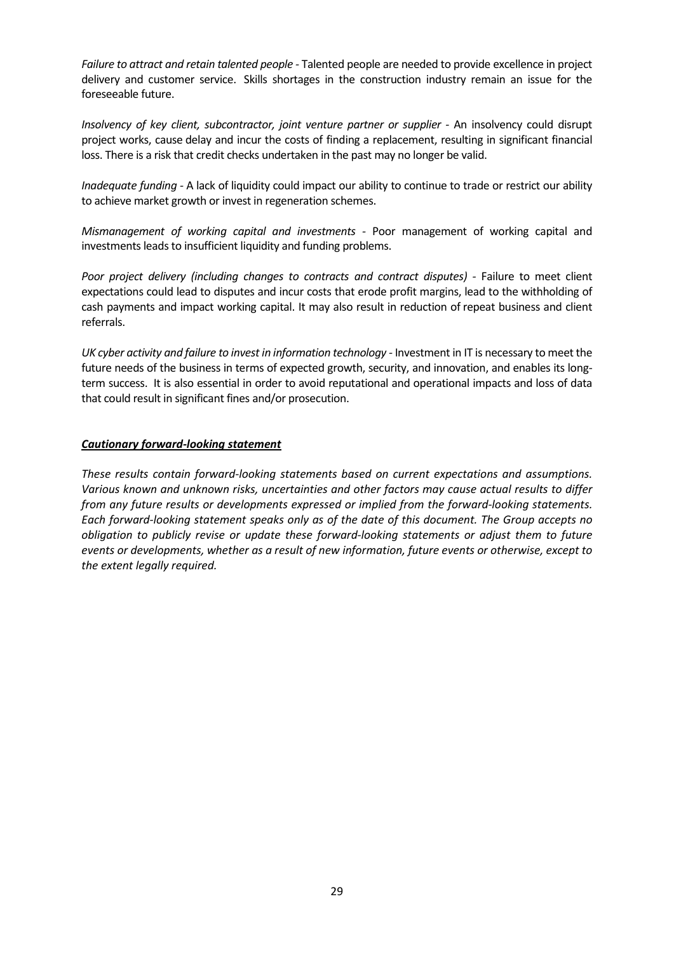*Failure to attract and retain talented people -* Talented people are needed to provide excellence in project delivery and customer service. Skills shortages in the construction industry remain an issue for the foreseeable future.

*Insolvency of key client, subcontractor, joint venture partner or supplier -* An insolvency could disrupt project works, cause delay and incur the costs of finding a replacement, resulting in significant financial loss. There is a risk that credit checks undertaken in the past may no longer be valid.

*Inadequate funding -* A lack of liquidity could impact our ability to continue to trade or restrict our ability to achieve market growth or invest in regeneration schemes.

*Mismanagement of working capital and investments -* Poor management of working capital and investments leads to insufficient liquidity and funding problems.

*Poor project delivery (including changes to contracts and contract disputes) -* Failure to meet client expectations could lead to disputes and incur costs that erode profit margins, lead to the withholding of cash payments and impact working capital. It may also result in reduction of repeat business and client referrals.

*UK cyber activity and failure to invest in information technology -* Investment in IT is necessary to meet the future needs of the business in terms of expected growth, security, and innovation, and enables its longterm success. It is also essential in order to avoid reputational and operational impacts and loss of data that could result in significant fines and/or prosecution.

# *Cautionary forward-looking statement*

*These results contain forward-looking statements based on current expectations and assumptions. Various known and unknown risks, uncertainties and other factors may cause actual results to differ from any future results or developments expressed or implied from the forward-looking statements. Each forward-looking statement speaks only as of the date of this document. The Group accepts no obligation to publicly revise or update these forward-looking statements or adjust them to future events or developments, whether as a result of new information, future events or otherwise, except to the extent legally required.*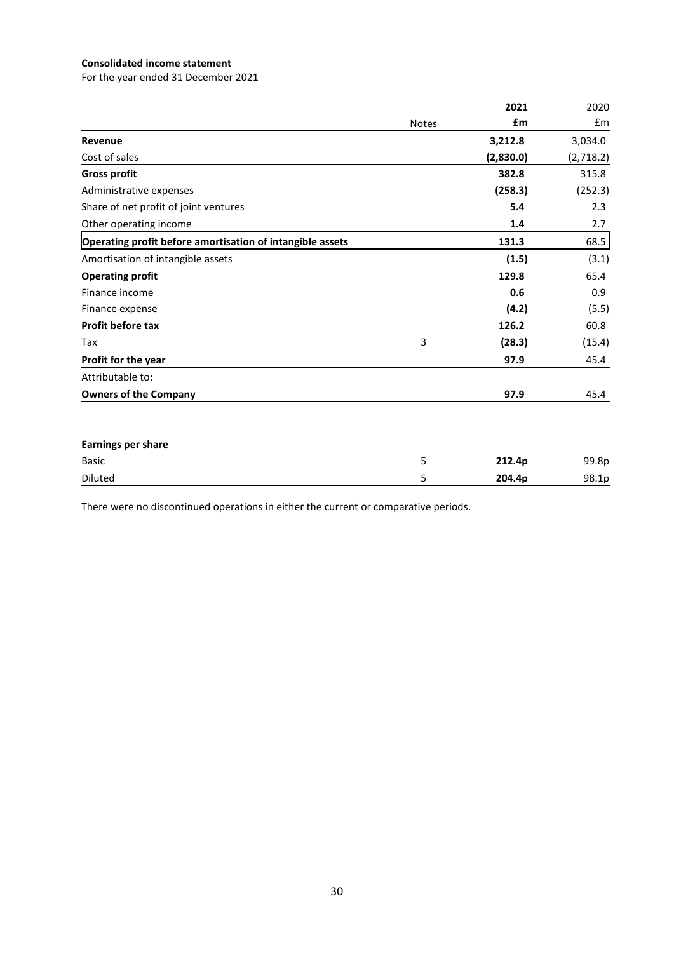# **Consolidated income statement**

For the year ended 31 December 2021

|                                                           |              | 2021      | 2020              |
|-----------------------------------------------------------|--------------|-----------|-------------------|
|                                                           | <b>Notes</b> | £m        | £m                |
| Revenue                                                   |              | 3,212.8   | 3,034.0           |
| Cost of sales                                             |              | (2,830.0) | (2,718.2)         |
| <b>Gross profit</b>                                       |              | 382.8     | 315.8             |
| Administrative expenses                                   |              | (258.3)   | (252.3)           |
| Share of net profit of joint ventures                     |              | 5.4       | 2.3               |
| Other operating income                                    |              | 1.4       | 2.7               |
| Operating profit before amortisation of intangible assets |              | 131.3     | 68.5              |
| Amortisation of intangible assets                         |              | (1.5)     | (3.1)             |
| <b>Operating profit</b>                                   |              | 129.8     | 65.4              |
| Finance income                                            |              | 0.6       | 0.9               |
| Finance expense                                           |              | (4.2)     | (5.5)             |
| Profit before tax                                         |              | 126.2     | 60.8              |
| Tax                                                       | 3            | (28.3)    | (15.4)            |
| Profit for the year                                       |              | 97.9      | 45.4              |
| Attributable to:                                          |              |           |                   |
| <b>Owners of the Company</b>                              |              | 97.9      | 45.4              |
| <b>Earnings per share</b>                                 |              |           |                   |
| <b>Basic</b>                                              | 5            | 212.4p    | 99.8p             |
| Diluted                                                   | 5            | 204.4p    | 98.1 <sub>p</sub> |

There were no discontinued operations in either the current or comparative periods.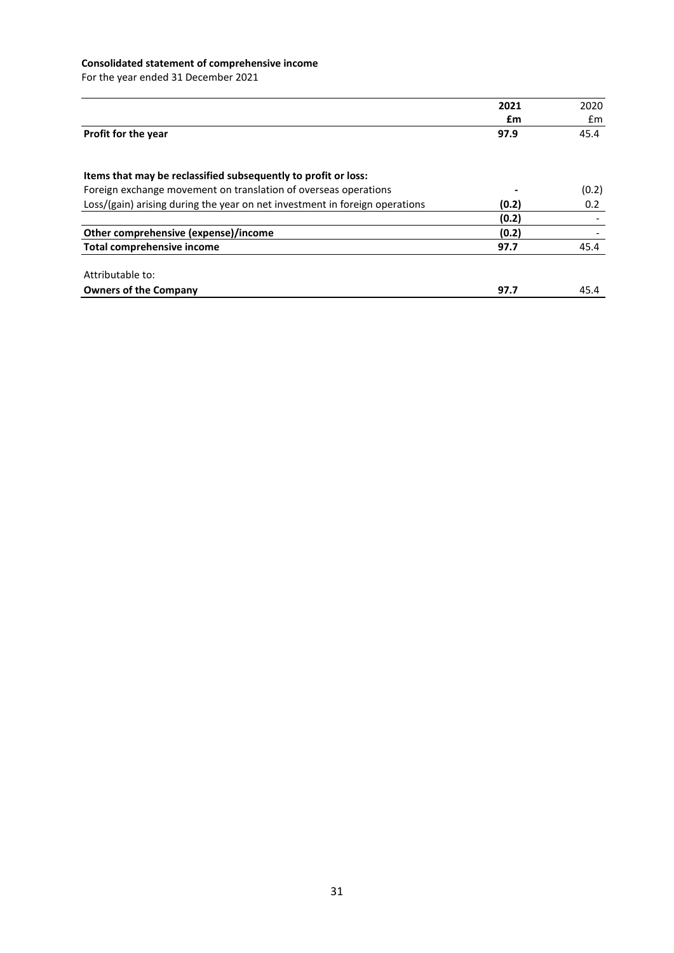# **Consolidated statement of comprehensive income**

For the year ended 31 December 2021

|                                                                             | 2021  | 2020  |
|-----------------------------------------------------------------------------|-------|-------|
|                                                                             | £m    | £m    |
|                                                                             |       |       |
| Profit for the year                                                         | 97.9  | 45.4  |
|                                                                             |       |       |
| Items that may be reclassified subsequently to profit or loss:              |       |       |
| Foreign exchange movement on translation of overseas operations             |       | (0.2) |
| Loss/(gain) arising during the year on net investment in foreign operations | (0.2) | 0.2   |
|                                                                             | (0.2) |       |
| Other comprehensive (expense)/income                                        | (0.2) |       |
| Total comprehensive income                                                  | 97.7  | 45.4  |
| Attributable to:                                                            |       |       |
| <b>Owners of the Company</b>                                                | 97.7  | 45.4  |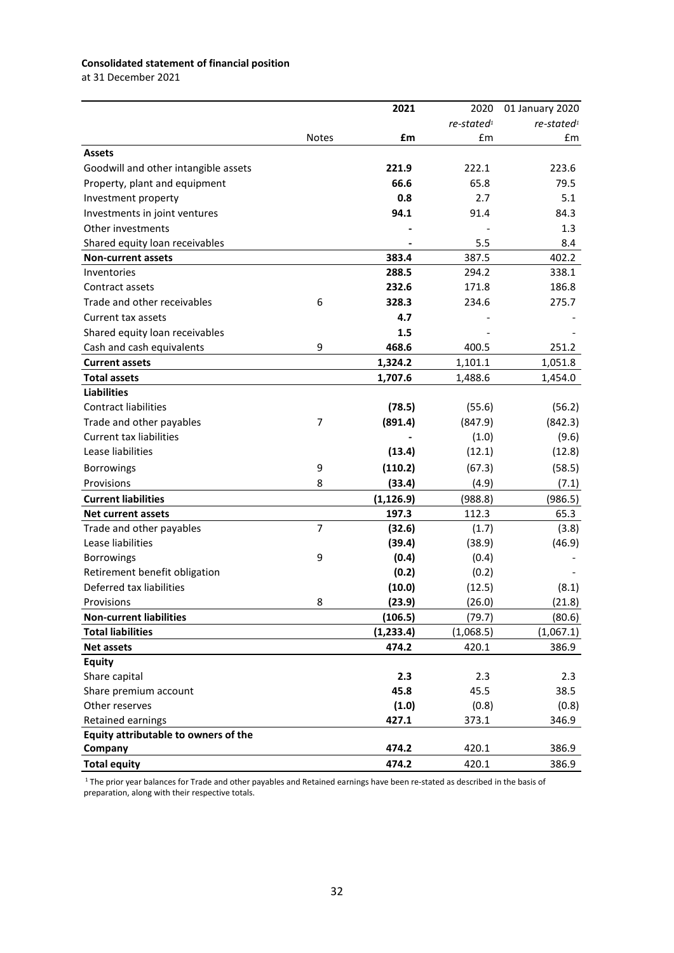# **Consolidated statement of financial position**

at 31 December 2021

|                                      |                | 2021       | 2020                   | 01 January 2020           |
|--------------------------------------|----------------|------------|------------------------|---------------------------|
|                                      |                |            | re-stated <sup>1</sup> | $re$ -stated <sup>1</sup> |
|                                      | <b>Notes</b>   | £m         | £m                     | £m                        |
| <b>Assets</b>                        |                |            |                        |                           |
| Goodwill and other intangible assets |                | 221.9      | 222.1                  | 223.6                     |
| Property, plant and equipment        |                | 66.6       | 65.8                   | 79.5                      |
| Investment property                  |                | 0.8        | 2.7                    | 5.1                       |
| Investments in joint ventures        |                | 94.1       | 91.4                   | 84.3                      |
| Other investments                    |                |            |                        | 1.3                       |
| Shared equity loan receivables       |                |            | 5.5                    | 8.4                       |
| <b>Non-current assets</b>            |                | 383.4      | 387.5                  | 402.2                     |
| Inventories                          |                | 288.5      | 294.2                  | 338.1                     |
| Contract assets                      |                | 232.6      | 171.8                  | 186.8                     |
| Trade and other receivables          | 6              | 328.3      | 234.6                  | 275.7                     |
| Current tax assets                   |                | 4.7        |                        |                           |
| Shared equity loan receivables       |                | 1.5        |                        |                           |
| Cash and cash equivalents            | 9              | 468.6      | 400.5                  | 251.2                     |
| <b>Current assets</b>                |                | 1,324.2    | 1,101.1                | 1,051.8                   |
| <b>Total assets</b>                  |                | 1,707.6    | 1,488.6                | 1,454.0                   |
| <b>Liabilities</b>                   |                |            |                        |                           |
| <b>Contract liabilities</b>          |                | (78.5)     | (55.6)                 | (56.2)                    |
| Trade and other payables             | $\overline{7}$ | (891.4)    | (847.9)                | (842.3)                   |
| <b>Current tax liabilities</b>       |                |            | (1.0)                  | (9.6)                     |
| Lease liabilities                    |                | (13.4)     | (12.1)                 | (12.8)                    |
| <b>Borrowings</b>                    | 9              | (110.2)    | (67.3)                 | (58.5)                    |
| Provisions                           | 8              | (33.4)     | (4.9)                  | (7.1)                     |
| <b>Current liabilities</b>           |                | (1, 126.9) | (988.8)                | (986.5)                   |
| <b>Net current assets</b>            |                | 197.3      | 112.3                  | 65.3                      |
| Trade and other payables             | $\overline{7}$ | (32.6)     | (1.7)                  | (3.8)                     |
| Lease liabilities                    |                | (39.4)     | (38.9)                 | (46.9)                    |
| <b>Borrowings</b>                    | 9              | (0.4)      | (0.4)                  |                           |
| Retirement benefit obligation        |                | (0.2)      | (0.2)                  |                           |
| Deferred tax liabilities             |                | (10.0)     | (12.5)                 | (8.1)                     |
| Provisions                           | 8              | (23.9)     | (26.0)                 | (21.8)                    |
| <b>Non-current liabilities</b>       |                | (106.5)    | (79.7)                 | (80.6)                    |
| <b>Total liabilities</b>             |                | (1, 233.4) | (1,068.5)              | (1,067.1)                 |
| <b>Net assets</b>                    |                | 474.2      | 420.1                  | 386.9                     |
| Equity                               |                |            |                        |                           |
| Share capital                        |                | 2.3        | 2.3                    | 2.3                       |
| Share premium account                |                | 45.8       | 45.5                   | 38.5                      |
| Other reserves                       |                | (1.0)      | (0.8)                  | (0.8)                     |
| Retained earnings                    |                | 427.1      | 373.1                  | 346.9                     |
| Equity attributable to owners of the |                |            |                        |                           |
| Company                              |                | 474.2      | 420.1                  | 386.9                     |
| <b>Total equity</b>                  |                | 474.2      | 420.1                  | 386.9                     |

<sup>1</sup> The prior year balances for Trade and other payables and Retained earnings have been re-stated as described in the basis of preparation, along with their respective totals.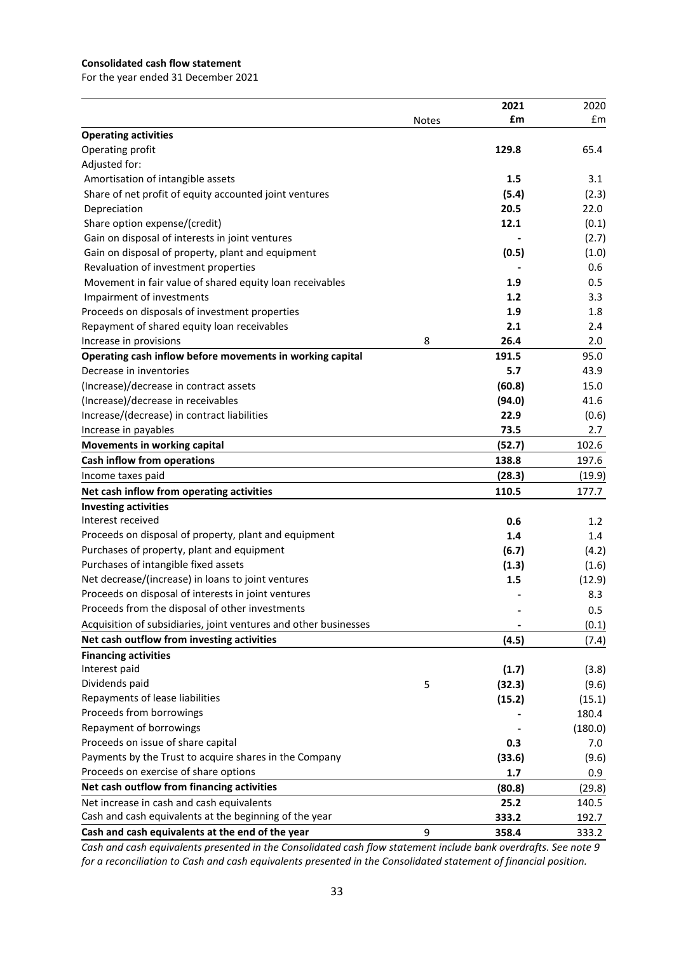### **Consolidated cash flow statement**

For the year ended 31 December 2021

|                                                                  |              | 2021   | 2020    |
|------------------------------------------------------------------|--------------|--------|---------|
|                                                                  | <b>Notes</b> | £m     | £m      |
| <b>Operating activities</b>                                      |              |        |         |
| Operating profit                                                 |              | 129.8  | 65.4    |
| Adjusted for:                                                    |              |        |         |
| Amortisation of intangible assets                                |              | 1.5    | 3.1     |
| Share of net profit of equity accounted joint ventures           |              | (5.4)  | (2.3)   |
| Depreciation                                                     |              | 20.5   | 22.0    |
| Share option expense/(credit)                                    |              | 12.1   | (0.1)   |
| Gain on disposal of interests in joint ventures                  |              |        | (2.7)   |
| Gain on disposal of property, plant and equipment                |              | (0.5)  | (1.0)   |
| Revaluation of investment properties                             |              |        | 0.6     |
| Movement in fair value of shared equity loan receivables         |              | 1.9    | 0.5     |
| Impairment of investments                                        |              | 1.2    | 3.3     |
| Proceeds on disposals of investment properties                   |              | 1.9    | 1.8     |
| Repayment of shared equity loan receivables                      |              | 2.1    | 2.4     |
| Increase in provisions                                           | 8            | 26.4   | 2.0     |
| Operating cash inflow before movements in working capital        |              | 191.5  | 95.0    |
| Decrease in inventories                                          |              | 5.7    | 43.9    |
| (Increase)/decrease in contract assets                           |              | (60.8) | 15.0    |
| (Increase)/decrease in receivables                               |              | (94.0) | 41.6    |
| Increase/(decrease) in contract liabilities                      |              | 22.9   | (0.6)   |
| Increase in payables                                             |              | 73.5   | 2.7     |
| <b>Movements in working capital</b>                              |              | (52.7) | 102.6   |
| Cash inflow from operations                                      |              | 138.8  | 197.6   |
| Income taxes paid                                                |              | (28.3) | (19.9)  |
| Net cash inflow from operating activities                        |              | 110.5  | 177.7   |
| <b>Investing activities</b>                                      |              |        |         |
| Interest received                                                |              | 0.6    | 1.2     |
| Proceeds on disposal of property, plant and equipment            |              | 1.4    | 1.4     |
| Purchases of property, plant and equipment                       |              | (6.7)  | (4.2)   |
| Purchases of intangible fixed assets                             |              | (1.3)  | (1.6)   |
| Net decrease/(increase) in loans to joint ventures               |              | 1.5    | (12.9)  |
| Proceeds on disposal of interests in joint ventures              |              |        | 8.3     |
| Proceeds from the disposal of other investments                  |              |        | 0.5     |
| Acquisition of subsidiaries, joint ventures and other businesses |              |        | (0.1)   |
| Net cash outflow from investing activities                       |              | (4.5)  | (7.4)   |
| <b>Financing activities</b>                                      |              |        |         |
| Interest paid                                                    |              | (1.7)  | (3.8)   |
| Dividends paid                                                   | 5            | (32.3) | (9.6)   |
| Repayments of lease liabilities                                  |              | (15.2) | (15.1)  |
| Proceeds from borrowings                                         |              |        | 180.4   |
| Repayment of borrowings                                          |              |        | (180.0) |
| Proceeds on issue of share capital                               |              | 0.3    | 7.0     |
| Payments by the Trust to acquire shares in the Company           |              | (33.6) | (9.6)   |
| Proceeds on exercise of share options                            |              | 1.7    | 0.9     |
| Net cash outflow from financing activities                       |              | (80.8) | (29.8)  |
| Net increase in cash and cash equivalents                        |              | 25.2   | 140.5   |
| Cash and cash equivalents at the beginning of the year           |              | 333.2  | 192.7   |
| Cash and cash equivalents at the end of the year                 | 9            | 358.4  | 333.2   |

*Cash and cash equivalents presented in the Consolidated cash flow statement include bank overdrafts. See note 9 for a reconciliation to Cash and cash equivalents presented in the Consolidated statement of financial position.*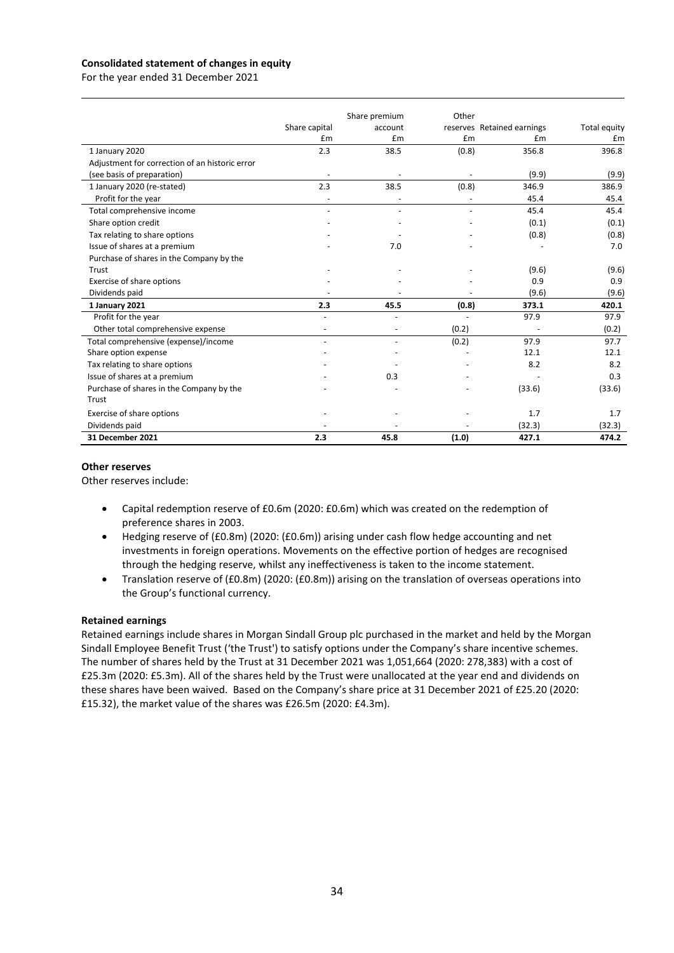### **Consolidated statement of changes in equity**

For the year ended 31 December 2021

|                                                |                          | Share premium            | Other |                            |              |
|------------------------------------------------|--------------------------|--------------------------|-------|----------------------------|--------------|
|                                                | Share capital            | account                  |       | reserves Retained earnings | Total equity |
|                                                | £m                       | £m                       | £m    | £m                         | £m           |
| 1 January 2020                                 | 2.3                      | 38.5                     | (0.8) | 356.8                      | 396.8        |
| Adjustment for correction of an historic error |                          |                          |       |                            |              |
| (see basis of preparation)                     | $\overline{\phantom{a}}$ |                          |       | (9.9)                      | (9.9)        |
| 1 January 2020 (re-stated)                     | 2.3                      | 38.5                     | (0.8) | 346.9                      | 386.9        |
| Profit for the year                            |                          |                          |       | 45.4                       | 45.4         |
| Total comprehensive income                     |                          |                          |       | 45.4                       | 45.4         |
| Share option credit                            |                          |                          |       | (0.1)                      | (0.1)        |
| Tax relating to share options                  |                          |                          |       | (0.8)                      | (0.8)        |
| Issue of shares at a premium                   |                          | 7.0                      |       |                            | 7.0          |
| Purchase of shares in the Company by the       |                          |                          |       |                            |              |
| Trust                                          |                          |                          |       | (9.6)                      | (9.6)        |
| Exercise of share options                      |                          |                          |       | 0.9                        | 0.9          |
| Dividends paid                                 |                          |                          |       | (9.6)                      | (9.6)        |
| 1 January 2021                                 | 2.3                      | 45.5                     | (0.8) | 373.1                      | 420.1        |
| Profit for the year                            |                          |                          |       | 97.9                       | 97.9         |
| Other total comprehensive expense              |                          |                          | (0.2) |                            | (0.2)        |
| Total comprehensive (expense)/income           |                          | $\overline{\phantom{a}}$ | (0.2) | 97.9                       | 97.7         |
| Share option expense                           |                          |                          |       | 12.1                       | 12.1         |
| Tax relating to share options                  |                          |                          |       | 8.2                        | 8.2          |
| Issue of shares at a premium                   |                          | 0.3                      |       |                            | 0.3          |
| Purchase of shares in the Company by the       |                          |                          |       | (33.6)                     | (33.6)       |
| Trust                                          |                          |                          |       |                            |              |
| Exercise of share options                      |                          |                          |       | 1.7                        | 1.7          |
| Dividends paid                                 |                          |                          |       | (32.3)                     | (32.3)       |
| 31 December 2021                               | 2.3                      | 45.8                     | (1.0) | 427.1                      | 474.2        |

### **Other reserves**

Other reserves include:

- Capital redemption reserve of £0.6m (2020: £0.6m) which was created on the redemption of preference shares in 2003.
- Hedging reserve of (£0.8m) (2020: (£0.6m)) arising under cash flow hedge accounting and net investments in foreign operations. Movements on the effective portion of hedges are recognised through the hedging reserve, whilst any ineffectiveness is taken to the income statement.
- Translation reserve of (£0.8m) (2020: (£0.8m)) arising on the translation of overseas operations into the Group's functional currency.

### **Retained earnings**

Retained earnings include shares in Morgan Sindall Group plc purchased in the market and held by the Morgan Sindall Employee Benefit Trust ('the Trust') to satisfy options under the Company's share incentive schemes. The number of shares held by the Trust at 31 December 2021 was 1,051,664 (2020: 278,383) with a cost of £25.3m (2020: £5.3m). All of the shares held by the Trust were unallocated at the year end and dividends on these shares have been waived. Based on the Company's share price at 31 December 2021 of £25.20 (2020: £15.32), the market value of the shares was £26.5m (2020: £4.3m).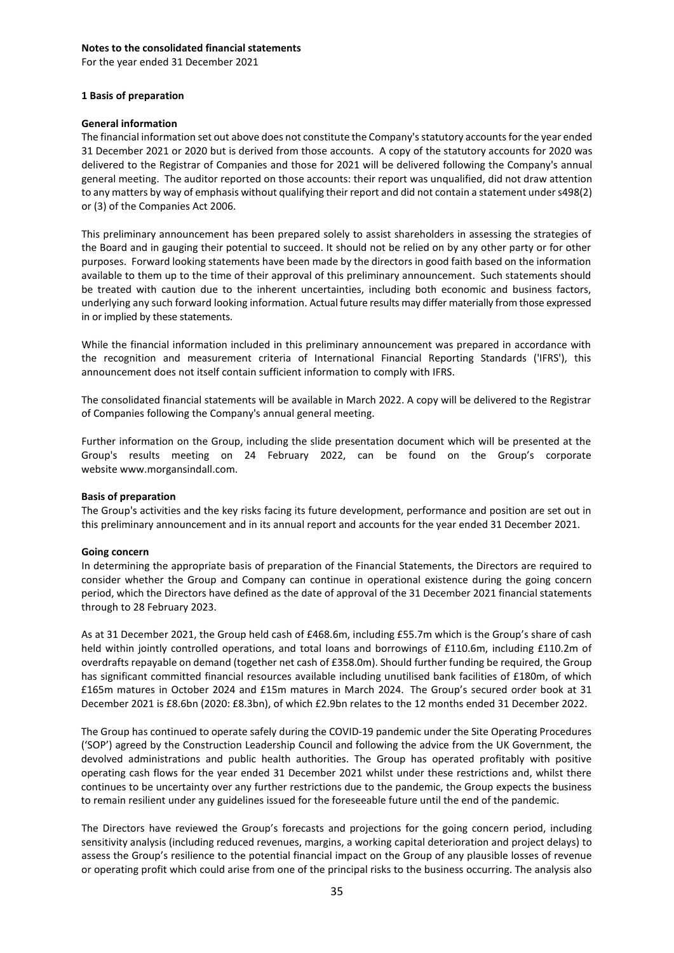For the year ended 31 December 2021

### **1 Basis of preparation**

### **General information**

The financial information set out above does not constitute the Company's statutory accounts for the year ended 31 December 2021 or 2020 but is derived from those accounts. A copy of the statutory accounts for 2020 was delivered to the Registrar of Companies and those for 2021 will be delivered following the Company's annual general meeting. The auditor reported on those accounts: their report was unqualified, did not draw attention to any matters by way of emphasis without qualifying their report and did not contain a statement unders498(2) or (3) of the Companies Act 2006.

This preliminary announcement has been prepared solely to assist shareholders in assessing the strategies of the Board and in gauging their potential to succeed. It should not be relied on by any other party or for other purposes. Forward looking statements have been made by the directors in good faith based on the information available to them up to the time of their approval of this preliminary announcement. Such statements should be treated with caution due to the inherent uncertainties, including both economic and business factors, underlying any such forward looking information. Actual future results may differ materially from those expressed in or implied by these statements.

While the financial information included in this preliminary announcement was prepared in accordance with the recognition and measurement criteria of International Financial Reporting Standards ('IFRS'), this announcement does not itself contain sufficient information to comply with IFRS.

The consolidated financial statements will be available in March 2022. A copy will be delivered to the Registrar of Companies following the Company's annual general meeting.

Further information on the Group, including the slide presentation document which will be presented at the Group's results meeting on 24 February 2022, can be found on the Group's corporate website www.morgansindall.com.

### **Basis of preparation**

The Group's activities and the key risks facing its future development, performance and position are set out in this preliminary announcement and in its annual report and accounts for the year ended 31 December 2021.

### **Going concern**

In determining the appropriate basis of preparation of the Financial Statements, the Directors are required to consider whether the Group and Company can continue in operational existence during the going concern period, which the Directors have defined as the date of approval of the 31 December 2021 financial statements through to 28 February 2023.

As at 31 December 2021, the Group held cash of £468.6m, including £55.7m which is the Group's share of cash held within jointly controlled operations, and total loans and borrowings of £110.6m, including £110.2m of overdrafts repayable on demand (together net cash of £358.0m). Should further funding be required, the Group has significant committed financial resources available including unutilised bank facilities of £180m, of which £165m matures in October 2024 and £15m matures in March 2024. The Group's secured order book at 31 December 2021 is £8.6bn (2020: £8.3bn), of which £2.9bn relates to the 12 months ended 31 December 2022.

The Group has continued to operate safely during the COVID-19 pandemic under the Site Operating Procedures ('SOP') agreed by the Construction Leadership Council and following the advice from the UK Government, the devolved administrations and public health authorities. The Group has operated profitably with positive operating cash flows for the year ended 31 December 2021 whilst under these restrictions and, whilst there continues to be uncertainty over any further restrictions due to the pandemic, the Group expects the business to remain resilient under any guidelines issued for the foreseeable future until the end of the pandemic.

The Directors have reviewed the Group's forecasts and projections for the going concern period, including sensitivity analysis (including reduced revenues, margins, a working capital deterioration and project delays) to assess the Group's resilience to the potential financial impact on the Group of any plausible losses of revenue or operating profit which could arise from one of the principal risks to the business occurring. The analysis also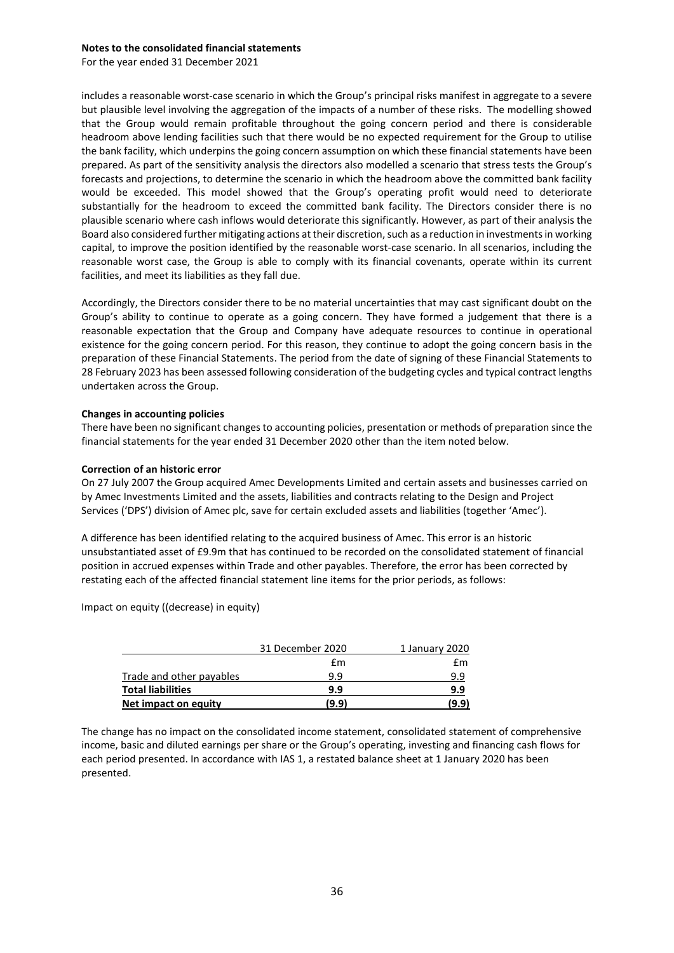For the year ended 31 December 2021

includes a reasonable worst-case scenario in which the Group's principal risks manifest in aggregate to a severe but plausible level involving the aggregation of the impacts of a number of these risks. The modelling showed that the Group would remain profitable throughout the going concern period and there is considerable headroom above lending facilities such that there would be no expected requirement for the Group to utilise the bank facility, which underpins the going concern assumption on which these financial statements have been prepared. As part of the sensitivity analysis the directors also modelled a scenario that stress tests the Group's forecasts and projections, to determine the scenario in which the headroom above the committed bank facility would be exceeded. This model showed that the Group's operating profit would need to deteriorate substantially for the headroom to exceed the committed bank facility. The Directors consider there is no plausible scenario where cash inflows would deteriorate this significantly. However, as part of their analysis the Board also considered further mitigating actions at their discretion, such as a reduction in investments in working capital, to improve the position identified by the reasonable worst-case scenario. In all scenarios, including the reasonable worst case, the Group is able to comply with its financial covenants, operate within its current facilities, and meet its liabilities as they fall due.

Accordingly, the Directors consider there to be no material uncertainties that may cast significant doubt on the Group's ability to continue to operate as a going concern. They have formed a judgement that there is a reasonable expectation that the Group and Company have adequate resources to continue in operational existence for the going concern period. For this reason, they continue to adopt the going concern basis in the preparation of these Financial Statements. The period from the date of signing of these Financial Statements to 28 February 2023 has been assessed following consideration of the budgeting cycles and typical contract lengths undertaken across the Group.

### **Changes in accounting policies**

There have been no significant changes to accounting policies, presentation or methods of preparation since the financial statements for the year ended 31 December 2020 other than the item noted below.

### **Correction of an historic error**

On 27 July 2007 the Group acquired Amec Developments Limited and certain assets and businesses carried on by Amec Investments Limited and the assets, liabilities and contracts relating to the Design and Project Services ('DPS') division of Amec plc, save for certain excluded assets and liabilities (together 'Amec').

A difference has been identified relating to the acquired business of Amec. This error is an historic unsubstantiated asset of £9.9m that has continued to be recorded on the consolidated statement of financial position in accrued expenses within Trade and other payables. Therefore, the error has been corrected by restating each of the affected financial statement line items for the prior periods, as follows:

Impact on equity ((decrease) in equity)

|                          | 31 December 2020 | 1 January 2020 |
|--------------------------|------------------|----------------|
|                          | £m               | fm             |
| Trade and other payables | 9.9              | 9.9            |
| <b>Total liabilities</b> | 9.9              | 9.9            |
| Net impact on equity     | (9.9)            | (9.9)          |

The change has no impact on the consolidated income statement, consolidated statement of comprehensive income, basic and diluted earnings per share or the Group's operating, investing and financing cash flows for each period presented. In accordance with IAS 1, a restated balance sheet at 1 January 2020 has been presented.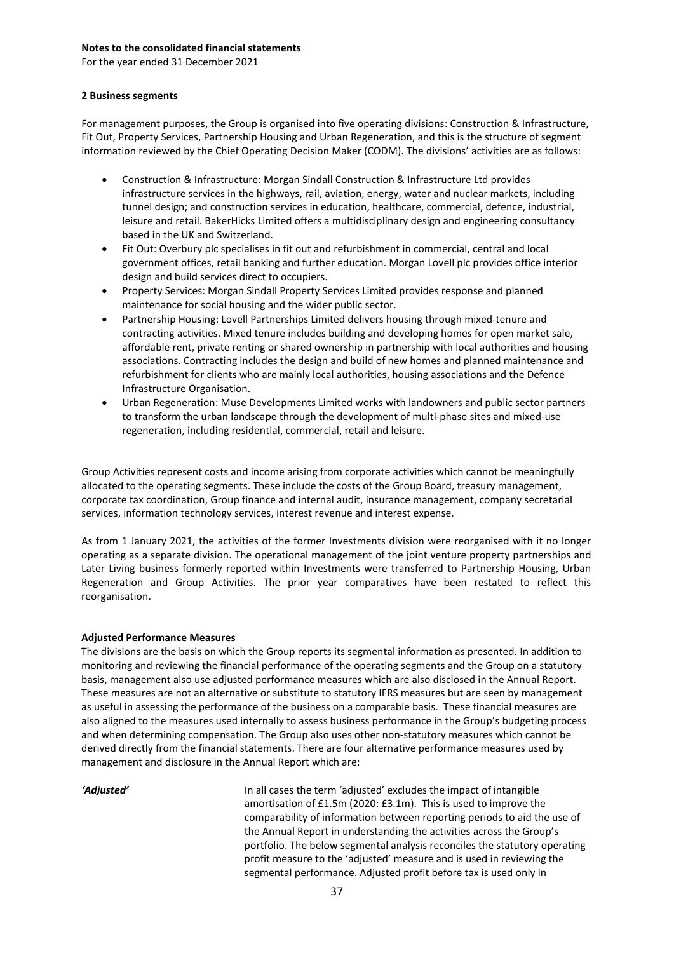For the year ended 31 December 2021

### **2 Business segments**

For management purposes, the Group is organised into five operating divisions: Construction & Infrastructure, Fit Out, Property Services, Partnership Housing and Urban Regeneration, and this is the structure of segment information reviewed by the Chief Operating Decision Maker (CODM). The divisions' activities are as follows:

- Construction & Infrastructure: Morgan Sindall Construction & Infrastructure Ltd provides infrastructure services in the highways, rail, aviation, energy, water and nuclear markets, including tunnel design; and construction services in education, healthcare, commercial, defence, industrial, leisure and retail. BakerHicks Limited offers a multidisciplinary design and engineering consultancy based in the UK and Switzerland.
- Fit Out: Overbury plc specialises in fit out and refurbishment in commercial, central and local government offices, retail banking and further education. Morgan Lovell plc provides office interior design and build services direct to occupiers.
- Property Services: Morgan Sindall Property Services Limited provides response and planned maintenance for social housing and the wider public sector.
- Partnership Housing: Lovell Partnerships Limited delivers housing through mixed-tenure and contracting activities. Mixed tenure includes building and developing homes for open market sale, affordable rent, private renting or shared ownership in partnership with local authorities and housing associations. Contracting includes the design and build of new homes and planned maintenance and refurbishment for clients who are mainly local authorities, housing associations and the Defence Infrastructure Organisation.
- Urban Regeneration: Muse Developments Limited works with landowners and public sector partners to transform the urban landscape through the development of multi-phase sites and mixed-use regeneration, including residential, commercial, retail and leisure.

Group Activities represent costs and income arising from corporate activities which cannot be meaningfully allocated to the operating segments. These include the costs of the Group Board, treasury management, corporate tax coordination, Group finance and internal audit, insurance management, company secretarial services, information technology services, interest revenue and interest expense.

As from 1 January 2021, the activities of the former Investments division were reorganised with it no longer operating as a separate division. The operational management of the joint venture property partnerships and Later Living business formerly reported within Investments were transferred to Partnership Housing, Urban Regeneration and Group Activities. The prior year comparatives have been restated to reflect this reorganisation.

### **Adjusted Performance Measures**

The divisions are the basis on which the Group reports its segmental information as presented. In addition to monitoring and reviewing the financial performance of the operating segments and the Group on a statutory basis, management also use adjusted performance measures which are also disclosed in the Annual Report. These measures are not an alternative or substitute to statutory IFRS measures but are seen by management as useful in assessing the performance of the business on a comparable basis. These financial measures are also aligned to the measures used internally to assess business performance in the Group's budgeting process and when determining compensation. The Group also uses other non-statutory measures which cannot be derived directly from the financial statements. There are four alternative performance measures used by management and disclosure in the Annual Report which are:

*'Adjusted'* In all cases the term 'adjusted' excludes the impact of intangible amortisation of £1.5m (2020: £3.1m). This is used to improve the comparability of information between reporting periods to aid the use of the Annual Report in understanding the activities across the Group's portfolio. The below segmental analysis reconciles the statutory operating profit measure to the 'adjusted' measure and is used in reviewing the segmental performance. Adjusted profit before tax is used only in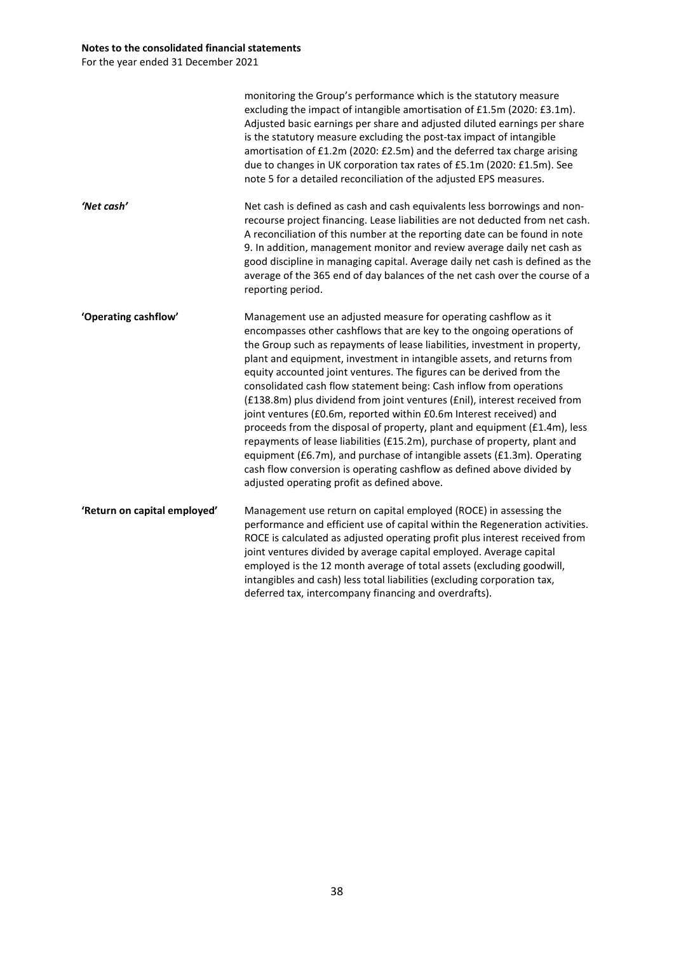For the year ended 31 December 2021

|                              | monitoring the Group's performance which is the statutory measure<br>excluding the impact of intangible amortisation of £1.5m (2020: £3.1m).<br>Adjusted basic earnings per share and adjusted diluted earnings per share<br>is the statutory measure excluding the post-tax impact of intangible<br>amortisation of £1.2m (2020: £2.5m) and the deferred tax charge arising<br>due to changes in UK corporation tax rates of £5.1m (2020: £1.5m). See<br>note 5 for a detailed reconciliation of the adjusted EPS measures.                                                                                                                                                                                                                                                                                                                                                                                                                                       |
|------------------------------|--------------------------------------------------------------------------------------------------------------------------------------------------------------------------------------------------------------------------------------------------------------------------------------------------------------------------------------------------------------------------------------------------------------------------------------------------------------------------------------------------------------------------------------------------------------------------------------------------------------------------------------------------------------------------------------------------------------------------------------------------------------------------------------------------------------------------------------------------------------------------------------------------------------------------------------------------------------------|
| 'Net cash'                   | Net cash is defined as cash and cash equivalents less borrowings and non-<br>recourse project financing. Lease liabilities are not deducted from net cash.<br>A reconciliation of this number at the reporting date can be found in note<br>9. In addition, management monitor and review average daily net cash as<br>good discipline in managing capital. Average daily net cash is defined as the<br>average of the 365 end of day balances of the net cash over the course of a<br>reporting period.                                                                                                                                                                                                                                                                                                                                                                                                                                                           |
| 'Operating cashflow'         | Management use an adjusted measure for operating cashflow as it<br>encompasses other cashflows that are key to the ongoing operations of<br>the Group such as repayments of lease liabilities, investment in property,<br>plant and equipment, investment in intangible assets, and returns from<br>equity accounted joint ventures. The figures can be derived from the<br>consolidated cash flow statement being: Cash inflow from operations<br>(£138.8m) plus dividend from joint ventures (£nil), interest received from<br>joint ventures (£0.6m, reported within £0.6m Interest received) and<br>proceeds from the disposal of property, plant and equipment (£1.4m), less<br>repayments of lease liabilities (£15.2m), purchase of property, plant and<br>equipment (£6.7m), and purchase of intangible assets (£1.3m). Operating<br>cash flow conversion is operating cashflow as defined above divided by<br>adjusted operating profit as defined above. |
| 'Return on capital employed' | Management use return on capital employed (ROCE) in assessing the<br>performance and efficient use of capital within the Regeneration activities.<br>ROCE is calculated as adjusted operating profit plus interest received from<br>joint ventures divided by average capital employed. Average capital<br>employed is the 12 month average of total assets (excluding goodwill,<br>intangibles and cash) less total liabilities (excluding corporation tax,<br>deferred tax, intercompany financing and overdrafts).                                                                                                                                                                                                                                                                                                                                                                                                                                              |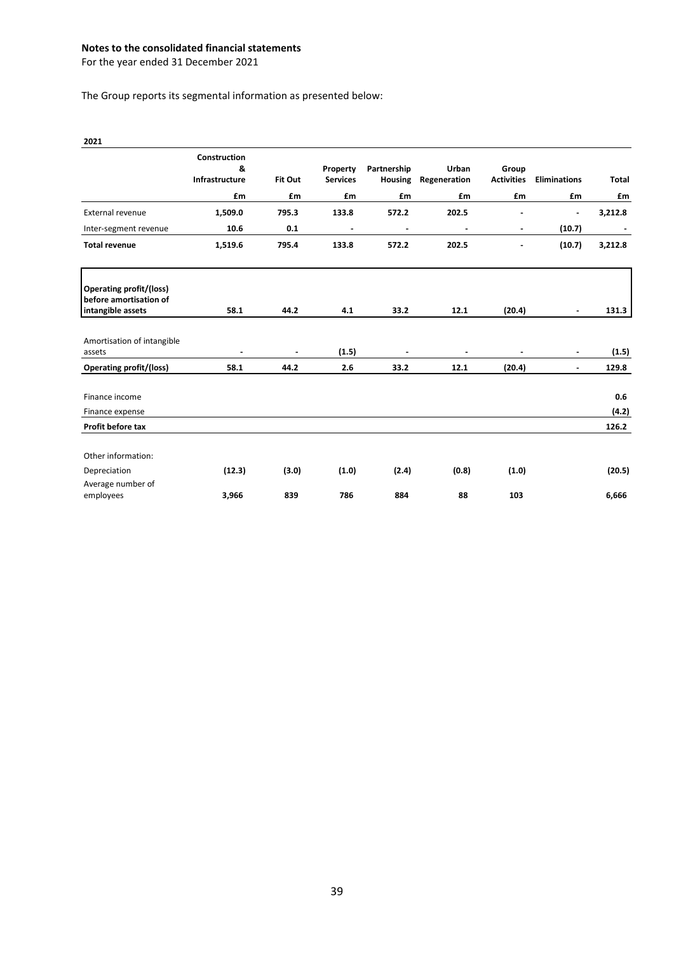For the year ended 31 December 2021

The Group reports its segmental information as presented below:

| 2021                                                     |                                     |                |                             |                               |                       |                            |                     |                |
|----------------------------------------------------------|-------------------------------------|----------------|-----------------------------|-------------------------------|-----------------------|----------------------------|---------------------|----------------|
|                                                          | Construction<br>&<br>Infrastructure | Fit Out        | Property<br><b>Services</b> | Partnership<br><b>Housing</b> | Urban<br>Regeneration | Group<br><b>Activities</b> | <b>Eliminations</b> | <b>Total</b>   |
|                                                          | £m                                  | £m             | £m                          | £m                            | £m                    | £m                         | £m                  | £m             |
| External revenue                                         | 1,509.0                             | 795.3          | 133.8                       | 572.2                         | 202.5                 |                            |                     | 3,212.8        |
| Inter-segment revenue                                    | 10.6                                | 0.1            |                             | ä,                            | Ĭ.                    | $\blacksquare$             | (10.7)              |                |
| <b>Total revenue</b>                                     | 1,519.6                             | 795.4          | 133.8                       | 572.2                         | 202.5                 | $\blacksquare$             | (10.7)              | 3,212.8        |
| <b>Operating profit/(loss)</b><br>before amortisation of |                                     |                |                             |                               |                       |                            |                     |                |
| intangible assets                                        | 58.1                                | 44.2           | 4.1                         | 33.2                          | 12.1                  | (20.4)                     | $\blacksquare$      | 131.3          |
| Amortisation of intangible<br>assets                     | $\sim$                              | $\blacksquare$ | (1.5)                       | $\blacksquare$                | $\blacksquare$        | $\blacksquare$             | $\blacksquare$      | (1.5)          |
| <b>Operating profit/(loss)</b>                           | 58.1                                | 44.2           | 2.6                         | 33.2                          | 12.1                  | (20.4)                     | $\blacksquare$      | 129.8          |
| Finance income                                           |                                     |                |                             |                               |                       |                            |                     | 0.6            |
| Finance expense<br>Profit before tax                     |                                     |                |                             |                               |                       |                            |                     | (4.2)<br>126.2 |
|                                                          |                                     |                |                             |                               |                       |                            |                     |                |
| Other information:                                       |                                     |                |                             |                               |                       |                            |                     |                |
| Depreciation                                             | (12.3)                              | (3.0)          | (1.0)                       | (2.4)                         | (0.8)                 | (1.0)                      |                     | (20.5)         |
| Average number of<br>employees                           | 3,966                               | 839            | 786                         | 884                           | 88                    | 103                        |                     | 6,666          |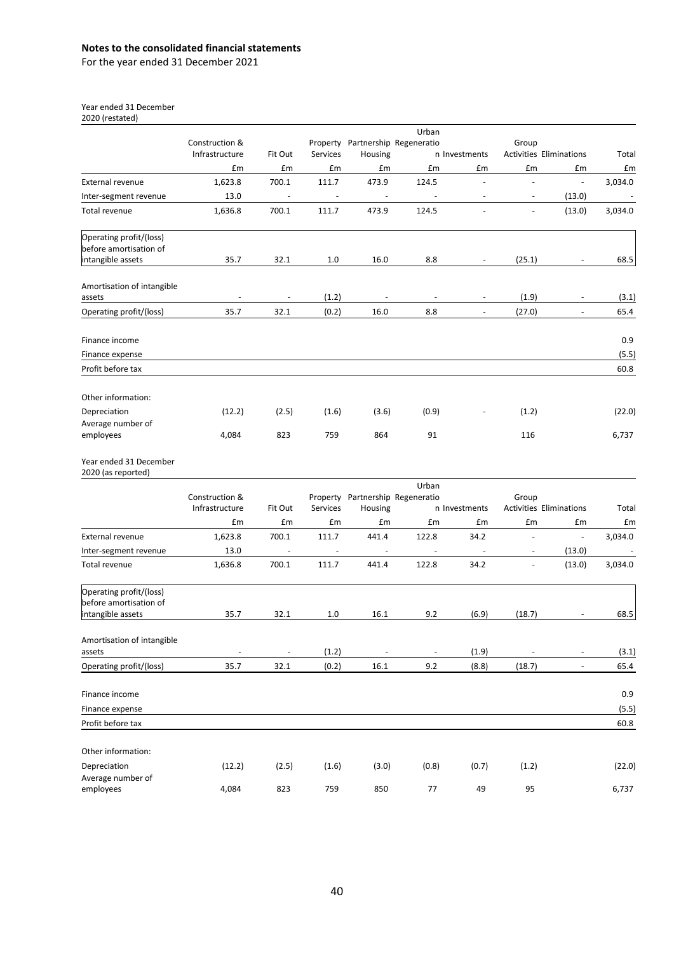For the year ended 31 December 2021

Year ended 31 December

2020 (restated)

|                                                   |                                  |                          |                          |                                  | Urban                    |                          |                          |                                      |             |
|---------------------------------------------------|----------------------------------|--------------------------|--------------------------|----------------------------------|--------------------------|--------------------------|--------------------------|--------------------------------------|-------------|
|                                                   | Construction &                   |                          |                          | Property Partnership Regeneratio |                          |                          | Group                    |                                      |             |
|                                                   | Infrastructure<br>£m             | Fit Out<br>£m            | Services<br>£m           | Housing<br>£m                    | £m                       | n Investments<br>£m      | £m                       | <b>Activities Eliminations</b><br>£m | Total<br>£m |
| <b>External revenue</b>                           | 1,623.8                          | 700.1                    | 111.7                    | 473.9                            | 124.5                    | $\overline{\phantom{a}}$ | $\overline{\phantom{a}}$ | $\overline{\phantom{a}}$             | 3,034.0     |
| Inter-segment revenue                             | 13.0                             | $\overline{\phantom{a}}$ | $\overline{\phantom{a}}$ | $\overline{\phantom{a}}$         | $\overline{\phantom{a}}$ | $\overline{\phantom{a}}$ | $\overline{\phantom{a}}$ | (13.0)                               | $\sim$      |
| Total revenue                                     | 1,636.8                          | 700.1                    | 111.7                    | 473.9                            | 124.5                    | $\frac{1}{2}$            | $\blacksquare$           | (13.0)                               | 3,034.0     |
|                                                   |                                  |                          |                          |                                  |                          |                          |                          |                                      |             |
| Operating profit/(loss)<br>before amortisation of |                                  |                          |                          |                                  |                          |                          |                          |                                      |             |
| intangible assets                                 | 35.7                             | 32.1                     | 1.0                      | 16.0                             | 8.8                      | $\overline{\phantom{a}}$ | (25.1)                   |                                      | 68.5        |
| Amortisation of intangible                        |                                  |                          |                          |                                  |                          |                          |                          |                                      |             |
| assets                                            | $\overline{\phantom{a}}$         | $\overline{\phantom{a}}$ | (1.2)                    | $\overline{\phantom{a}}$         | $\overline{\phantom{a}}$ | $\overline{\phantom{a}}$ | (1.9)                    | $\overline{\phantom{a}}$             | (3.1)       |
| Operating profit/(loss)                           | 35.7                             | 32.1                     | (0.2)                    | 16.0                             | 8.8                      | $\overline{\phantom{a}}$ | (27.0)                   | $\overline{\phantom{a}}$             | 65.4        |
| Finance income                                    |                                  |                          |                          |                                  |                          |                          |                          |                                      | 0.9         |
| Finance expense                                   |                                  |                          |                          |                                  |                          |                          |                          |                                      | (5.5)       |
| Profit before tax                                 |                                  |                          |                          |                                  |                          |                          |                          |                                      | 60.8        |
|                                                   |                                  |                          |                          |                                  |                          |                          |                          |                                      |             |
| Other information:                                |                                  |                          |                          |                                  |                          |                          |                          |                                      |             |
| Depreciation                                      | (12.2)                           | (2.5)                    | (1.6)                    | (3.6)                            | (0.9)                    |                          | (1.2)                    |                                      | (22.0)      |
| Average number of                                 |                                  |                          |                          |                                  |                          |                          |                          |                                      |             |
| employees                                         | 4,084                            | 823                      | 759                      | 864                              | 91                       |                          | 116                      |                                      | 6,737       |
| Year ended 31 December<br>2020 (as reported)      |                                  |                          |                          |                                  |                          |                          |                          |                                      |             |
|                                                   |                                  |                          |                          |                                  | Urban                    |                          |                          |                                      |             |
|                                                   | Construction &<br>Infrastructure | Fit Out                  | Services                 | Property Partnership Regeneratio |                          | n Investments            | Group                    | <b>Activities Eliminations</b>       | Total       |
|                                                   | £m                               | £m                       | £m                       | Housing<br>£m                    | £m                       | £m                       | £m                       | £m                                   | £m          |
| External revenue                                  | 1,623.8                          | 700.1                    | 111.7                    | 441.4                            | 122.8                    | 34.2                     | $\overline{a}$           | $\blacksquare$                       | 3,034.0     |
|                                                   | 13.0                             | $\overline{\phantom{a}}$ | $\overline{\phantom{a}}$ | $\overline{\phantom{a}}$         | $\overline{\phantom{a}}$ | $\overline{\phantom{a}}$ |                          | (13.0)                               |             |
| Inter-segment revenue<br>Total revenue            | 1,636.8                          | 700.1                    | 111.7                    | 441.4                            | 122.8                    | 34.2                     | $\blacksquare$           | (13.0)                               | 3,034.0     |
|                                                   |                                  |                          |                          |                                  |                          |                          |                          |                                      |             |
| Operating profit/(loss)<br>before amortisation of |                                  |                          |                          |                                  |                          |                          |                          |                                      |             |
| intangible assets                                 | 35.7                             | 32.1                     | 1.0                      | 16.1                             | 9.2                      | (6.9)                    | (18.7)                   |                                      | 68.5        |
|                                                   |                                  |                          |                          |                                  |                          |                          |                          |                                      |             |
| Amortisation of intangible                        |                                  |                          |                          |                                  |                          |                          |                          |                                      |             |
| assets                                            | $\overline{a}$                   |                          | (1.2)                    |                                  |                          | (1.9)                    |                          |                                      | (3.1)       |
| Operating profit/(loss)                           | 35.7                             | 32.1                     | (0.2)                    | 16.1                             | 9.2                      | (8.8)                    | (18.7)                   | $\overline{\phantom{a}}$             | 65.4        |
| Finance income                                    |                                  |                          |                          |                                  |                          |                          |                          |                                      | 0.9         |
| Finance expense                                   |                                  |                          |                          |                                  |                          |                          |                          |                                      | (5.5)       |
| Profit before tax                                 |                                  |                          |                          |                                  |                          |                          |                          |                                      | 60.8        |
| Other information:                                |                                  |                          |                          |                                  |                          |                          |                          |                                      |             |
| Depreciation                                      | (12.2)                           | (2.5)                    | (1.6)                    | (3.0)                            | (0.8)                    | (0.7)                    | (1.2)                    |                                      | (22.0)      |
| Average number of                                 |                                  |                          |                          |                                  |                          |                          |                          |                                      |             |
| employees                                         | 4,084                            | 823                      | 759                      | 850                              | 77                       | 49                       | 95                       |                                      | 6,737       |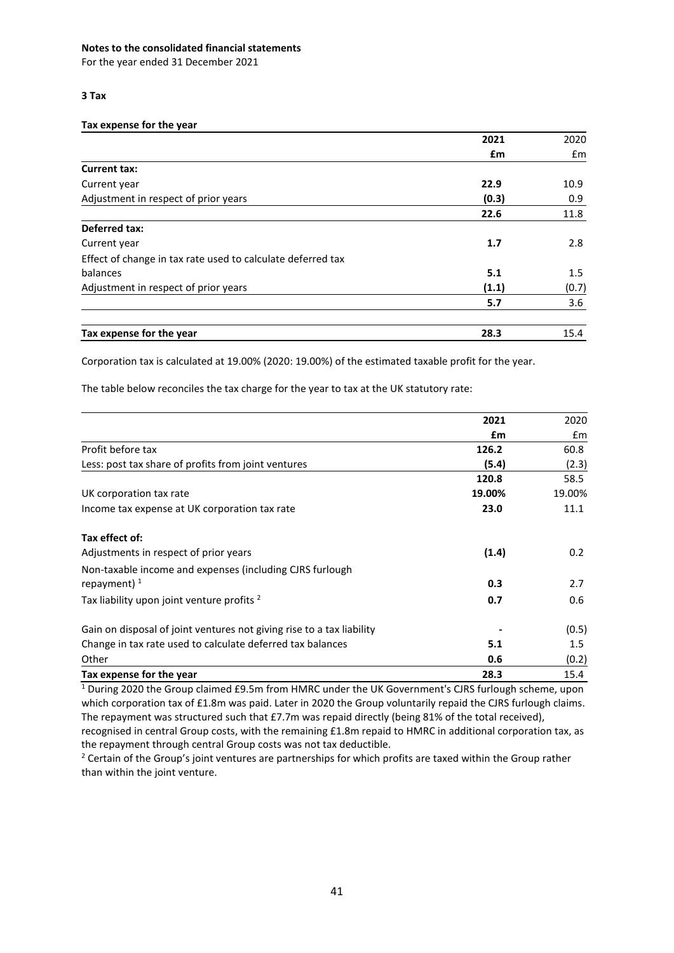For the year ended 31 December 2021

## **3 Tax**

### **Tax expense for the year**

|                                                             | 2021  | 2020  |
|-------------------------------------------------------------|-------|-------|
|                                                             | £m    | £m    |
| <b>Current tax:</b>                                         |       |       |
| Current year                                                | 22.9  | 10.9  |
| Adjustment in respect of prior years                        | (0.3) | 0.9   |
|                                                             | 22.6  | 11.8  |
| <b>Deferred tax:</b>                                        |       |       |
| Current year                                                | 1.7   | 2.8   |
| Effect of change in tax rate used to calculate deferred tax |       |       |
| balances                                                    | 5.1   | 1.5   |
| Adjustment in respect of prior years                        | (1.1) | (0.7) |
|                                                             | 5.7   | 3.6   |
| Tax expense for the year                                    | 28.3  | 15.4  |

Corporation tax is calculated at 19.00% (2020: 19.00%) of the estimated taxable profit for the year.

The table below reconciles the tax charge for the year to tax at the UK statutory rate:

|                                                                       | 2021   | 2020          |
|-----------------------------------------------------------------------|--------|---------------|
|                                                                       | £m     | $\mathsf{fm}$ |
| Profit before tax                                                     | 126.2  | 60.8          |
| Less: post tax share of profits from joint ventures                   | (5.4)  | (2.3)         |
|                                                                       | 120.8  | 58.5          |
| UK corporation tax rate                                               | 19.00% | 19.00%        |
| Income tax expense at UK corporation tax rate                         | 23.0   | 11.1          |
| Tax effect of:                                                        |        |               |
| Adjustments in respect of prior years                                 | (1.4)  | 0.2           |
| Non-taxable income and expenses (including CJRS furlough              |        |               |
| repayment) $1$                                                        | 0.3    | 2.7           |
| Tax liability upon joint venture profits <sup>2</sup>                 | 0.7    | 0.6           |
| Gain on disposal of joint ventures not giving rise to a tax liability |        | (0.5)         |
| Change in tax rate used to calculate deferred tax balances            | 5.1    | 1.5           |
| Other                                                                 | 0.6    | (0.2)         |
| Tax expense for the year                                              | 28.3   | 15.4          |

<sup>1</sup> During 2020 the Group claimed £9.5m from HMRC under the UK Government's CJRS furlough scheme, upon which corporation tax of £1.8m was paid. Later in 2020 the Group voluntarily repaid the CJRS furlough claims. The repayment was structured such that £7.7m was repaid directly (being 81% of the total received), recognised in central Group costs, with the remaining £1.8m repaid to HMRC in additional corporation tax, as the repayment through central Group costs was not tax deductible.

<sup>2</sup> Certain of the Group's joint ventures are partnerships for which profits are taxed within the Group rather than within the joint venture.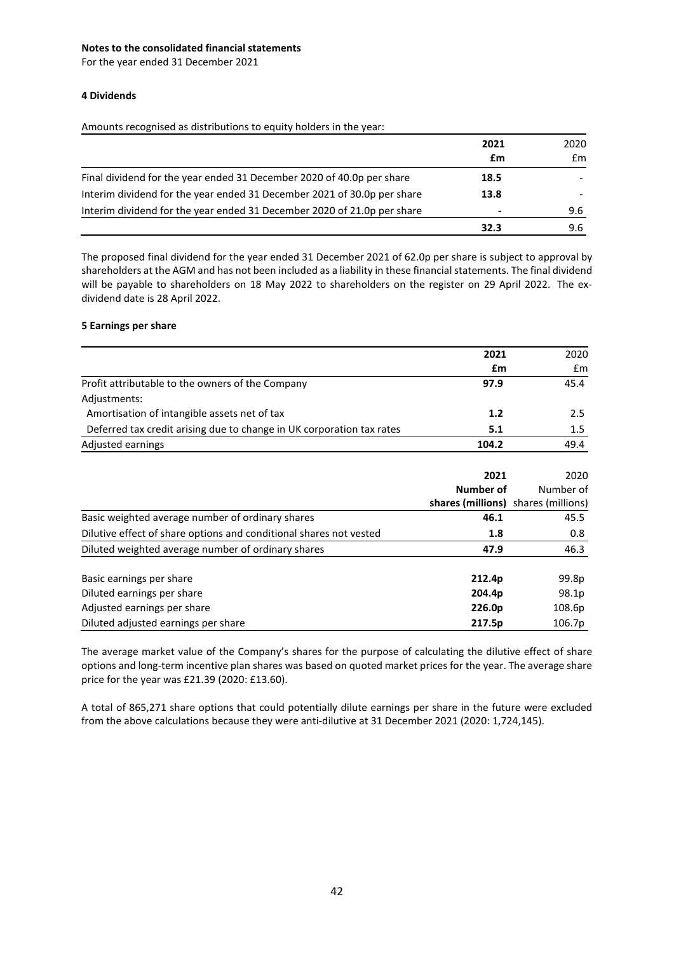For the year ended 31 December 2021

### **4 Dividends**

Amounts recognised as distributions to equity holders in the year:

|                                                                         | 2021<br>£m | 2020<br>£m |
|-------------------------------------------------------------------------|------------|------------|
| Final dividend for the year ended 31 December 2020 of 40.0p per share   | 18.5       |            |
| Interim dividend for the year ended 31 December 2021 of 30.0p per share | 13.8       |            |
| Interim dividend for the year ended 31 December 2020 of 21.0p per share |            | 9.6        |
|                                                                         | 32.3       | 9.6        |

The proposed final dividend for the year ended 31 December 2021 of 62.0p per share is subject to approval by shareholders at the AGM and has not been included as a liability in these financial statements. The final dividend will be payable to shareholders on 18 May 2022 to shareholders on the register on 29 April 2022. The exdividend date is 28 April 2022.

### **5 Earnings per share**

|                                                                       | 2021                                | 2020      |
|-----------------------------------------------------------------------|-------------------------------------|-----------|
|                                                                       | £m                                  | £m        |
| Profit attributable to the owners of the Company                      | 97.9                                | 45.4      |
| Adjustments:                                                          |                                     |           |
| Amortisation of intangible assets net of tax                          | 1.2                                 | 2.5       |
| Deferred tax credit arising due to change in UK corporation tax rates | 5.1                                 | $1.5\,$   |
| Adjusted earnings                                                     | 104.2                               | 49.4      |
|                                                                       | 2021                                | 2020      |
|                                                                       | Number of                           | Number of |
|                                                                       | shares (millions) shares (millions) |           |
| Basic weighted average number of ordinary shares                      | 46.1                                | 45.5      |
| Dilutive effect of share options and conditional shares not vested    | 1.8                                 | 0.8       |
| Diluted weighted average number of ordinary shares                    | 47.9                                | 46.3      |
|                                                                       |                                     |           |
| Basic earnings per share                                              | 212.4p                              | 99.8p     |
| Diluted earnings per share                                            | 204.4p                              | 98.1p     |
| Adjusted earnings per share                                           | 226.0p                              | 108.6p    |
| Diluted adjusted earnings per share                                   | 217.5p                              | 106.7p    |

The average market value of the Company's shares for the purpose of calculating the dilutive effect of share options and long-term incentive plan shares was based on quoted market prices for the year. The average share price for the year was £21.39 (2020: £13.60).

A total of 865,271 share options that could potentially dilute earnings per share in the future were excluded from the above calculations because they were anti-dilutive at 31 December 2021 (2020: 1,724,145).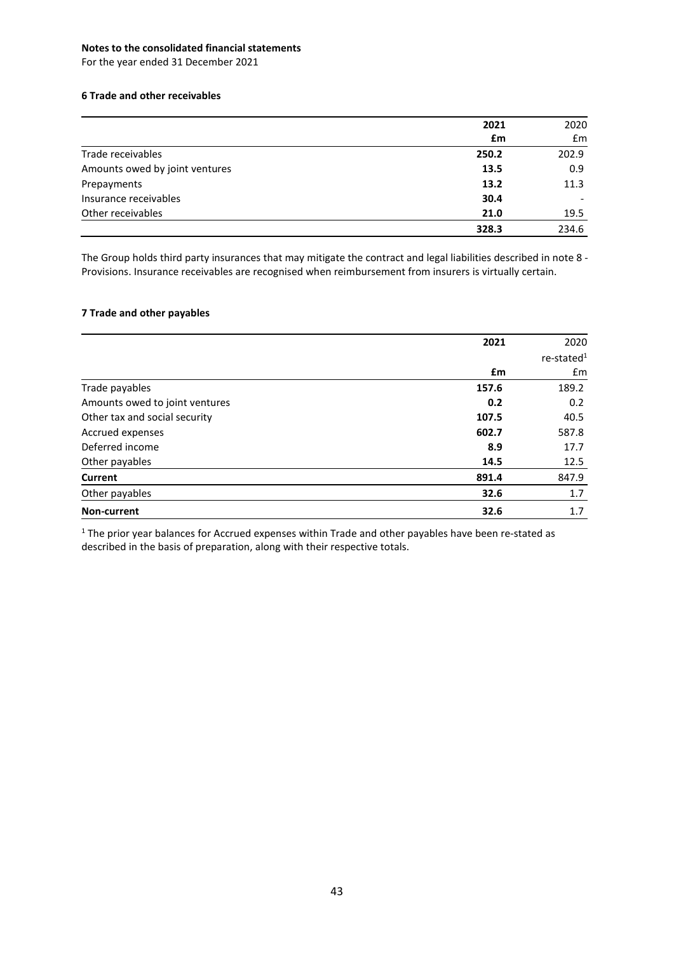For the year ended 31 December 2021

# **6 Trade and other receivables**

|                                | 2021  | 2020  |
|--------------------------------|-------|-------|
|                                | £m    | £m    |
| Trade receivables              | 250.2 | 202.9 |
| Amounts owed by joint ventures | 13.5  | 0.9   |
| Prepayments                    | 13.2  | 11.3  |
| Insurance receivables          | 30.4  |       |
| Other receivables              | 21.0  | 19.5  |
|                                | 328.3 | 234.6 |

The Group holds third party insurances that may mitigate the contract and legal liabilities described in note 8 - Provisions. Insurance receivables are recognised when reimbursement from insurers is virtually certain.

### **7 Trade and other payables**

|                                | 2021  | 2020                      |
|--------------------------------|-------|---------------------------|
|                                |       | $re$ -stated <sup>1</sup> |
|                                | £m    | £m                        |
| Trade payables                 | 157.6 | 189.2                     |
| Amounts owed to joint ventures | 0.2   | 0.2                       |
| Other tax and social security  | 107.5 | 40.5                      |
| Accrued expenses               | 602.7 | 587.8                     |
| Deferred income                | 8.9   | 17.7                      |
| Other payables                 | 14.5  | 12.5                      |
| Current                        | 891.4 | 847.9                     |
| Other payables                 | 32.6  | 1.7                       |
| Non-current                    | 32.6  | 1.7                       |

 $1$  The prior year balances for Accrued expenses within Trade and other payables have been re-stated as described in the basis of preparation, along with their respective totals.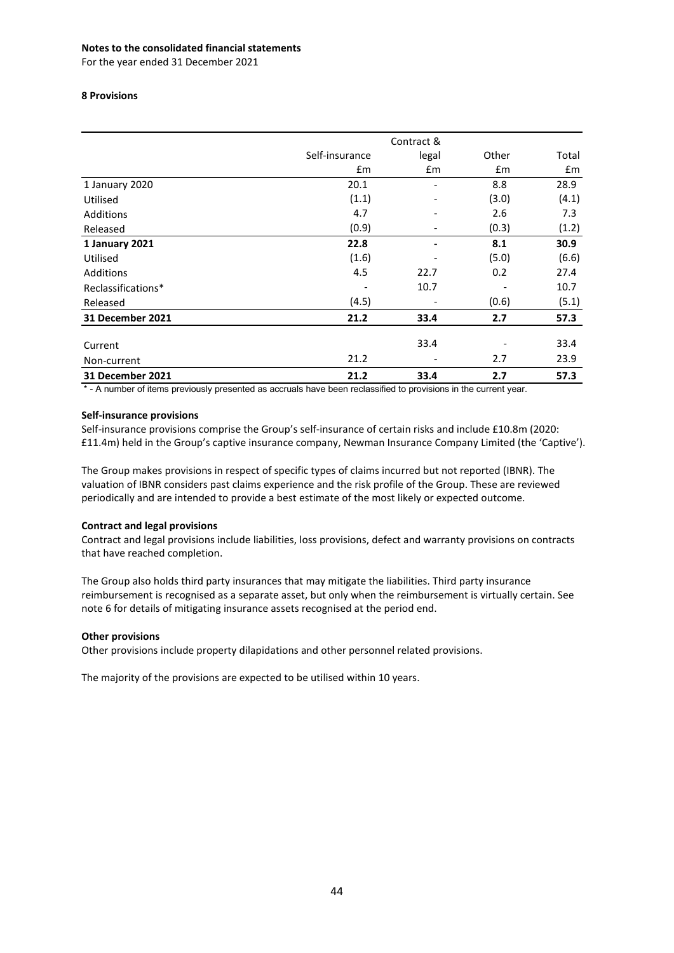For the year ended 31 December 2021

### **8 Provisions**

|                    | Contract &     |       |               |       |
|--------------------|----------------|-------|---------------|-------|
|                    | Self-insurance | legal | Other         | Total |
|                    | £m             | £m    | $\mathsf{fm}$ | £m    |
| 1 January 2020     | 20.1           | ٠     | 8.8           | 28.9  |
| Utilised           | (1.1)          |       | (3.0)         | (4.1) |
| Additions          | 4.7            |       | 2.6           | 7.3   |
| Released           | (0.9)          |       | (0.3)         | (1.2) |
| 1 January 2021     | 22.8           |       | 8.1           | 30.9  |
| Utilised           | (1.6)          |       | (5.0)         | (6.6) |
| Additions          | 4.5            | 22.7  | 0.2           | 27.4  |
| Reclassifications* |                | 10.7  |               | 10.7  |
| Released           | (4.5)          |       | (0.6)         | (5.1) |
| 31 December 2021   | 21.2           | 33.4  | 2.7           | 57.3  |
| Current            |                | 33.4  |               | 33.4  |
| Non-current        | 21.2           |       | 2.7           | 23.9  |
| 31 December 2021   | 21.2           | 33.4  | 2.7           | 57.3  |

\* - A number of items previously presented as accruals have been reclassified to provisions in the current year.

### **Self-insurance provisions**

Self-insurance provisions comprise the Group's self-insurance of certain risks and include £10.8m (2020: £11.4m) held in the Group's captive insurance company, Newman Insurance Company Limited (the 'Captive').

The Group makes provisions in respect of specific types of claims incurred but not reported (IBNR). The valuation of IBNR considers past claims experience and the risk profile of the Group. These are reviewed periodically and are intended to provide a best estimate of the most likely or expected outcome.

# **Contract and legal provisions**

Contract and legal provisions include liabilities, loss provisions, defect and warranty provisions on contracts that have reached completion.

The Group also holds third party insurances that may mitigate the liabilities. Third party insurance reimbursement is recognised as a separate asset, but only when the reimbursement is virtually certain. See note 6 for details of mitigating insurance assets recognised at the period end.

### **Other provisions**

Other provisions include property dilapidations and other personnel related provisions.

The majority of the provisions are expected to be utilised within 10 years.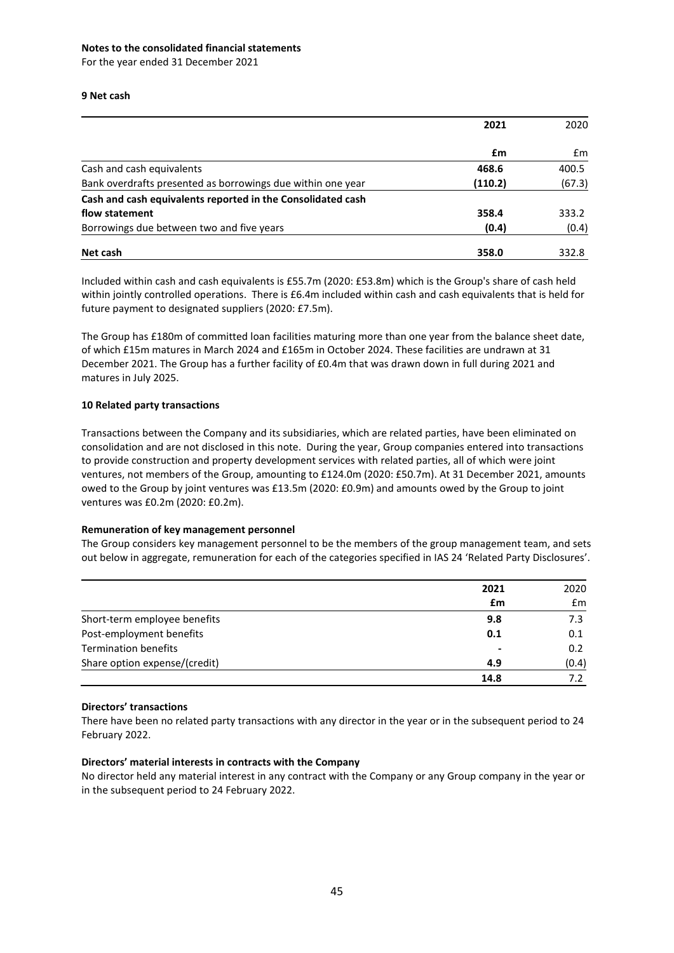For the year ended 31 December 2021

### **9 Net cash**

|                                                             | 2021    | 2020   |
|-------------------------------------------------------------|---------|--------|
|                                                             | £m      | £m     |
| Cash and cash equivalents                                   | 468.6   | 400.5  |
| Bank overdrafts presented as borrowings due within one year | (110.2) | (67.3) |
| Cash and cash equivalents reported in the Consolidated cash |         |        |
| flow statement                                              | 358.4   | 333.2  |
| Borrowings due between two and five years                   | (0.4)   | (0.4)  |
| Net cash                                                    | 358.0   | 332.8  |

Included within cash and cash equivalents is £55.7m (2020: £53.8m) which is the Group's share of cash held within jointly controlled operations. There is £6.4m included within cash and cash equivalents that is held for future payment to designated suppliers (2020: £7.5m).

The Group has £180m of committed loan facilities maturing more than one year from the balance sheet date, of which £15m matures in March 2024 and £165m in October 2024. These facilities are undrawn at 31 December 2021. The Group has a further facility of £0.4m that was drawn down in full during 2021 and matures in July 2025.

### **10 Related party transactions**

Transactions between the Company and its subsidiaries, which are related parties, have been eliminated on consolidation and are not disclosed in this note. During the year, Group companies entered into transactions to provide construction and property development services with related parties, all of which were joint ventures, not members of the Group, amounting to £124.0m (2020: £50.7m). At 31 December 2021, amounts owed to the Group by joint ventures was £13.5m (2020: £0.9m) and amounts owed by the Group to joint ventures was £0.2m (2020: £0.2m).

### **Remuneration of key management personnel**

The Group considers key management personnel to be the members of the group management team, and sets out below in aggregate, remuneration for each of the categories specified in IAS 24 'Related Party Disclosures'.

|                               | 2021<br>£m | 2020<br>$\mathsf{fm}$ |
|-------------------------------|------------|-----------------------|
|                               |            |                       |
| Short-term employee benefits  | 9.8        | 7.3                   |
| Post-employment benefits      | 0.1        | 0.1                   |
| <b>Termination benefits</b>   |            | 0.2                   |
| Share option expense/(credit) | 4.9        | (0.4)                 |
|                               | 14.8       | 7.2                   |

### **Directors' transactions**

There have been no related party transactions with any director in the year or in the subsequent period to 24 February 2022.

### **Directors' material interests in contracts with the Company**

No director held any material interest in any contract with the Company or any Group company in the year or in the subsequent period to 24 February 2022.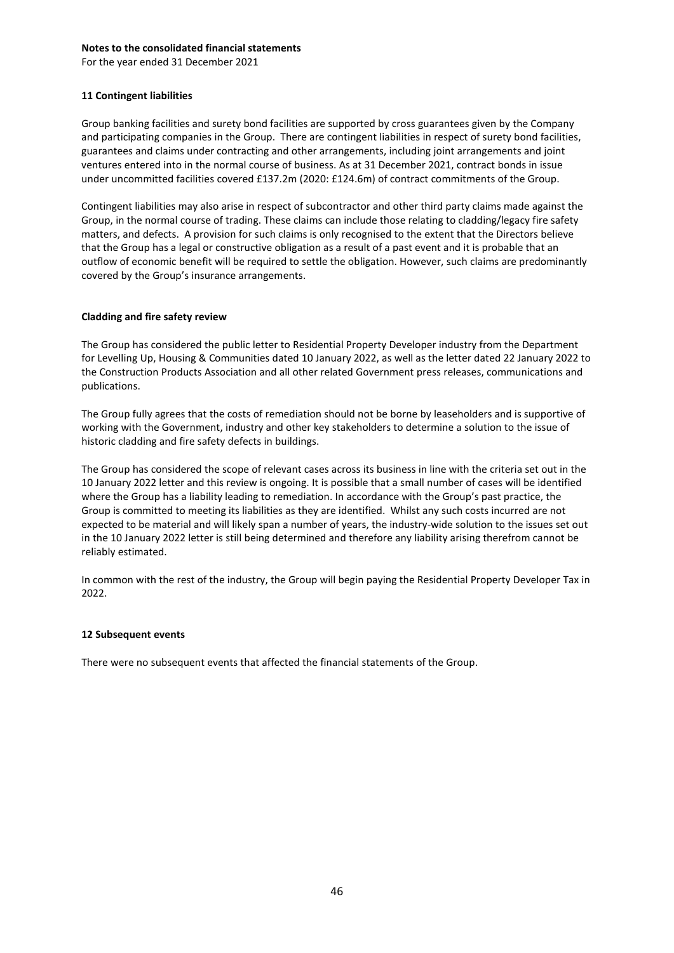For the year ended 31 December 2021

### **11 Contingent liabilities**

Group banking facilities and surety bond facilities are supported by cross guarantees given by the Company and participating companies in the Group. There are contingent liabilities in respect of surety bond facilities, guarantees and claims under contracting and other arrangements, including joint arrangements and joint ventures entered into in the normal course of business. As at 31 December 2021, contract bonds in issue under uncommitted facilities covered £137.2m (2020: £124.6m) of contract commitments of the Group.

Contingent liabilities may also arise in respect of subcontractor and other third party claims made against the Group, in the normal course of trading. These claims can include those relating to cladding/legacy fire safety matters, and defects. A provision for such claims is only recognised to the extent that the Directors believe that the Group has a legal or constructive obligation as a result of a past event and it is probable that an outflow of economic benefit will be required to settle the obligation. However, such claims are predominantly covered by the Group's insurance arrangements.

### **Cladding and fire safety review**

The Group has considered the public letter to Residential Property Developer industry from the Department for Levelling Up, Housing & Communities dated 10 January 2022, as well as the letter dated 22 January 2022 to the Construction Products Association and all other related Government press releases, communications and publications.

The Group fully agrees that the costs of remediation should not be borne by leaseholders and is supportive of working with the Government, industry and other key stakeholders to determine a solution to the issue of historic cladding and fire safety defects in buildings.

The Group has considered the scope of relevant cases across its business in line with the criteria set out in the 10 January 2022 letter and this review is ongoing. It is possible that a small number of cases will be identified where the Group has a liability leading to remediation. In accordance with the Group's past practice, the Group is committed to meeting its liabilities as they are identified. Whilst any such costs incurred are not expected to be material and will likely span a number of years, the industry-wide solution to the issues set out in the 10 January 2022 letter is still being determined and therefore any liability arising therefrom cannot be reliably estimated.

In common with the rest of the industry, the Group will begin paying the Residential Property Developer Tax in 2022.

### **12 Subsequent events**

There were no subsequent events that affected the financial statements of the Group.